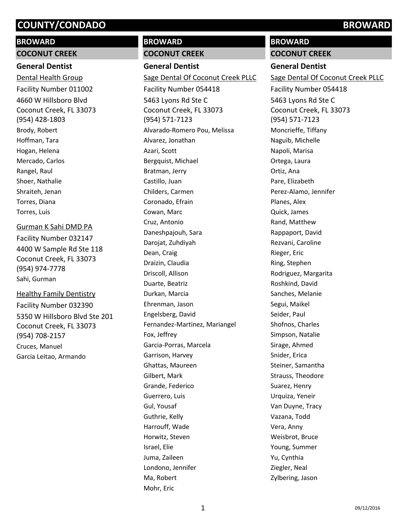# **BROWARD**

**COCONUT CREEK**

# **General Dentist**

4660 W Hillsboro Blvd Coconut Creek, FL 33073 (954) 428-1803 Dental Health Group Facility Number 011002 Brody, Robert Hoffman, Tara Hogan, Helena Mercado, Carlos Rangel, Raul Shoer, Nathalie Shraiteh, Jenan Torres, Diana Torres, Luis

#### Gurman K Sahi DMD PA

4400 W Sample Rd Ste 118 Coconut Creek, FL 33073 (954) 974-7778 Facility Number 032147 Sahi, Gurman

5350 W Hillsboro Blvd Ste 201 Coconut Creek, FL 33073 (954) 708-2157 Healthy Family Dentistry Facility Number 032390 Cruces, Manuel Garcia Leitao, Armando

# **BROWARD**

#### **COCONUT CREEK**

**General Dentist** 5463 Lyons Rd Ste C Coconut Creek, FL 33073 (954) 571-7123 Sage Dental Of Coconut Creek PLLC Facility Number 054418 Alvarado-Romero Pou, Melissa Alvarez, Jonathan Azari, Scott Bergquist, Michael Bratman, Jerry Castillo, Juan Childers, Carmen Coronado, Efrain Cowan, Marc Cruz, Antonio Daneshpajouh, Sara Darojat, Zuhdiyah Dean, Craig Draizin, Claudia Driscoll, Allison Duarte, Beatriz Durkan, Marcia Ehrenman, Jason Engelsberg, David Fernandez-Martinez, Mariangel Fox, Jeffrey Garcia-Porras, Marcela Garrison, Harvey Ghattas, Maureen Gilbert, Mark Grande, Federico Guerrero, Luis Gul, Yousaf Guthrie, Kelly Harrouff, Wade Horwitz, Steven Israel, Elie Juma, Zaileen Londono, Jennifer Ma, Robert Mohr, Eric

# **BROWARD**

**COCONUT CREEK**

#### **General Dentist**

5463 Lyons Rd Ste C Coconut Creek, FL 33073 (954) 571-7123 Sage Dental Of Coconut Creek PLLC Facility Number 054418 Moncrieffe, Tiffany Naguib, Michelle Napoli, Marisa Ortega, Laura Ortiz, Ana Pare, Elizabeth Perez-Alamo, Jennifer Planes, Alex Quick, James Rand, Matthew Rappaport, David Rezvani, Caroline Rieger, Eric Ring, Stephen Rodriguez, Margarita Roshkind, David Sanches, Melanie Segui, Maikel Seider, Paul Shofnos, Charles Simpson, Natalie Sirage, Ahmed Snider, Erica Steiner, Samantha Strauss, Theodore Suarez, Henry Urquiza, Yeneir Van Duyne, Tracy Vazana, Todd Vera, Anny Weisbrot, Bruce Young, Summer Yu, Cynthia Ziegler, Neal Zylbering, Jason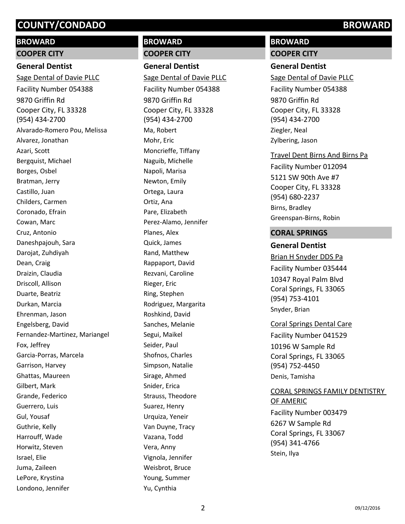# **BROWARD**

#### **COOPER CITY**

#### **General Dentist**

9870 Griffin Rd Cooper City, FL 33328 (954) 434-2700 Sage Dental of Davie PLLC Facility Number 054388 Alvarado-Romero Pou, Melissa Alvarez, Jonathan Azari, Scott Bergquist, Michael Borges, Osbel Bratman, Jerry Castillo, Juan Childers, Carmen Coronado, Efrain Cowan, Marc Cruz, Antonio Daneshpajouh, Sara Darojat, Zuhdiyah Dean, Craig Draizin, Claudia Driscoll, Allison Duarte, Beatriz Durkan, Marcia Ehrenman, Jason Engelsberg, David Fernandez-Martinez, Mariangel Fox, Jeffrey Garcia-Porras, Marcela Garrison, Harvey Ghattas, Maureen Gilbert, Mark Grande, Federico Guerrero, Luis Gul, Yousaf Guthrie, Kelly Harrouff, Wade Horwitz, Steven Israel, Elie Juma, Zaileen LePore, Krystina Londono, Jennifer

# **BROWARD**

**COOPER CITY General Dentist**

9870 Griffin Rd Cooper City, FL 33328 (954) 434-2700 Sage Dental of Davie PLLC Facility Number 054388 Ma, Robert Mohr, Eric Moncrieffe, Tiffany Naguib, Michelle Napoli, Marisa Newton, Emily Ortega, Laura Ortiz, Ana Pare, Elizabeth Perez-Alamo, Jennifer Planes, Alex Quick, James Rand, Matthew Rappaport, David Rezvani, Caroline Rieger, Eric Ring, Stephen Rodriguez, Margarita Roshkind, David Sanches, Melanie Segui, Maikel Seider, Paul Shofnos, Charles Simpson, Natalie Sirage, Ahmed Snider, Erica Strauss, Theodore Suarez, Henry Urquiza, Yeneir Van Duyne, Tracy Vazana, Todd Vera, Anny Vignola, Jennifer Weisbrot, Bruce Young, Summer Yu, Cynthia

# **BROWARD**

**COOPER CITY**

#### **General Dentist**

9870 Griffin Rd Cooper City, FL 33328 (954) 434-2700 Sage Dental of Davie PLLC Facility Number 054388 Ziegler, Neal Zylbering, Jason

#### Travel Dent Birns And Birns Pa

5121 SW 90th Ave #7 Cooper City, FL 33328 (954) 680-2237 Facility Number 012094 Birns, Bradley Greenspan-Birns, Robin

## **CORAL SPRINGS**

## **General Dentist**

10347 Royal Palm Blvd Coral Springs, FL 33065 (954) 753-4101 Brian H Snyder DDS Pa Facility Number 035444 Snyder, Brian

## Coral Springs Dental Care

10196 W Sample Rd Coral Springs, FL 33065 (954) 752-4450 Facility Number 041529 Denis, Tamisha

#### CORAL SPRINGS FAMILY DENTISTRY OF AMERIC

6267 W Sample Rd Coral Springs, FL 33067 (954) 341-4766 Facility Number 003479 Stein, Ilya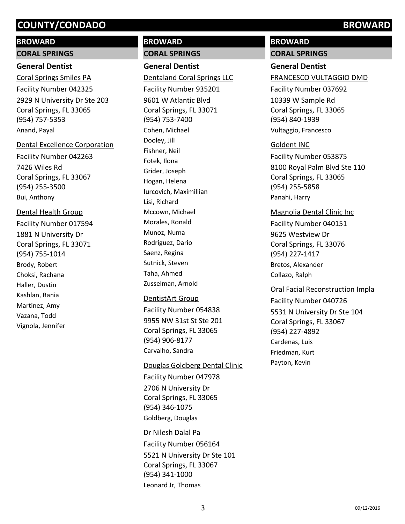### **BROWARD**

#### **CORAL SPRINGS**

## **General Dentist**

2929 N University Dr Ste 203 Coral Springs, FL 33065 (954) 757-5353 Coral Springs Smiles PA Facility Number 042325 Anand, Payal

#### Dental Excellence Corporation

7426 Wiles Rd Coral Springs, FL 33067 (954) 255-3500 Facility Number 042263 Bui, Anthony

# Dental Health Group

1881 N University Dr Coral Springs, FL 33071 (954) 755-1014 Facility Number 017594 Brody, Robert Choksi, Rachana Haller, Dustin Kashlan, Rania Martinez, Amy Vazana, Todd Vignola, Jennifer

# **BROWARD**

# **CORAL SPRINGS**

**General Dentist** 9601 W Atlantic Blvd Coral Springs, FL 33071 (954) 753-7400 Dentaland Coral Springs LLC Facility Number 935201 Cohen, Michael Dooley, Jill Fishner, Neil Fotek, Ilona Grider, Joseph Hogan, Helena Iurcovich, Maximillian Lisi, Richard Mccown, Michael Morales, Ronald Munoz, Numa Rodriguez, Dario Saenz, Regina Sutnick, Steven Taha, Ahmed Zusselman, Arnold

#### DentistArt Group

9955 NW 31st St Ste 201 Coral Springs, FL 33065 (954) 906-8177 Facility Number 054838 Carvalho, Sandra

#### Douglas Goldberg Dental Clinic

2706 N University Dr Coral Springs, FL 33065 (954) 346-1075 Facility Number 047978 Goldberg, Douglas

5521 N University Dr Ste 101 Coral Springs, FL 33067 (954) 341-1000 Dr Nilesh Dalal Pa Facility Number 056164 Leonard Jr, Thomas

# **BROWARD**

**CORAL SPRINGS**

# **General Dentist**

FRANCESCO VULTAGGIO DMD

10339 W Sample Rd Coral Springs, FL 33065 (954) 840-1939 Facility Number 037692 Vultaggio, Francesco

#### Goldent INC

8100 Royal Palm Blvd Ste 110 Coral Springs, FL 33065 (954) 255-5858 Facility Number 053875 Panahi, Harry

#### Magnolia Dental Clinic Inc

9625 Westview Dr Coral Springs, FL 33076 (954) 227-1417 Facility Number 040151 Bretos, Alexander Collazo, Ralph

#### Oral Facial Reconstruction Impla

5531 N University Dr Ste 104 Coral Springs, FL 33067 (954) 227-4892 Facility Number 040726 Cardenas, Luis Friedman, Kurt Payton, Kevin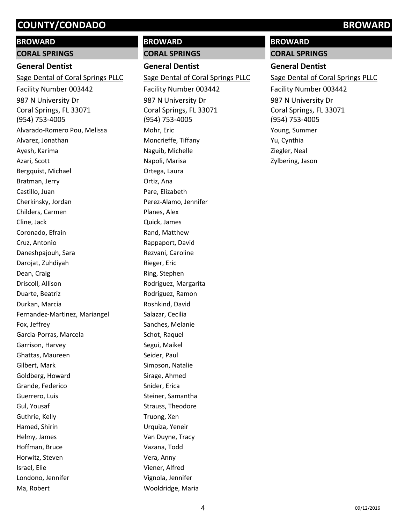## **BROWARD**

#### **CORAL SPRINGS**

### **General Dentist**

987 N University Dr Coral Springs, FL 33071 (954) 753-4005 Sage Dental of Coral Springs PLLC Facility Number 003442 Alvarado-Romero Pou, Melissa Alvarez, Jonathan Ayesh, Karima Azari, Scott Bergquist, Michael Bratman, Jerry Castillo, Juan Cherkinsky, Jordan Childers, Carmen Cline, Jack Coronado, Efrain Cruz, Antonio Daneshpajouh, Sara Darojat, Zuhdiyah Dean, Craig Driscoll, Allison Duarte, Beatriz Durkan, Marcia Fernandez-Martinez, Mariangel Fox, Jeffrey Garcia-Porras, Marcela Garrison, Harvey Ghattas, Maureen Gilbert, Mark Goldberg, Howard Grande, Federico Guerrero, Luis Gul, Yousaf Guthrie, Kelly Hamed, Shirin Helmy, James Hoffman, Bruce Horwitz, Steven Israel, Elie Londono, Jennifer Ma, Robert

# **BROWARD**

#### **CORAL SPRINGS**

# **General Dentist**

987 N University Dr Coral Springs, FL 33071 (954) 753-4005 Sage Dental of Coral Springs PLLC Facility Number 003442 Mohr, Eric Moncrieffe, Tiffany Naguib, Michelle Napoli, Marisa Ortega, Laura Ortiz, Ana Pare, Elizabeth Perez-Alamo, Jennifer Planes, Alex Quick, James Rand, Matthew Rappaport, David Rezvani, Caroline Rieger, Eric Ring, Stephen Rodriguez, Margarita Rodriguez, Ramon Roshkind, David Salazar, Cecilia Sanches, Melanie Schot, Raquel Segui, Maikel Seider, Paul Simpson, Natalie Sirage, Ahmed Snider, Erica Steiner, Samantha Strauss, Theodore Truong, Xen Urquiza, Yeneir Van Duyne, Tracy Vazana, Todd Vera, Anny Viener, Alfred Vignola, Jennifer Wooldridge, Maria

# **BROWARD**

**CORAL SPRINGS**

### **General Dentist**

987 N University Dr Coral Springs, FL 33071 (954) 753-4005 Sage Dental of Coral Springs PLLC Facility Number 003442 Young, Summer Yu, Cynthia Ziegler, Neal Zylbering, Jason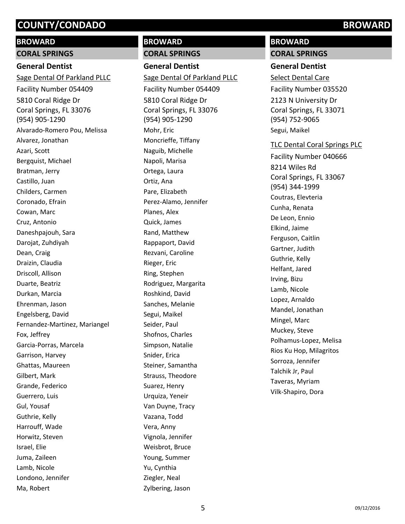# **BROWARD**

# **CORAL SPRINGS**

# **General Dentist**

5810 Coral Ridge Dr Coral Springs, FL 33076 (954) 905-1290 Sage Dental Of Parkland PLLC Facility Number 054409 Alvarado-Romero Pou, Melissa Alvarez, Jonathan Azari, Scott Bergquist, Michael Bratman, Jerry Castillo, Juan Childers, Carmen Coronado, Efrain Cowan, Marc Cruz, Antonio Daneshpajouh, Sara Darojat, Zuhdiyah Dean, Craig Draizin, Claudia Driscoll, Allison Duarte, Beatriz Durkan, Marcia Ehrenman, Jason Engelsberg, David Fernandez-Martinez, Mariangel Fox, Jeffrey Garcia-Porras, Marcela Garrison, Harvey Ghattas, Maureen Gilbert, Mark Grande, Federico Guerrero, Luis Gul, Yousaf Guthrie, Kelly Harrouff, Wade Horwitz, Steven Israel, Elie Juma, Zaileen Lamb, Nicole Londono, Jennifer Ma, Robert

# **BROWARD**

### **CORAL SPRINGS**

**General Dentist** 5810 Coral Ridge Dr Coral Springs, FL 33076 (954) 905-1290 Sage Dental Of Parkland PLLC Facility Number 054409 Mohr, Eric Moncrieffe, Tiffany Naguib, Michelle Napoli, Marisa Ortega, Laura Ortiz, Ana Pare, Elizabeth Perez-Alamo, Jennifer Planes, Alex Quick, James Rand, Matthew Rappaport, David Rezvani, Caroline Rieger, Eric Ring, Stephen Rodriguez, Margarita Roshkind, David Sanches, Melanie Segui, Maikel Seider, Paul Shofnos, Charles Simpson, Natalie Snider, Erica Steiner, Samantha Strauss, Theodore Suarez, Henry Urquiza, Yeneir Van Duyne, Tracy Vazana, Todd Vera, Anny Vignola, Jennifer Weisbrot, Bruce Young, Summer Yu, Cynthia Ziegler, Neal Zylbering, Jason

# **BROWARD**

#### **CORAL SPRINGS**

### **General Dentist**

2123 N University Dr Coral Springs, FL 33071 (954) 752-9065 Select Dental Care Facility Number 035520 Segui, Maikel

#### TLC Dental Coral Springs PLC

8214 Wiles Rd Coral Springs, FL 33067 (954) 344-1999 Facility Number 040666 Coutras, Elevteria Cunha, Renata De Leon, Ennio Elkind, Jaime Ferguson, Caitlin Gartner, Judith Guthrie, Kelly Helfant, Jared Irving, Bizu Lamb, Nicole Lopez, Arnaldo Mandel, Jonathan Mingel, Marc Muckey, Steve Polhamus-Lopez, Melisa Rios Ku Hop, Milagritos Sorroza, Jennifer Talchik Jr, Paul Taveras, Myriam Vilk-Shapiro, Dora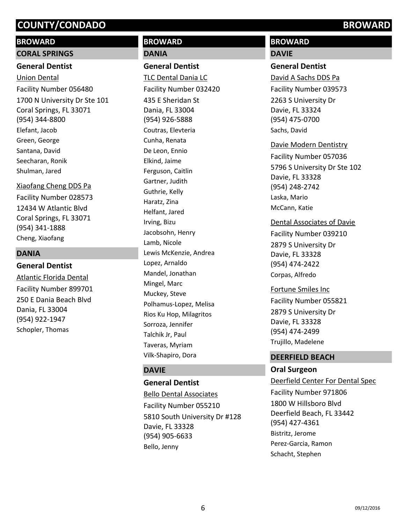## **BROWARD**

#### **CORAL SPRINGS**

#### **General Dentist**

1700 N University Dr Ste 101 Coral Springs, FL 33071 (954) 344-8800 Union Dental Facility Number 056480 Elefant, Jacob Green, George Santana, David Seecharan, Ronik Shulman, Jared

#### Xiaofang Cheng DDS Pa

12434 W Atlantic Blvd Coral Springs, FL 33071 (954) 341-1888 Facility Number 028573 Cheng, Xiaofang

#### **DANIA**

# **General Dentist** 250 E Dania Beach Blvd Atlantic Florida Dental Facility Number 899701

Dania, FL 33004 (954) 922-1947 Schopler, Thomas

# **BROWARD DANIA**

# **General Dentist**

435 E Sheridan St Dania, FL 33004 (954) 926-5888 TLC Dental Dania LC Facility Number 032420 Coutras, Elevteria Cunha, Renata De Leon, Ennio Elkind, Jaime Ferguson, Caitlin Gartner, Judith Guthrie, Kelly Haratz, Zina Helfant, Jared Irving, Bizu Jacobsohn, Henry Lamb, Nicole Lewis McKenzie, Andrea Lopez, Arnaldo Mandel, Jonathan Mingel, Marc Muckey, Steve Polhamus-Lopez, Melisa Rios Ku Hop, Milagritos Sorroza, Jennifer Talchik Jr, Paul Taveras, Myriam Vilk-Shapiro, Dora

## **DAVIE**

## **General Dentist**

5810 South University Dr #128 Davie, FL 33328 (954) 905-6633 Bello Dental Associates Facility Number 055210 Bello, Jenny

# **BROWARD**

# **DAVIE**

#### **General Dentist**

2263 S University Dr Davie, FL 33324 (954) 475-0700 David A Sachs DDS Pa Facility Number 039573 Sachs, David

#### Davie Modern Dentistry

5796 S University Dr Ste 102 Davie, FL 33328 (954) 248-2742 Facility Number 057036 Laska, Mario McCann, Katie

#### Dental Associates of Davie

2879 S University Dr Davie, FL 33328 (954) 474-2422 Facility Number 039210 Corpas, Alfredo

2879 S University Dr Davie, FL 33328 (954) 474-2499 Fortune Smiles Inc Facility Number 055821 Trujillo, Madelene

## **DEERFIELD BEACH**

# **Oral Surgeon**

1800 W Hillsboro Blvd Deerfield Beach, FL 33442 (954) 427-4361 Deerfield Center For Dental Spec Facility Number 971806 Bistritz, Jerome Perez-Garcia, Ramon Schacht, Stephen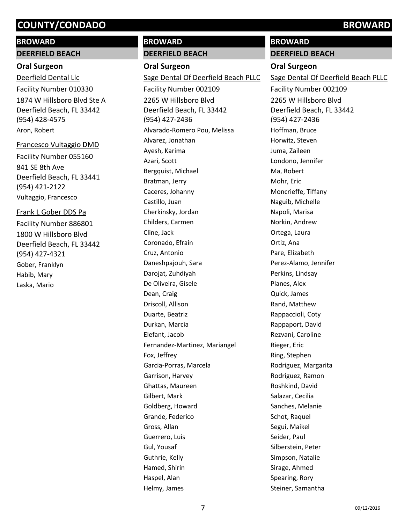#### **BROWARD**

#### **DEERFIELD BEACH**

### **Oral Surgeon**

1874 W Hillsboro Blvd Ste A Deerfield Beach, FL 33442 (954) 428-4575 Deerfield Dental Llc Facility Number 010330 Aron, Robert

#### Francesco Vultaggio DMD

841 SE 8th Ave Deerfield Beach, FL 33441 (954) 421-2122 Facility Number 055160 Vultaggio, Francesco

#### Frank L Gober DDS Pa

1800 W Hillsboro Blvd Deerfield Beach, FL 33442 (954) 427-4321 Facility Number 886801 Gober, Franklyn Habib, Mary Laska, Mario

# **BROWARD**

## **DEERFIELD BEACH**

**Oral Surgeon** 2265 W Hillsboro Blvd Deerfield Beach, FL 33442 (954) 427-2436 Sage Dental Of Deerfield Beach PLLC Facility Number 002109 Alvarado-Romero Pou, Melissa Alvarez, Jonathan Ayesh, Karima Azari, Scott Bergquist, Michael Bratman, Jerry Caceres, Johanny Castillo, Juan Cherkinsky, Jordan Childers, Carmen Cline, Jack Coronado, Efrain Cruz, Antonio Daneshpajouh, Sara Darojat, Zuhdiyah De Oliveira, Gisele Dean, Craig Driscoll, Allison Duarte, Beatriz Durkan, Marcia Elefant, Jacob Fernandez-Martinez, Mariangel Fox, Jeffrey Garcia-Porras, Marcela Garrison, Harvey Ghattas, Maureen Gilbert, Mark Goldberg, Howard Grande, Federico Gross, Allan Guerrero, Luis Gul, Yousaf Guthrie, Kelly Hamed, Shirin Haspel, Alan Helmy, James

# **DEERFIELD BEACH**

### **Oral Surgeon**

**BROWARD**

2265 W Hillsboro Blvd Deerfield Beach, FL 33442 (954) 427-2436 Sage Dental Of Deerfield Beach PLLC Facility Number 002109 Hoffman, Bruce Horwitz, Steven Juma, Zaileen Londono, Jennifer Ma, Robert Mohr, Eric Moncrieffe, Tiffany Naguib, Michelle Napoli, Marisa Norkin, Andrew Ortega, Laura Ortiz, Ana Pare, Elizabeth Perez-Alamo, Jennifer Perkins, Lindsay Planes, Alex Quick, James Rand, Matthew Rappaccioli, Coty Rappaport, David Rezvani, Caroline Rieger, Eric Ring, Stephen Rodriguez, Margarita Rodriguez, Ramon Roshkind, David Salazar, Cecilia Sanches, Melanie Schot, Raquel Segui, Maikel Seider, Paul Silberstein, Peter Simpson, Natalie Sirage, Ahmed Spearing, Rory Steiner, Samantha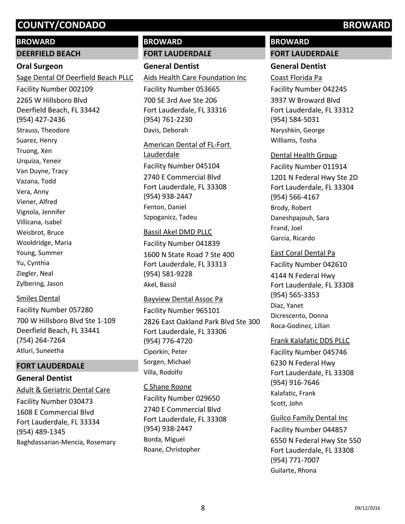#### **BROWARD**

#### **DEERFIELD BEACH**

#### **Oral Surgeon**

2265 W Hillsboro Blvd Deerfield Beach, FL 33442 (954) 427-2436 Sage Dental Of Deerfield Beach PLLC Facility Number 002109 Strauss, Theodore Suarez, Henry Truong, Xen Urquiza, Yeneir Van Duyne, Tracy Vazana, Todd Vera, Anny Viener, Alfred Vignola, Jennifer Villicana, Isabel Weisbrot, Bruce Wooldridge, Maria Young, Summer Yu, Cynthia Ziegler, Neal Zylbering, Jason

#### Smiles Dental

700 W Hillsboro Blvd Ste 1-109 Deerfield Beach, FL 33441 (754) 264-7264 Facility Number 057280 Atluri, Suneetha

## **FORT LAUDERDALE**

# **General Dentist**

1608 E Commercial Blvd Fort Lauderdale, FL 33334 (954) 489-1345 Adult & Geriatric Dental Care Facility Number 030473 Baghdassarian-Mencia, Rosemary

# **BROWARD**

#### **FORT LAUDERDALE**

## **General Dentist**

700 SE 3rd Ave Ste 206 Fort Lauderdale, FL 33316 (954) 761-2230 Aids Health Care Foundation Inc Facility Number 053665 Davis, Deborah

2740 E Commercial Blvd Fort Lauderdale, FL 33308 (954) 938-2447 American Dental of FL-Fort Lauderdale Facility Number 045104 Fenton, Daniel Szpoganicz, Tadeu

#### Bassil Akel DMD PLLC

1600 N State Road 7 Ste 400 Fort Lauderdale, FL 33313 (954) 581-9228 Facility Number 041839 Akel, Bassil

#### Bayview Dental Assoc Pa

2826 East Oakland Park Blvd Ste 300 Fort Lauderdale, FL 33306 (954) 776-4720 Facility Number 965101 Ciporkin, Peter Sorgen, Michael Villa, Rodolfo

2740 E Commercial Blvd Fort Lauderdale, FL 33308 (954) 938-2447 C Shane Roone Facility Number 029650 Borda, Miguel Roane, Christopher

# **BROWARD**

### **FORT LAUDERDALE**

## **General Dentist**

3937 W Broward Blvd Fort Lauderdale, FL 33312 (954) 584-5031 Coast Florida Pa Facility Number 042245 Naryshkin, George Williams, Tosha

#### Dental Health Group

1201 N Federal Hwy Ste 2D Fort Lauderdale, FL 33304 (954) 566-4167 Facility Number 011914 Brody, Robert Daneshpajouh, Sara Frand, Joel Garcia, Ricardo

#### East Coral Dental Pa

4144 N Federal Hwy Fort Lauderdale, FL 33308 (954) 565-3353 Facility Number 042610 Diaz, Yanet Dicrescento, Donna Roca-Godinez, Lilian

#### Frank Kalafatic DDS PLLC

6230 N Federal Hwy Fort Lauderdale, FL 33308 (954) 916-7646 Facility Number 045746 Kalafatic, Frank Scott, John

#### Guilco Family Dental Inc

6550 N Federal Hwy Ste 550 Fort Lauderdale, FL 33308 (954) 771-7007 Facility Number 044857 Guilarte, Rhona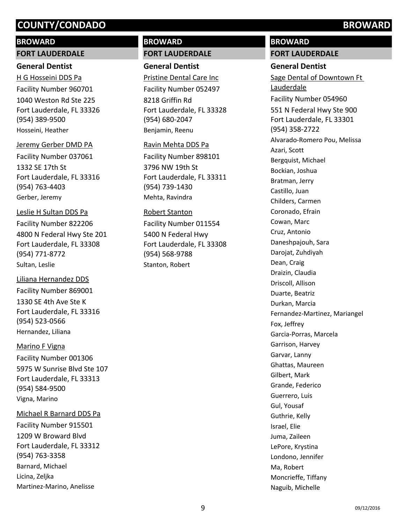### **BROWARD**

#### **FORT LAUDERDALE**

### **General Dentist**

1040 Weston Rd Ste 225 Fort Lauderdale, FL 33326 (954) 389-9500 H G Hosseini DDS Pa Facility Number 960701 Hosseini, Heather

#### Jeremy Gerber DMD PA

1332 SE 17th St Fort Lauderdale, FL 33316 (954) 763-4403 Facility Number 037061 Gerber, Jeremy

# Leslie H Sultan DDS Pa

4800 N Federal Hwy Ste 201 Fort Lauderdale, FL 33308 (954) 771-8772 Facility Number 822206 Sultan, Leslie

#### Liliana Hernandez DDS

1330 SE 4th Ave Ste K Fort Lauderdale, FL 33316 (954) 523-0566 Facility Number 869001 Hernandez, Liliana

#### Marino F Vigna

5975 W Sunrise Blvd Ste 107 Fort Lauderdale, FL 33313 (954) 584-9500 Facility Number 001306 Vigna, Marino

## Michael R Barnard DDS Pa

1209 W Broward Blvd Fort Lauderdale, FL 33312 (954) 763-3358 Facility Number 915501 Barnard, Michael Licina, Zeljka Martinez-Marino, Anelisse

# **BROWARD**

# **FORT LAUDERDALE**

# **General Dentist**

8218 Griffin Rd Fort Lauderdale, FL 33328 (954) 680-2047 Pristine Dental Care Inc Facility Number 052497 Benjamin, Reenu

#### Ravin Mehta DDS Pa

3796 NW 19th St Fort Lauderdale, FL 33311 (954) 739-1430 Facility Number 898101 Mehta, Ravindra

#### Robert Stanton

5400 N Federal Hwy Fort Lauderdale, FL 33308 (954) 568-9788 Facility Number 011554 Stanton, Robert

# **BROWARD**

**FORT LAUDERDALE**

### **General Dentist**

551 N Federal Hwy Ste 900 Fort Lauderdale, FL 33301 (954) 358-2722 Sage Dental of Downtown Ft Lauderdale Facility Number 054960 Alvarado-Romero Pou, Melissa Azari, Scott Bergquist, Michael Bockian, Joshua Bratman, Jerry Castillo, Juan Childers, Carmen Coronado, Efrain Cowan, Marc Cruz, Antonio Daneshpajouh, Sara Darojat, Zuhdiyah Dean, Craig Draizin, Claudia Driscoll, Allison Duarte, Beatriz Durkan, Marcia Fernandez-Martinez, Mariangel Fox, Jeffrey Garcia-Porras, Marcela Garrison, Harvey Garvar, Lanny Ghattas, Maureen Gilbert, Mark Grande, Federico Guerrero, Luis Gul, Yousaf Guthrie, Kelly Israel, Elie Juma, Zaileen LePore, Krystina Londono, Jennifer Ma, Robert Moncrieffe, Tiffany Naguib, Michelle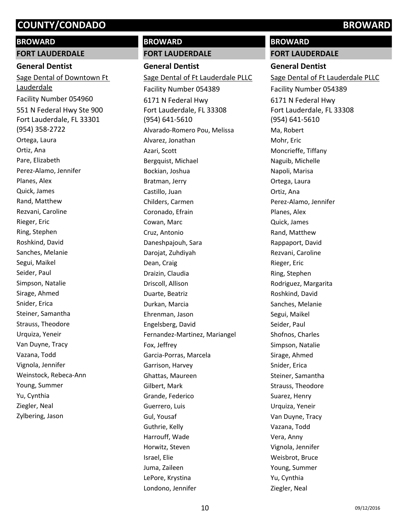#### **BROWARD**

#### **FORT LAUDERDALE**

### **General Dentist**

551 N Federal Hwy Ste 900 Fort Lauderdale, FL 33301 (954) 358-2722 Sage Dental of Downtown Ft Lauderdale Facility Number 054960 Ortega, Laura Ortiz, Ana Pare, Elizabeth Perez-Alamo, Jennifer Planes, Alex Quick, James Rand, Matthew Rezvani, Caroline Rieger, Eric Ring, Stephen Roshkind, David Sanches, Melanie Segui, Maikel Seider, Paul Simpson, Natalie Sirage, Ahmed Snider, Erica Steiner, Samantha Strauss, Theodore Urquiza, Yeneir Van Duyne, Tracy Vazana, Todd Vignola, Jennifer Weinstock, Rebeca-Ann Young, Summer Yu, Cynthia Ziegler, Neal Zylbering, Jason

# **BROWARD**

# **FORT LAUDERDALE**

**General Dentist** 6171 N Federal Hwy Fort Lauderdale, FL 33308 (954) 641-5610 Sage Dental of Ft Lauderdale PLLC Facility Number 054389 Alvarado-Romero Pou, Melissa Alvarez, Jonathan Azari, Scott Bergquist, Michael Bockian, Joshua Bratman, Jerry Castillo, Juan Childers, Carmen Coronado, Efrain Cowan, Marc Cruz, Antonio Daneshpajouh, Sara Darojat, Zuhdiyah Dean, Craig Draizin, Claudia Driscoll, Allison Duarte, Beatriz Durkan, Marcia Ehrenman, Jason Engelsberg, David Fernandez-Martinez, Mariangel Fox, Jeffrey Garcia-Porras, Marcela Garrison, Harvey Ghattas, Maureen Gilbert, Mark Grande, Federico Guerrero, Luis Gul, Yousaf Guthrie, Kelly Harrouff, Wade Horwitz, Steven Israel, Elie Juma, Zaileen LePore, Krystina Londono, Jennifer

# **BROWARD**

**FORT LAUDERDALE**

# **General Dentist**

6171 N Federal Hwy Fort Lauderdale, FL 33308 (954) 641-5610 Sage Dental of Ft Lauderdale PLLC Facility Number 054389 Ma, Robert Mohr, Eric Moncrieffe, Tiffany Naguib, Michelle Napoli, Marisa Ortega, Laura Ortiz, Ana Perez-Alamo, Jennifer Planes, Alex Quick, James Rand, Matthew Rappaport, David Rezvani, Caroline Rieger, Eric Ring, Stephen Rodriguez, Margarita Roshkind, David Sanches, Melanie Segui, Maikel Seider, Paul Shofnos, Charles Simpson, Natalie Sirage, Ahmed Snider, Erica Steiner, Samantha Strauss, Theodore Suarez, Henry Urquiza, Yeneir Van Duyne, Tracy Vazana, Todd Vera, Anny Vignola, Jennifer Weisbrot, Bruce Young, Summer Yu, Cynthia Ziegler, Neal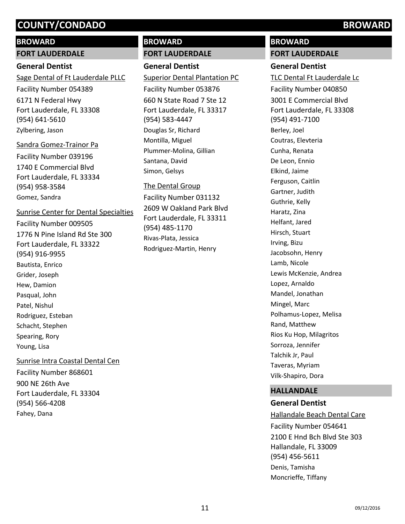#### **BROWARD**

#### **FORT LAUDERDALE**

## **General Dentist**

6171 N Federal Hwy Fort Lauderdale, FL 33308 (954) 641-5610 Sage Dental of Ft Lauderdale PLLC Facility Number 054389 Zylbering, Jason

#### Sandra Gomez-Trainor Pa

1740 E Commercial Blvd Fort Lauderdale, FL 33334 (954) 958-3584 Facility Number 039196 Gomez, Sandra

#### Sunrise Center for Dental Specialties

1776 N Pine Island Rd Ste 300 Fort Lauderdale, FL 33322 (954) 916-9955 Facility Number 009505 Bautista, Enrico Grider, Joseph Hew, Damion Pasqual, John Patel, Nishul Rodriguez, Esteban Schacht, Stephen Spearing, Rory Young, Lisa Sunrise Intra Coastal Dental Cen

900 NE 26th Ave Fort Lauderdale, FL 33304 (954) 566-4208 Facility Number 868601 Fahey, Dana

# **BROWARD**

# **FORT LAUDERDALE**

# **General Dentist**

660 N State Road 7 Ste 12 Fort Lauderdale, FL 33317 (954) 583-4447 Superior Dental Plantation PC Facility Number 053876 Douglas Sr, Richard Montilla, Miguel Plummer-Molina, Gillian Santana, David Simon, Gelsys

# The Dental Group

2609 W Oakland Park Blvd Fort Lauderdale, FL 33311 (954) 485-1170 Facility Number 031132 Rivas-Plata, Jessica Rodriguez-Martin, Henry

# **BROWARD**

#### **FORT LAUDERDALE**

## **General Dentist**

3001 E Commercial Blvd Fort Lauderdale, FL 33308 (954) 491-7100 TLC Dental Ft Lauderdale Lc Facility Number 040850 Berley, Joel Coutras, Elevteria Cunha, Renata De Leon, Ennio Elkind, Jaime Ferguson, Caitlin Gartner, Judith Guthrie, Kelly Haratz, Zina Helfant, Jared Hirsch, Stuart Irving, Bizu Jacobsohn, Henry Lamb, Nicole Lewis McKenzie, Andrea Lopez, Arnaldo Mandel, Jonathan Mingel, Marc Polhamus-Lopez, Melisa Rand, Matthew Rios Ku Hop, Milagritos Sorroza, Jennifer Talchik Jr, Paul Taveras, Myriam Vilk-Shapiro, Dora

#### **HALLANDALE**

# **General Dentist**

2100 E Hnd Bch Blvd Ste 303 Hallandale, FL 33009 (954) 456-5611 Hallandale Beach Dental Care Facility Number 054641 Denis, Tamisha Moncrieffe, Tiffany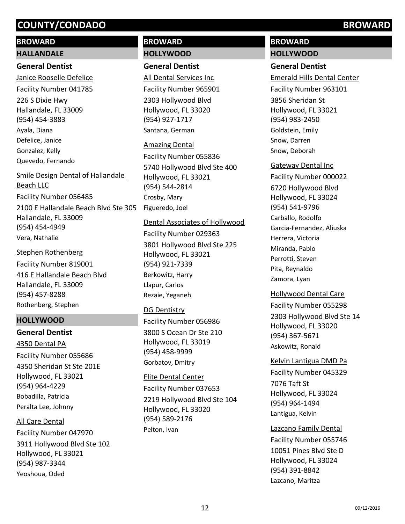# **BROWARD**

#### **HALLANDALE**

## **General Dentist**

226 S Dixie Hwy Hallandale, FL 33009 (954) 454-3883 Janice Rooselle Defelice Facility Number 041785 Ayala, Diana Defelice, Janice Gonzalez, Kelly Quevedo, Fernando

# 2100 E Hallandale Beach Blvd Ste 305 Hallandale, FL 33009 (954) 454-4949 Smile Design Dental of Hallandale Beach LLC Facility Number 056485 Vera, Nathalie

416 E Hallandale Beach Blvd Hallandale, FL 33009 (954) 457-8288 Stephen Rothenberg Facility Number 819001 Rothenberg, Stephen

# **HOLLYWOOD**

# **General Dentist** 4350 Sheridan St Ste 201E Hollywood, FL 33021 (954) 964-4229 4350 Dental PA Facility Number 055686 Bobadilla, Patricia Peralta Lee, Johnny

3911 Hollywood Blvd Ste 102 Hollywood, FL 33021 (954) 987-3344 All Care Dental Facility Number 047970 Yeoshoua, Oded

# **BROWARD HOLLYWOOD**

# **General Dentist**

2303 Hollywood Blvd Hollywood, FL 33020 (954) 927-1717 All Dental Services Inc Facility Number 965901 Santana, German

## Amazing Dental

5740 Hollywood Blvd Ste 400 Hollywood, FL 33021 (954) 544-2814 Facility Number 055836 Crosby, Mary Figueredo, Joel

#### Dental Associates of Hollywood

3801 Hollywood Blvd Ste 225 Hollywood, FL 33021 (954) 921-7339 Facility Number 029363 Berkowitz, Harry Llapur, Carlos Rezaie, Yeganeh

# DG Dentistry

3800 S Ocean Dr Ste 210 Hollywood, FL 33019 (954) 458-9999 Facility Number 056986 Gorbatov, Dmitry

#### Elite Dental Center

2219 Hollywood Blvd Ste 104 Hollywood, FL 33020 (954) 589-2176 Facility Number 037653 Pelton, Ivan

# **BROWARD**

# **HOLLYWOOD**

# **General Dentist**

3856 Sheridan St Hollywood, FL 33021 (954) 983-2450 Emerald Hills Dental Center Facility Number 963101 Goldstein, Emily Snow, Darren Snow, Deborah

# Gateway Dental Inc

6720 Hollywood Blvd Hollywood, FL 33024 (954) 541-9796 Facility Number 000022 Carballo, Rodolfo Garcia-Fernandez, Aliuska Herrera, Victoria Miranda, Pablo Perrotti, Steven Pita, Reynaldo Zamora, Lyan

## Hollywood Dental Care

2303 Hollywood Blvd Ste 14 Hollywood, FL 33020 (954) 367-5671 Facility Number 055298 Askowitz, Ronald

# Kelvin Lantigua DMD Pa

7076 Taft St Hollywood, FL 33024 (954) 964-1494 Facility Number 045329 Lantigua, Kelvin

## Lazcano Family Dental

10051 Pines Blvd Ste D Hollywood, FL 33024 (954) 391-8842 Facility Number 055746 Lazcano, Maritza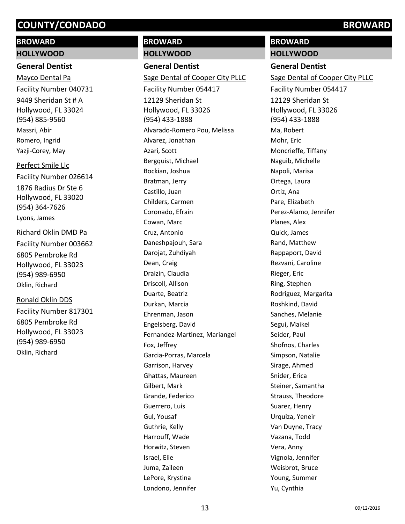# **BROWARD**

### **HOLLYWOOD**

# **General Dentist**

9449 Sheridan St # A Hollywood, FL 33024 (954) 885-9560 Mayco Dental Pa Facility Number 040731 Massri, Abir Romero, Ingrid Yazji-Corey, May

# Perfect Smile Llc

1876 Radius Dr Ste 6 Hollywood, FL 33020 (954) 364-7626 Facility Number 026614 Lyons, James

## Richard Oklin DMD Pa

6805 Pembroke Rd Hollywood, FL 33023 (954) 989-6950 Facility Number 003662 Oklin, Richard

## Ronald Oklin DDS

6805 Pembroke Rd Hollywood, FL 33023 (954) 989-6950 Facility Number 817301 Oklin, Richard

# **BROWARD**

# **HOLLYWOOD**

**General Dentist** 12129 Sheridan St Hollywood, FL 33026 (954) 433-1888 Sage Dental of Cooper City PLLC Facility Number 054417 Alvarado-Romero Pou, Melissa Alvarez, Jonathan Azari, Scott Bergquist, Michael Bockian, Joshua Bratman, Jerry Castillo, Juan Childers, Carmen Coronado, Efrain Cowan, Marc Cruz, Antonio Daneshpajouh, Sara Darojat, Zuhdiyah Dean, Craig Draizin, Claudia Driscoll, Allison Duarte, Beatriz Durkan, Marcia Ehrenman, Jason Engelsberg, David Fernandez-Martinez, Mariangel Fox, Jeffrey Garcia-Porras, Marcela Garrison, Harvey Ghattas, Maureen Gilbert, Mark Grande, Federico Guerrero, Luis Gul, Yousaf Guthrie, Kelly Harrouff, Wade Horwitz, Steven Israel, Elie Juma, Zaileen LePore, Krystina Londono, Jennifer

# **BROWARD**

**HOLLYWOOD**

# **General Dentist**

12129 Sheridan St Hollywood, FL 33026 (954) 433-1888 Sage Dental of Cooper City PLLC Facility Number 054417 Ma, Robert Mohr, Eric Moncrieffe, Tiffany Naguib, Michelle Napoli, Marisa Ortega, Laura Ortiz, Ana Pare, Elizabeth Perez-Alamo, Jennifer Planes, Alex Quick, James Rand, Matthew Rappaport, David Rezvani, Caroline Rieger, Eric Ring, Stephen Rodriguez, Margarita Roshkind, David Sanches, Melanie Segui, Maikel Seider, Paul Shofnos, Charles Simpson, Natalie Sirage, Ahmed Snider, Erica Steiner, Samantha Strauss, Theodore Suarez, Henry Urquiza, Yeneir Van Duyne, Tracy Vazana, Todd Vera, Anny Vignola, Jennifer Weisbrot, Bruce Young, Summer Yu, Cynthia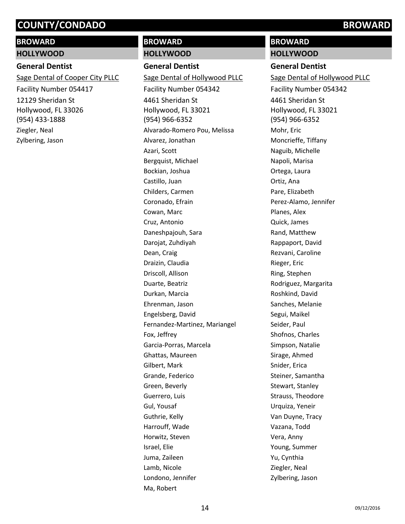# **BROWARD**

#### **HOLLYWOOD**

#### **General Dentist**

12129 Sheridan St Hollywood, FL 33026 (954) 433-1888 Sage Dental of Cooper City PLLC Facility Number 054417 Ziegler, Neal Zylbering, Jason

# **BROWARD**

#### **HOLLYWOOD**

**General Dentist**

4461 Sheridan St Hollywood, FL 33021 (954) 966-6352 Sage Dental of Hollywood PLLC Facility Number 054342 Alvarado-Romero Pou, Melissa Alvarez, Jonathan Azari, Scott Bergquist, Michael Bockian, Joshua Castillo, Juan Childers, Carmen Coronado, Efrain Cowan, Marc Cruz, Antonio Daneshpajouh, Sara Darojat, Zuhdiyah Dean, Craig Draizin, Claudia Driscoll, Allison Duarte, Beatriz Durkan, Marcia Ehrenman, Jason Engelsberg, David Fernandez-Martinez, Mariangel Fox, Jeffrey Garcia-Porras, Marcela Ghattas, Maureen Gilbert, Mark Grande, Federico Green, Beverly Guerrero, Luis Gul, Yousaf Guthrie, Kelly Harrouff, Wade Horwitz, Steven Israel, Elie Juma, Zaileen Lamb, Nicole Londono, Jennifer Ma, Robert

**BROWARD HOLLYWOOD**

#### **General Dentist**

4461 Sheridan St Hollywood, FL 33021 (954) 966-6352 Sage Dental of Hollywood PLLC Facility Number 054342 Mohr, Eric Moncrieffe, Tiffany Naguib, Michelle Napoli, Marisa Ortega, Laura Ortiz, Ana Pare, Elizabeth Perez-Alamo, Jennifer Planes, Alex Quick, James Rand, Matthew Rappaport, David Rezvani, Caroline Rieger, Eric Ring, Stephen Rodriguez, Margarita Roshkind, David Sanches, Melanie Segui, Maikel Seider, Paul Shofnos, Charles Simpson, Natalie Sirage, Ahmed Snider, Erica Steiner, Samantha Stewart, Stanley Strauss, Theodore Urquiza, Yeneir Van Duyne, Tracy Vazana, Todd Vera, Anny Young, Summer Yu, Cynthia Ziegler, Neal Zylbering, Jason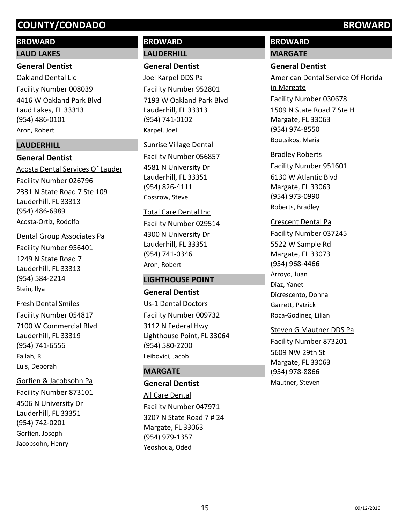# **BROWARD**

## **LAUD LAKES**

# **General Dentist**

4416 W Oakland Park Blvd Laud Lakes, FL 33313 (954) 486-0101 Oakland Dental Llc Facility Number 008039 Aron, Robert

# **LAUDERHILL**

# **General Dentist**

2331 N State Road 7 Ste 109 Lauderhill, FL 33313 (954) 486-6989 Acosta Dental Services Of Lauder Facility Number 026796 Acosta-Ortiz, Rodolfo

# Dental Group Associates Pa

1249 N State Road 7 Lauderhill, FL 33313 (954) 584-2214 Facility Number 956401 Stein, Ilya

# Fresh Dental Smiles

7100 W Commercial Blvd Lauderhill, FL 33319 (954) 741-6556 Facility Number 054817 Fallah, R Luis, Deborah

4506 N University Dr Lauderhill, FL 33351 (954) 742-0201 Gorfien & Jacobsohn Pa Facility Number 873101 Gorfien, Joseph Jacobsohn, Henry

# **BROWARD LAUDERHILL**

# **General Dentist**

7193 W Oakland Park Blvd Lauderhill, FL 33313 (954) 741-0102 Joel Karpel DDS Pa Facility Number 952801 Karpel, Joel

## Sunrise Village Dental

4581 N University Dr Lauderhill, FL 33351 (954) 826-4111 Facility Number 056857 Cossrow, Steve

# Total Care Dental Inc Facility Number 029514

4300 N University Dr Lauderhill, FL 33351 (954) 741-0346 Aron, Robert

# **LIGHTHOUSE POINT**

**General Dentist** 3112 N Federal Hwy Lighthouse Point, FL 33064 (954) 580-2200 Us-1 Dental Doctors Facility Number 009732

# Leibovici, Jacob

# **MARGATE**

# **General Dentist**

3207 N State Road 7 # 24 Margate, FL 33063 (954) 979-1357 All Care Dental Facility Number 047971 Yeoshoua, Oded

# **BROWARD**

**MARGATE**

# **General Dentist**

1509 N State Road 7 Ste H Margate, FL 33063 (954) 974-8550 American Dental Service Of Florida in Margate Facility Number 030678 Boutsikos, Maria

6130 W Atlantic Blvd Margate, FL 33063 (954) 973-0990 Bradley Roberts Facility Number 951601 Roberts, Bradley

# Crescent Dental Pa

5522 W Sample Rd Margate, FL 33073 (954) 968-4466 Facility Number 037245 Arroyo, Juan Diaz, Yanet Dicrescento, Donna Garrett, Patrick Roca-Godinez, Lilian

# Steven G Mautner DDS Pa

5609 NW 29th St Margate, FL 33063 (954) 978-8866 Facility Number 873201 Mautner, Steven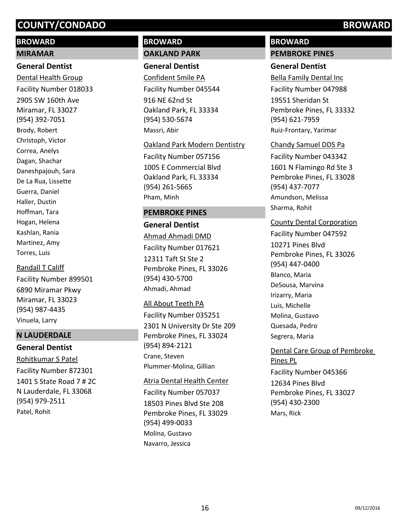# **BROWARD**

# **MIRAMAR**

# **General Dentist**

2905 SW 160th Ave Miramar, FL 33027 (954) 392-7051 Dental Health Group Facility Number 018033 Brody, Robert Christoph, Victor Correa, Anelys Dagan, Shachar Daneshpajouh, Sara De La Rua, Lissette Guerra, Daniel Haller, Dustin Hoffman, Tara Hogan, Helena Kashlan, Rania Martinez, Amy Torres, Luis

Randall T Califf

6890 Miramar Pkwy Miramar, FL 33023 (954) 987-4435 Facility Number 899501 Vinuela, Larry

# **N LAUDERDALE**

# **General Dentist** 1401 S State Road 7 # 2C N Lauderdale, FL 33068 (954) 979-2511 Rohitkumar S Patel Facility Number 872301 Patel, Rohit

# **BROWARD**

#### **OAKLAND PARK**

### **General Dentist**

916 NE 62nd St Oakland Park, FL 33334 (954) 530-5674 Confident Smile PA Facility Number 045544 Massri, Abir

#### Oakland Park Modern Dentistry

1005 E Commercial Blvd Oakland Park, FL 33334 (954) 261-5665 Facility Number 057156 Pham, Minh

# **PEMBROKE PINES**

**General Dentist** 12311 Taft St Ste 2 Pembroke Pines, FL 33026 (954) 430-5700 Ahmad Ahmadi DMD Facility Number 017621 Ahmadi, Ahmad

#### All About Teeth PA

2301 N University Dr Ste 209 Pembroke Pines, FL 33024 (954) 894-2121 Facility Number 035251 Crane, Steven Plummer-Molina, Gillian

#### Atria Dental Health Center

18503 Pines Blvd Ste 208 Pembroke Pines, FL 33029 (954) 499-0033 Facility Number 057037 Molina, Gustavo Navarro, Jessica

# **BROWARD**

### **PEMBROKE PINES**

## **General Dentist**

19551 Sheridan St Pembroke Pines, FL 33332 (954) 621-7959 Bella Family Dental Inc Facility Number 047988 Ruiz-Frontary, Yarimar

#### Chandy Samuel DDS Pa

1601 N Flamingo Rd Ste 3 Pembroke Pines, FL 33028 (954) 437-7077 Facility Number 043342 Amundson, Melissa Sharma, Rohit

## County Dental Corporation

10271 Pines Blvd Pembroke Pines, FL 33026 (954) 447-0400 Facility Number 047592 Blanco, Maria DeSousa, Marvina Irizarry, Maria Luis, Michelle Molina, Gustavo Quesada, Pedro Segrera, Maria

12634 Pines Blvd Pembroke Pines, FL 33027 (954) 430-2300 Dental Care Group of Pembroke Pines PL Facility Number 045366 Mars, Rick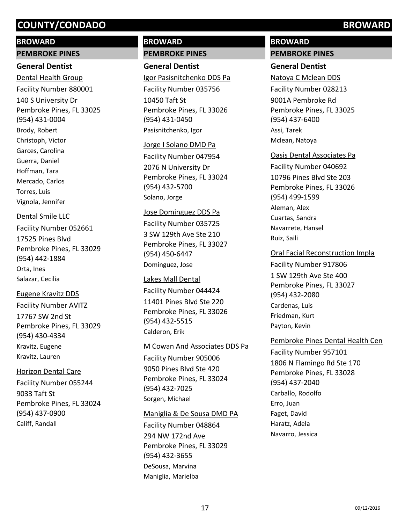## **BROWARD**

#### **PEMBROKE PINES**

### **General Dentist**

140 S University Dr Pembroke Pines, FL 33025 (954) 431-0004 Dental Health Group Facility Number 880001 Brody, Robert Christoph, Victor Garces, Carolina Guerra, Daniel Hoffman, Tara Mercado, Carlos Torres, Luis Vignola, Jennifer

#### Dental Smile LLC

17525 Pines Blvd Pembroke Pines, FL 33029 (954) 442-1884 Facility Number 052661 Orta, Ines Salazar, Cecilia

17767 SW 2nd St Pembroke Pines, FL 33029 (954) 430-4334 Eugene Kravitz DDS Facility Number AVITZ Kravitz, Eugene Kravitz, Lauren

#### Horizon Dental Care

9033 Taft St Pembroke Pines, FL 33024 (954) 437-0900 Facility Number 055244 Califf, Randall

# **BROWARD**

# **PEMBROKE PINES**

# **General Dentist**

10450 Taft St Pembroke Pines, FL 33026 (954) 431-0450 Igor Pasisnitchenko DDS Pa Facility Number 035756 Pasisnitchenko, Igor

#### Jorge I Solano DMD Pa

2076 N University Dr Pembroke Pines, FL 33024 (954) 432-5700 Facility Number 047954 Solano, Jorge

#### Jose Dominguez DDS Pa

3 SW 129th Ave Ste 210 Pembroke Pines, FL 33027 (954) 450-6447 Facility Number 035725 Dominguez, Jose

#### Lakes Mall Dental

11401 Pines Blvd Ste 220 Pembroke Pines, FL 33026 (954) 432-5515 Facility Number 044424 Calderon, Erik

#### M Cowan And Associates DDS Pa

9050 Pines Blvd Ste 420 Pembroke Pines, FL 33024 (954) 432-7025 Facility Number 905006 Sorgen, Michael

#### Maniglia & De Sousa DMD PA

294 NW 172nd Ave Pembroke Pines, FL 33029 (954) 432-3655 Facility Number 048864 DeSousa, Marvina Maniglia, Marielba

# **BROWARD**

### **PEMBROKE PINES**

### **General Dentist**

9001A Pembroke Rd Pembroke Pines, FL 33025 (954) 437-6400 Natoya C Mclean DDS Facility Number 028213 Assi, Tarek Mclean, Natoya

#### Oasis Dental Associates Pa

10796 Pines Blvd Ste 203 Pembroke Pines, FL 33026 (954) 499-1599 Facility Number 040692 Aleman, Alex Cuartas, Sandra Navarrete, Hansel Ruiz, Saili

#### Oral Facial Reconstruction Impla

1 SW 129th Ave Ste 400 Pembroke Pines, FL 33027 (954) 432-2080 Facility Number 917806 Cardenas, Luis Friedman, Kurt Payton, Kevin

#### Pembroke Pines Dental Health Cen

1806 N Flamingo Rd Ste 170 Pembroke Pines, FL 33028 (954) 437-2040 Facility Number 957101 Carballo, Rodolfo Erro, Juan Faget, David Haratz, Adela Navarro, Jessica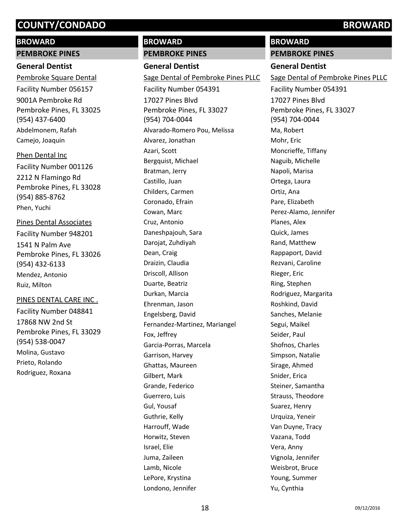# **BROWARD**

# **PEMBROKE PINES**

# **General Dentist**

9001A Pembroke Rd Pembroke Pines, FL 33025 (954) 437-6400 Pembroke Square Dental Facility Number 056157 Abdelmonem, Rafah Camejo, Joaquin

# Phen Dental Inc

2212 N Flamingo Rd Pembroke Pines, FL 33028 (954) 885-8762 Facility Number 001126 Phen, Yuchi

# Pines Dental Associates

1541 N Palm Ave Pembroke Pines, FL 33026 (954) 432-6133 Facility Number 948201 Mendez, Antonio Ruiz, Milton

# PINES DENTAL CARE INC .

17868 NW 2nd St Pembroke Pines, FL 33029 (954) 538-0047 Facility Number 048841 Molina, Gustavo Prieto, Rolando Rodriguez, Roxana

# **BROWARD**

## **PEMBROKE PINES**

**General Dentist** 17027 Pines Blvd Pembroke Pines, FL 33027 (954) 704-0044 Sage Dental of Pembroke Pines PLLC Facility Number 054391 Alvarado-Romero Pou, Melissa Alvarez, Jonathan Azari, Scott Bergquist, Michael Bratman, Jerry Castillo, Juan Childers, Carmen Coronado, Efrain Cowan, Marc Cruz, Antonio Daneshpajouh, Sara Darojat, Zuhdiyah Dean, Craig Draizin, Claudia Driscoll, Allison Duarte, Beatriz Durkan, Marcia Ehrenman, Jason Engelsberg, David Fernandez-Martinez, Mariangel Fox, Jeffrey Garcia-Porras, Marcela Garrison, Harvey Ghattas, Maureen Gilbert, Mark Grande, Federico Guerrero, Luis Gul, Yousaf Guthrie, Kelly Harrouff, Wade Horwitz, Steven Israel, Elie Juma, Zaileen Lamb, Nicole LePore, Krystina Londono, Jennifer

# **BROWARD**

**PEMBROKE PINES**

## **General Dentist**

17027 Pines Blvd Pembroke Pines, FL 33027 (954) 704-0044 Sage Dental of Pembroke Pines PLLC Facility Number 054391 Ma, Robert Mohr, Eric Moncrieffe, Tiffany Naguib, Michelle Napoli, Marisa Ortega, Laura Ortiz, Ana Pare, Elizabeth Perez-Alamo, Jennifer Planes, Alex Quick, James Rand, Matthew Rappaport, David Rezvani, Caroline Rieger, Eric Ring, Stephen Rodriguez, Margarita Roshkind, David Sanches, Melanie Segui, Maikel Seider, Paul Shofnos, Charles Simpson, Natalie Sirage, Ahmed Snider, Erica Steiner, Samantha Strauss, Theodore Suarez, Henry Urquiza, Yeneir Van Duyne, Tracy Vazana, Todd Vera, Anny Vignola, Jennifer Weisbrot, Bruce Young, Summer Yu, Cynthia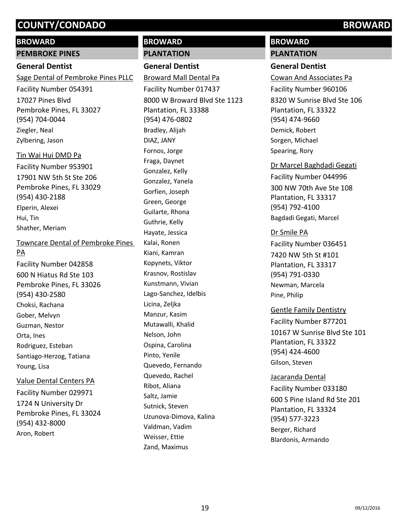### **BROWARD**

#### **PEMBROKE PINES**

## **General Dentist**

17027 Pines Blvd Pembroke Pines, FL 33027 (954) 704-0044 Sage Dental of Pembroke Pines PLLC Facility Number 054391 Ziegler, Neal Zylbering, Jason

17901 NW 5th St Ste 206 Pembroke Pines, FL 33029 (954) 430-2188 Tin Wai Hui DMD Pa Facility Number 953901 Elperin, Alexei Hui, Tin Shather, Meriam

# Towncare Dental of Pembroke Pines PA

600 N Hiatus Rd Ste 103 Pembroke Pines, FL 33026 (954) 430-2580 Facility Number 042858 Choksi, Rachana Gober, Melvyn Guzman, Nestor Orta, Ines Rodriguez, Esteban Santiago-Herzog, Tatiana Young, Lisa

# 1724 N University Dr Pembroke Pines, FL 33024 (954) 432-8000 Value Dental Centers PA Facility Number 029971 Aron, Robert

# **BROWARD**

# **PLANTATION**

### **General Dentist**

8000 W Broward Blvd Ste 1123 Plantation, FL 33388 (954) 476-0802 Broward Mall Dental Pa Facility Number 017437 Bradley, Alijah DIAZ, JANY Fornos, Jorge Fraga, Daynet Gonzalez, Kelly Gonzalez, Yanela Gorfien, Joseph Green, George Guilarte, Rhona Guthrie, Kelly Hayate, Jessica Kalai, Ronen Kiani, Kamran Kopynets, Viktor Krasnov, Rostislav Kunstmann, Vivian Lago-Sanchez, Idelbis Licina, Zeljka Manzur, Kasim Mutawalli, Khalid Nelson, John Ospina, Carolina Pinto, Yenile Quevedo, Fernando Quevedo, Rachel Ribot, Aliana Saltz, Jamie Sutnick, Steven Uzunova-Dimova, Kalina Valdman, Vadim Weisser, Ettie Zand, Maximus

# **BROWARD**

#### **PLANTATION**

## **General Dentist**

8320 W Sunrise Blvd Ste 106 Plantation, FL 33322 (954) 474-9660 Cowan And Associates Pa Facility Number 960106 Demick, Robert Sorgen, Michael Spearing, Rory

300 NW 70th Ave Ste 108 Plantation, FL 33317 (954) 792-4100 Dr Marcel Baghdadi Gegati Facility Number 044996

Bagdadi Gegati, Marcel

#### Dr Smile PA

7420 NW 5th St #101 Plantation, FL 33317 (954) 791-0330 Facility Number 036451 Newman, Marcela Pine, Philip

## Gentle Family Dentistry

10167 W Sunrise Blvd Ste 101 Plantation, FL 33322 (954) 424-4600 Facility Number 877201 Gilson, Steven

# Jacaranda Dental Facility Number 033180

600 S Pine Island Rd Ste 201 Plantation, FL 33324 (954) 577-3223 Berger, Richard Blardonis, Armando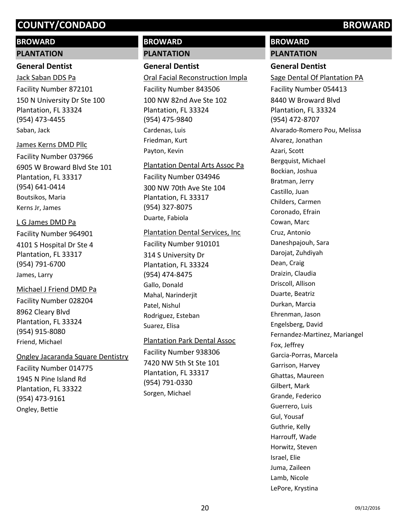# **BROWARD**

#### **PLANTATION**

### **General Dentist**

150 N University Dr Ste 100 Plantation, FL 33324 (954) 473-4455 Jack Saban DDS Pa Facility Number 872101 Saban, Jack

#### James Kerns DMD Pllc

6905 W Broward Blvd Ste 101 Plantation, FL 33317 (954) 641-0414 Facility Number 037966 Boutsikos, Maria Kerns Jr, James

## L G James DMD Pa

4101 S Hospital Dr Ste 4 Plantation, FL 33317 (954) 791-6700 Facility Number 964901 James, Larry

# 8962 Cleary Blvd Michael J Friend DMD Pa Facility Number 028204

Plantation, FL 33324 (954) 915-8080 Friend, Michael

## Ongley Jacaranda Square Dentistry

1945 N Pine Island Rd Plantation, FL 33322 (954) 473-9161 Facility Number 014775 Ongley, Bettie

# **BROWARD**

## **PLANTATION**

## **General Dentist**

100 NW 82nd Ave Ste 102 Plantation, FL 33324 (954) 475-9840 Oral Facial Reconstruction Impla Facility Number 843506 Cardenas, Luis Friedman, Kurt Payton, Kevin

# Plantation Dental Arts Assoc Pa Facility Number 034946

300 NW 70th Ave Ste 104 Plantation, FL 33317 (954) 327-8075 Duarte, Fabiola

#### Plantation Dental Services, Inc

314 S University Dr Plantation, FL 33324 (954) 474-8475 Facility Number 910101 Gallo, Donald Mahal, Narinderjit Patel, Nishul Rodriguez, Esteban Suarez, Elisa

## Plantation Park Dental Assoc

7420 NW 5th St Ste 101 Plantation, FL 33317 (954) 791-0330 Facility Number 938306 Sorgen, Michael

# **BROWARD**

**PLANTATION**

# **General Dentist**

8440 W Broward Blvd Plantation, FL 33324 (954) 472-8707 Sage Dental Of Plantation PA Facility Number 054413 Alvarado-Romero Pou, Melissa Alvarez, Jonathan Azari, Scott Bergquist, Michael Bockian, Joshua Bratman, Jerry Castillo, Juan Childers, Carmen Coronado, Efrain Cowan, Marc Cruz, Antonio Daneshpajouh, Sara Darojat, Zuhdiyah Dean, Craig Draizin, Claudia Driscoll, Allison Duarte, Beatriz Durkan, Marcia Ehrenman, Jason Engelsberg, David Fernandez-Martinez, Mariangel Fox, Jeffrey Garcia-Porras, Marcela Garrison, Harvey Ghattas, Maureen Gilbert, Mark Grande, Federico Guerrero, Luis Gul, Yousaf Guthrie, Kelly Harrouff, Wade Horwitz, Steven Israel, Elie Juma, Zaileen Lamb, Nicole LePore, Krystina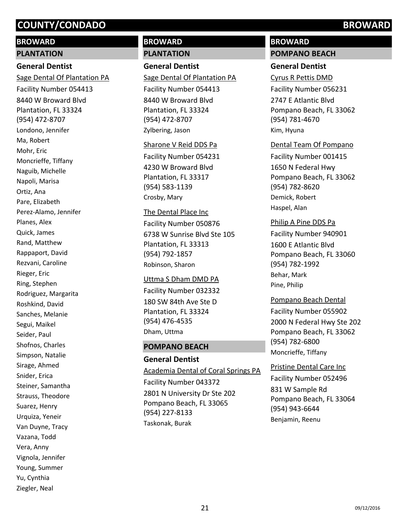# **BROWARD**

#### **PLANTATION**

## **General Dentist**

8440 W Broward Blvd Plantation, FL 33324 (954) 472-8707 Sage Dental Of Plantation PA Facility Number 054413 Londono, Jennifer Ma, Robert Mohr, Eric Moncrieffe, Tiffany Naguib, Michelle Napoli, Marisa Ortiz, Ana Pare, Elizabeth Perez-Alamo, Jennifer Planes, Alex Quick, James Rand, Matthew Rappaport, David Rezvani, Caroline Rieger, Eric Ring, Stephen Rodriguez, Margarita Roshkind, David Sanches, Melanie Segui, Maikel Seider, Paul Shofnos, Charles Simpson, Natalie Sirage, Ahmed Snider, Erica Steiner, Samantha Strauss, Theodore Suarez, Henry Urquiza, Yeneir Van Duyne, Tracy Vazana, Todd Vera, Anny Vignola, Jennifer Young, Summer Yu, Cynthia Ziegler, Neal

# **BROWARD**

### **PLANTATION**

### **General Dentist**

8440 W Broward Blvd Plantation, FL 33324 (954) 472-8707 Sage Dental Of Plantation PA Facility Number 054413 Zylbering, Jason

#### Sharone V Reid DDS Pa

4230 W Broward Blvd Plantation, FL 33317 (954) 583-1139 Facility Number 054231 Crosby, Mary

# 6738 W Sunrise Blvd Ste 105 Plantation, FL 33313 (954) 792-1857 The Dental Place Inc Facility Number 050876 Robinson, Sharon

#### Uttma S Dham DMD PA

180 SW 84th Ave Ste D Plantation, FL 33324 (954) 476-4535 Facility Number 032332 Dham, Uttma

#### **POMPANO BEACH**

#### **General Dentist**

2801 N University Dr Ste 202 Pompano Beach, FL 33065 (954) 227-8133 Academia Dental of Coral Springs PA Facility Number 043372 Taskonak, Burak

# **BROWARD**

#### **POMPANO BEACH**

## **General Dentist**

2747 E Atlantic Blvd Pompano Beach, FL 33062 (954) 781-4670 Cyrus R Pettis DMD Facility Number 056231 Kim, Hyuna

#### Dental Team Of Pompano

1650 N Federal Hwy Pompano Beach, FL 33062 (954) 782-8620 Facility Number 001415 Demick, Robert Haspel, Alan

#### Philip A Pine DDS Pa

1600 E Atlantic Blvd Pompano Beach, FL 33060 (954) 782-1992 Facility Number 940901 Behar, Mark Pine, Philip

#### Pompano Beach Dental

2000 N Federal Hwy Ste 202 Pompano Beach, FL 33062 (954) 782-6800 Facility Number 055902 Moncrieffe, Tiffany

#### Pristine Dental Care Inc

831 W Sample Rd Pompano Beach, FL 33064 (954) 943-6644 Facility Number 052496 Benjamin, Reenu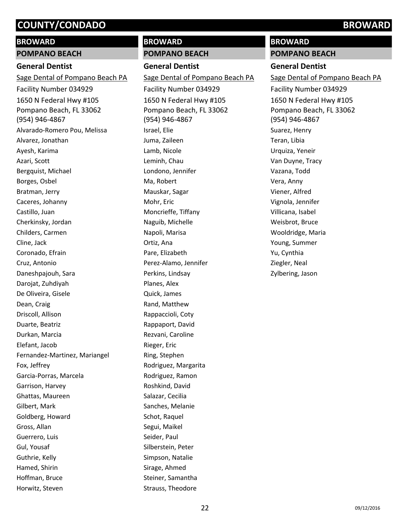# **BROWARD**

# **POMPANO BEACH**

# **General Dentist**

1650 N Federal Hwy #105 Pompano Beach, FL 33062 (954) 946-4867 Sage Dental of Pompano Beach PA Facility Number 034929 Alvarado-Romero Pou, Melissa Alvarez, Jonathan Ayesh, Karima Azari, Scott Bergquist, Michael Borges, Osbel Bratman, Jerry Caceres, Johanny Castillo, Juan Cherkinsky, Jordan Childers, Carmen Cline, Jack Coronado, Efrain Cruz, Antonio Daneshpajouh, Sara Darojat, Zuhdiyah De Oliveira, Gisele Dean, Craig Driscoll, Allison Duarte, Beatriz Durkan, Marcia Elefant, Jacob Fernandez-Martinez, Mariangel Fox, Jeffrey Garcia-Porras, Marcela Garrison, Harvey Ghattas, Maureen Gilbert, Mark Goldberg, Howard Gross, Allan Guerrero, Luis Gul, Yousaf Guthrie, Kelly Hamed, Shirin Hoffman, Bruce Horwitz, Steven

# **BROWARD**

### **POMPANO BEACH**

**General Dentist**

1650 N Federal Hwy #105 Pompano Beach, FL 33062 (954) 946-4867 Sage Dental of Pompano Beach PA Facility Number 034929 Israel, Elie Juma, Zaileen Lamb, Nicole Leminh, Chau Londono, Jennifer Ma, Robert Mauskar, Sagar Mohr, Eric Moncrieffe, Tiffany Naguib, Michelle Napoli, Marisa Ortiz, Ana Pare, Elizabeth Perez-Alamo, Jennifer Perkins, Lindsay Planes, Alex Quick, James Rand, Matthew Rappaccioli, Coty Rappaport, David Rezvani, Caroline Rieger, Eric Ring, Stephen Rodriguez, Margarita Rodriguez, Ramon Roshkind, David Salazar, Cecilia Sanches, Melanie Schot, Raquel Segui, Maikel Seider, Paul Silberstein, Peter Simpson, Natalie Sirage, Ahmed Steiner, Samantha Strauss, Theodore

### **BROWARD**

**POMPANO BEACH**

#### **General Dentist**

1650 N Federal Hwy #105 Pompano Beach, FL 33062 (954) 946-4867 Sage Dental of Pompano Beach PA Facility Number 034929 Suarez, Henry Teran, Libia Urquiza, Yeneir Van Duyne, Tracy Vazana, Todd Vera, Anny Viener, Alfred Vignola, Jennifer Villicana, Isabel Weisbrot, Bruce Wooldridge, Maria Young, Summer Yu, Cynthia Ziegler, Neal Zylbering, Jason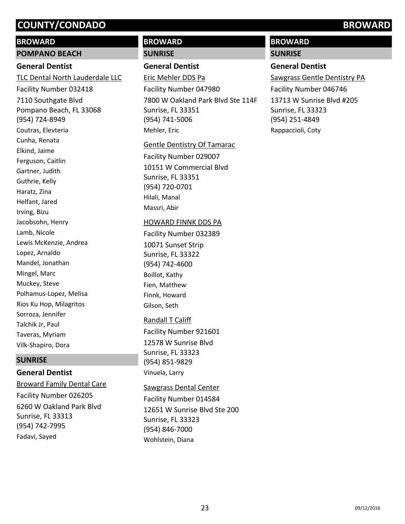### **BROWARD**

#### **POMPANO BEACH**

## **General Dentist**

7110 Southgate Blvd Pompano Beach, FL 33068 (954) 724-8949 TLC Dental North Lauderdale LLC Facility Number 032418 Coutras, Elevteria Cunha, Renata Elkind, Jaime Ferguson, Caitlin Gartner, Judith Guthrie, Kelly Haratz, Zina Helfant, Jared Irving, Bizu Jacobsohn, Henry Lamb, Nicole Lewis McKenzie, Andrea Lopez, Arnaldo Mandel, Jonathan Mingel, Marc Muckey, Steve Polhamus-Lopez, Melisa Rios Ku Hop, Milagritos Sorroza, Jennifer Talchik Jr, Paul Taveras, Myriam Vilk-Shapiro, Dora

#### **SUNRISE**

## **General Dentist**

6260 W Oakland Park Blvd Sunrise, FL 33313 (954) 742-7995 Broward Family Dental Care Facility Number 026205 Fadavi, Sayed

# **BROWARD**

### **SUNRISE**

## **General Dentist**

7800 W Oakland Park Blvd Ste 114F Sunrise, FL 33351 (954) 741-5006 Eric Mehler DDS Pa Facility Number 047980 Mehler, Eric

#### Gentle Dentistry Of Tamarac

10151 W Commercial Blvd Sunrise, FL 33351 (954) 720-0701 Facility Number 029007 Hilali, Manal Massri, Abir

#### HOWARD FINNK DDS PA

10071 Sunset Strip Sunrise, FL 33322 (954) 742-4600 Facility Number 032389 Boillot, Kathy Fien, Matthew Finnk, Howard Gilson, Seth

## Randall T Califf

12578 W Sunrise Blvd Sunrise, FL 33323 (954) 851-9829 Facility Number 921601 Vinuela, Larry

## Sawgrass Dental Center

12651 W Sunrise Blvd Ste 200 Sunrise, FL 33323 (954) 846-7000 Facility Number 014584 Wohlstein, Diana

# **BROWARD**

**SUNRISE**

## **General Dentist**

13713 W Sunrise Blvd #205 Sunrise, FL 33323 (954) 251-4849 Sawgrass Gentle Dentistry PA Facility Number 046746 Rappaccioli, Coty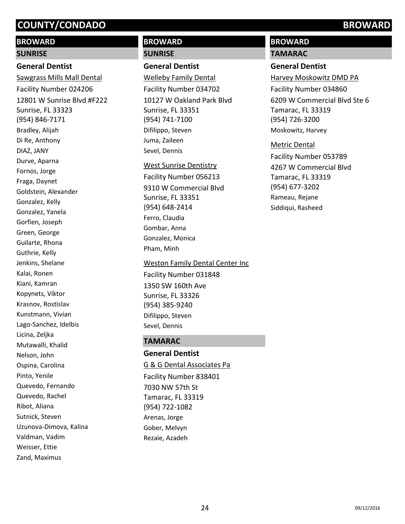# **BROWARD**

#### **SUNRISE**

#### **General Dentist**

12801 W Sunrise Blvd #F222 Sunrise, FL 33323 (954) 846-7171 Sawgrass Mills Mall Dental Facility Number 024206 Bradley, Alijah Di Re, Anthony DIAZ, JANY Durve, Aparna Fornos, Jorge Fraga, Daynet Goldstein, Alexander Gonzalez, Kelly Gonzalez, Yanela Gorfien, Joseph Green, George Guilarte, Rhona Guthrie, Kelly Jenkins, Shelane Kalai, Ronen Kiani, Kamran Kopynets, Viktor Krasnov, Rostislav Kunstmann, Vivian Lago-Sanchez, Idelbis Licina, Zeljka Mutawalli, Khalid Nelson, John Ospina, Carolina Pinto, Yenile Quevedo, Fernando Quevedo, Rachel Ribot, Aliana Sutnick, Steven Uzunova-Dimova, Kalina Valdman, Vadim Weisser, Ettie Zand, Maximus

# **BROWARD SUNRISE**

# **General Dentist**

10127 W Oakland Park Blvd Sunrise, FL 33351 (954) 741-7100 Welleby Family Dental Facility Number 034702 Difilippo, Steven Juma, Zaileen Sevel, Dennis

#### West Sunrise Dentistry

9310 W Commercial Blvd Sunrise, FL 33351 (954) 648-2414 Facility Number 056213 Ferro, Claudia Gombar, Anna Gonzalez, Monica Pham, Minh

1350 SW 160th Ave Sunrise, FL 33326 (954) 385-9240 Weston Family Dental Center Inc Facility Number 031848 Difilippo, Steven Sevel, Dennis

# **TAMARAC**

**General Dentist** 7030 NW 57th St Tamarac, FL 33319 (954) 722-1082 G & G Dental Associates Pa Facility Number 838401 Arenas, Jorge Gober, Melvyn Rezaie, Azadeh

# **BROWARD**

**TAMARAC**

# **General Dentist**

6209 W Commercial Blvd Ste 6 Tamarac, FL 33319 (954) 726-3200 Harvey Moskowitz DMD PA Facility Number 034860 Moskowitz, Harvey

#### Metric Dental

4267 W Commercial Blvd Tamarac, FL 33319 (954) 677-3202 Facility Number 053789 Rameau, Rejane Siddiqui, Rasheed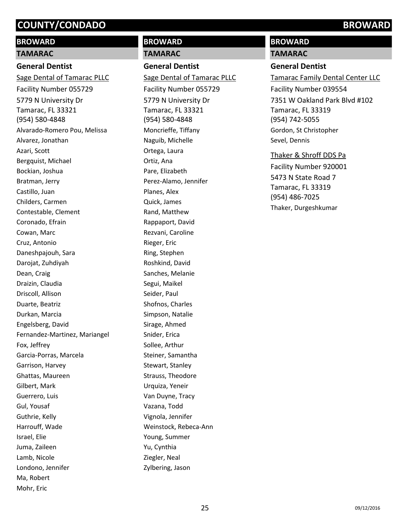# **BROWARD**

## **TAMARAC**

# **General Dentist**

5779 N University Dr Tamarac, FL 33321 (954) 580-4848 Sage Dental of Tamarac PLLC Facility Number 055729 Alvarado-Romero Pou, Melissa Alvarez, Jonathan Azari, Scott Bergquist, Michael Bockian, Joshua Bratman, Jerry Castillo, Juan Childers, Carmen Contestable, Clement Coronado, Efrain Cowan, Marc Cruz, Antonio Daneshpajouh, Sara Darojat, Zuhdiyah Dean, Craig Draizin, Claudia Driscoll, Allison Duarte, Beatriz Durkan, Marcia Engelsberg, David Fernandez-Martinez, Mariangel Fox, Jeffrey Garcia-Porras, Marcela Garrison, Harvey Ghattas, Maureen Gilbert, Mark Guerrero, Luis Gul, Yousaf Guthrie, Kelly Harrouff, Wade Israel, Elie Juma, Zaileen Lamb, Nicole Londono, Jennifer Ma, Robert Mohr, Eric

# **BROWARD TAMARAC**

# **General Dentist**

5779 N University Dr Tamarac, FL 33321 (954) 580-4848 Sage Dental of Tamarac PLLC Facility Number 055729 Moncrieffe, Tiffany Naguib, Michelle Ortega, Laura Ortiz, Ana Pare, Elizabeth Perez-Alamo, Jennifer Planes, Alex Quick, James Rand, Matthew Rappaport, David Rezvani, Caroline Rieger, Eric Ring, Stephen Roshkind, David Sanches, Melanie Segui, Maikel Seider, Paul Shofnos, Charles Simpson, Natalie Sirage, Ahmed Snider, Erica Sollee, Arthur Steiner, Samantha Stewart, Stanley Strauss, Theodore Urquiza, Yeneir Van Duyne, Tracy Vazana, Todd Vignola, Jennifer Weinstock, Rebeca-Ann Young, Summer Yu, Cynthia Ziegler, Neal Zylbering, Jason

# **BROWARD**

#### **TAMARAC**

# **General Dentist**

7351 W Oakland Park Blvd #102 Tamarac, FL 33319 (954) 742-5055 Tamarac Family Dental Center LLC Facility Number 039554 Gordon, St Christopher Sevel, Dennis

# Thaker & Shroff DDS Pa

5473 N State Road 7 Tamarac, FL 33319 (954) 486-7025 Facility Number 920001 Thaker, Durgeshkumar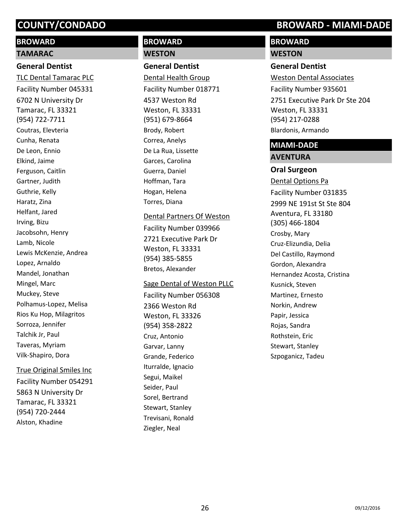# **BROWARD**

#### **TAMARAC**

## **General Dentist**

6702 N University Dr Tamarac, FL 33321 (954) 722-7711 TLC Dental Tamarac PLC Facility Number 045331 Coutras, Elevteria Cunha, Renata De Leon, Ennio Elkind, Jaime Ferguson, Caitlin Gartner, Judith Guthrie, Kelly Haratz, Zina Helfant, Jared Irving, Bizu Jacobsohn, Henry Lamb, Nicole Lewis McKenzie, Andrea Lopez, Arnaldo Mandel, Jonathan Mingel, Marc Muckey, Steve Polhamus-Lopez, Melisa Rios Ku Hop, Milagritos Sorroza, Jennifer Talchik Jr, Paul Taveras, Myriam Vilk-Shapiro, Dora

#### True Original Smiles Inc

5863 N University Dr Tamarac, FL 33321 (954) 720-2444 Facility Number 054291 Alston, Khadine

# **BROWARD WESTON**

**General Dentist**

4537 Weston Rd Weston, FL 33331 (951) 679-8664 Dental Health Group Facility Number 018771 Brody, Robert Correa, Anelys De La Rua, Lissette Garces, Carolina Guerra, Daniel Hoffman, Tara Hogan, Helena Torres, Diana

2721 Executive Park Dr Weston, FL 33331 (954) 385-5855 Dental Partners Of Weston Facility Number 039966 Bretos, Alexander

#### Sage Dental of Weston PLLC

2366 Weston Rd Weston, FL 33326 (954) 358-2822 Facility Number 056308 Cruz, Antonio Garvar, Lanny Grande, Federico Iturralde, Ignacio Segui, Maikel Seider, Paul Sorel, Bertrand Stewart, Stanley Trevisani, Ronald Ziegler, Neal

# **COUNTY/CONDADO BROWARD - MIAMI-DADE**

# **BROWARD**

# **WESTON**

**General Dentist** 2751 Executive Park Dr Ste 204 Weston, FL 33331 (954) 217-0288 Weston Dental Associates Facility Number 935601 Blardonis, Armando

# **MIAMI-DADE**

# **AVENTURA**

**Oral Surgeon** 2999 NE 191st St Ste 804 Aventura, FL 33180 (305) 466-1804 Dental Options Pa Facility Number 031835 Crosby, Mary Cruz-Elizundia, Delia Del Castillo, Raymond Gordon, Alexandra Hernandez Acosta, Cristina Kusnick, Steven Martinez, Ernesto Norkin, Andrew Papir, Jessica Rojas, Sandra Rothstein, Eric Stewart, Stanley Szpoganicz, Tadeu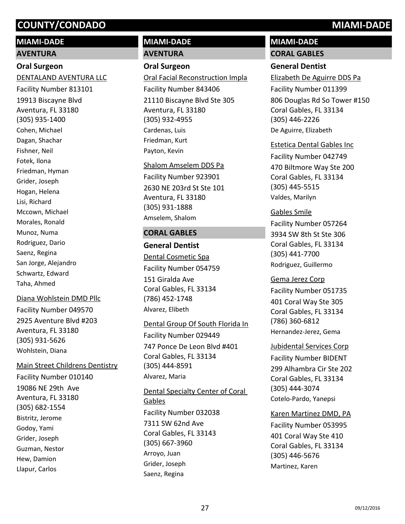# **MIAMI-DADE**

#### **AVENTURA**

#### **Oral Surgeon**

19913 Biscayne Blvd Aventura, FL 33180 (305) 935-1400 DENTALAND AVENTURA LLC Facility Number 813101 Cohen, Michael Dagan, Shachar Fishner, Neil Fotek, Ilona Friedman, Hyman Grider, Joseph Hogan, Helena Lisi, Richard Mccown, Michael Morales, Ronald Munoz, Numa Rodriguez, Dario Saenz, Regina San Jorge, Alejandro Schwartz, Edward Taha, Ahmed

## Diana Wohlstein DMD Pllc

2925 Aventure Blvd #203 Aventura, FL 33180 (305) 931-5626 Facility Number 049570 Wohlstein, Diana

#### Main Street Childrens Dentistry

19086 NE 29th Ave Aventura, FL 33180 (305) 682-1554 Facility Number 010140 Bistritz, Jerome Godoy, Yami Grider, Joseph Guzman, Nestor Hew, Damion Llapur, Carlos

# **MIAMI-DADE AVENTURA**

# **Oral Surgeon**

21110 Biscayne Blvd Ste 305 Aventura, FL 33180 (305) 932-4955 Oral Facial Reconstruction Impla Facility Number 843406 Cardenas, Luis Friedman, Kurt Payton, Kevin

# 2630 NE 203rd St Ste 101 Aventura, FL 33180 (305) 931-1888 Shalom Amselem DDS Pa Facility Number 923901 Amselem, Shalom

# **CORAL GABLES**

**General Dentist** 151 Giralda Ave Coral Gables, FL 33134 (786) 452-1748 Dental Cosmetic Spa Facility Number 054759 Alvarez, Elibeth

# Dental Group Of South Florida In Facility Number 029449

747 Ponce De Leon Blvd #401 Coral Gables, FL 33134 (305) 444-8591 Alvarez, Maria

# 7311 SW 62nd Ave Coral Gables, FL 33143 (305) 667-3960 Dental Specialty Center of Coral Gables Facility Number 032038 Arroyo, Juan Grider, Joseph Saenz, Regina

# **MIAMI-DADE**

**CORAL GABLES**

# **General Dentist**

806 Douglas Rd So Tower #150 Coral Gables, FL 33134 (305) 446-2226 Elizabeth De Aguirre DDS Pa Facility Number 011399 De Aguirre, Elizabeth

# Estetica Dental Gables Inc

470 Biltmore Way Ste 200 Coral Gables, FL 33134 (305) 445-5515 Facility Number 042749 Valdes, Marilyn

# Gables Smile

3934 SW 8th St Ste 306 Coral Gables, FL 33134 (305) 441-7700 Facility Number 057264 Rodriguez, Guillermo

# Gema Jerez Corp

401 Coral Way Ste 305 Coral Gables, FL 33134 (786) 360-6812 Facility Number 051735 Hernandez-Jerez, Gema

## Jubidental Services Corp

299 Alhambra Cir Ste 202 Coral Gables, FL 33134 (305) 444-3074 Facility Number BIDENT Cotelo-Pardo, Yanepsi

# Karen Martinez DMD, PA

401 Coral Way Ste 410 Coral Gables, FL 33134 (305) 446-5676 Facility Number 053995 Martinez, Karen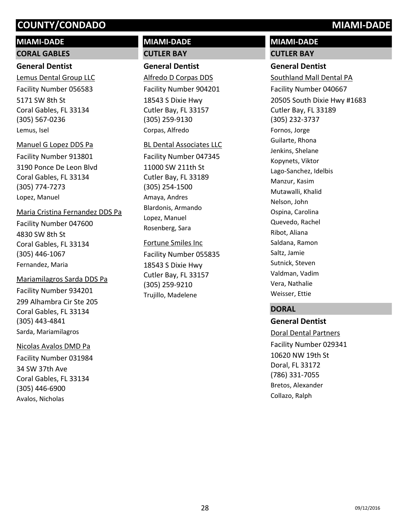# **MIAMI-DADE**

# **CORAL GABLES**

# **General Dentist**

5171 SW 8th St Coral Gables, FL 33134 (305) 567-0236 Lemus Dental Group LLC Facility Number 056583 Lemus, Isel

## Manuel G Lopez DDS Pa

3190 Ponce De Leon Blvd Coral Gables, FL 33134 (305) 774-7273 Facility Number 913801 Lopez, Manuel

## Maria Cristina Fernandez DDS Pa

4830 SW 8th St Coral Gables, FL 33134 (305) 446-1067 Facility Number 047600 Fernandez, Maria

# 299 Alhambra Cir Ste 205 Coral Gables, FL 33134 Mariamilagros Sarda DDS Pa Facility Number 934201

(305) 443-4841 Sarda, Mariamilagros

# Nicolas Avalos DMD Pa

34 SW 37th Ave Coral Gables, FL 33134 (305) 446-6900 Facility Number 031984 Avalos, Nicholas

# **MIAMI-DADE CUTLER BAY**

# **General Dentist**

18543 S Dixie Hwy Cutler Bay, FL 33157 (305) 259-9130 Alfredo D Corpas DDS Facility Number 904201 Corpas, Alfredo

## BL Dental Associates LLC

11000 SW 211th St Cutler Bay, FL 33189 (305) 254-1500 Facility Number 047345 Amaya, Andres Blardonis, Armando Lopez, Manuel Rosenberg, Sara

## Fortune Smiles Inc

18543 S Dixie Hwy Cutler Bay, FL 33157 (305) 259-9210 Facility Number 055835 Trujillo, Madelene

# **MIAMI-DADE CUTLER BAY**

# **General Dentist**

20505 South Dixie Hwy #1683 Cutler Bay, FL 33189 (305) 232-3737 Southland Mall Dental PA Facility Number 040667 Fornos, Jorge Guilarte, Rhona Jenkins, Shelane Kopynets, Viktor Lago-Sanchez, Idelbis Manzur, Kasim Mutawalli, Khalid Nelson, John Ospina, Carolina Quevedo, Rachel Ribot, Aliana Saldana, Ramon Saltz, Jamie Sutnick, Steven Valdman, Vadim Vera, Nathalie Weisser, Ettie

# **DORAL**

**General Dentist** 10620 NW 19th St Doral, FL 33172 (786) 331-7055 Doral Dental Partners Facility Number 029341 Bretos, Alexander Collazo, Ralph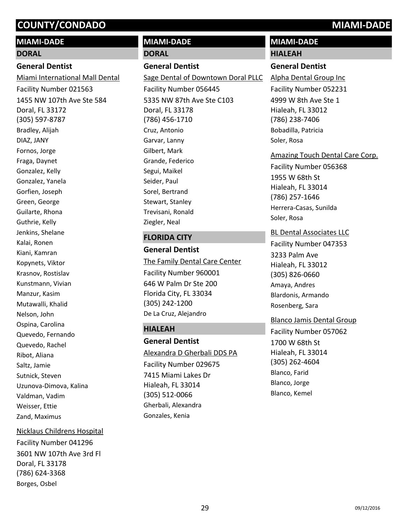# **MIAMI-DADE**

#### **DORAL**

### **General Dentist**

1455 NW 107th Ave Ste 584 Doral, FL 33172 (305) 597-8787 Miami International Mall Dental Facility Number 021563 Bradley, Alijah DIAZ, JANY Fornos, Jorge Fraga, Daynet Gonzalez, Kelly Gonzalez, Yanela Gorfien, Joseph Green, George Guilarte, Rhona Guthrie, Kelly Jenkins, Shelane Kalai, Ronen Kiani, Kamran Kopynets, Viktor Krasnov, Rostislav Kunstmann, Vivian Manzur, Kasim Mutawalli, Khalid Nelson, John Ospina, Carolina Quevedo, Fernando Quevedo, Rachel Ribot, Aliana Saltz, Jamie Sutnick, Steven Uzunova-Dimova, Kalina Valdman, Vadim Weisser, Ettie Zand, Maximus

#### Nicklaus Childrens Hospital

3601 NW 107th Ave 3rd Fl Doral, FL 33178 (786) 624-3368 Facility Number 041296 Borges, Osbel

# **MIAMI-DADE**

#### **DORAL**

### **General Dentist**

5335 NW 87th Ave Ste C103 Doral, FL 33178 (786) 456-1710 Sage Dental of Downtown Doral PLLC Facility Number 056445 Cruz, Antonio Garvar, Lanny Gilbert, Mark Grande, Federico Segui, Maikel Seider, Paul Sorel, Bertrand Stewart, Stanley Trevisani, Ronald Ziegler, Neal

#### **FLORIDA CITY**

**General Dentist** 646 W Palm Dr Ste 200 Florida City, FL 33034 (305) 242-1200 The Family Dental Care Center Facility Number 960001 De La Cruz, Alejandro

## **HIALEAH**

**General Dentist** 7415 Miami Lakes Dr Hialeah, FL 33014 (305) 512-0066 Alexandra D Gherbali DDS PA Facility Number 029675 Gherbali, Alexandra Gonzales, Kenia

# **MIAMI-DADE HIALEAH**

# **General Dentist**

4999 W 8th Ave Ste 1 Hialeah, FL 33012 (786) 238-7406 Alpha Dental Group Inc Facility Number 052231 Bobadilla, Patricia Soler, Rosa

#### Amazing Touch Dental Care Corp.

1955 W 68th St Hialeah, FL 33014 (786) 257-1646 Facility Number 056368 Herrera-Casas, Sunilda Soler, Rosa

#### BL Dental Associates LLC

3233 Palm Ave Hialeah, FL 33012 (305) 826-0660 Facility Number 047353 Amaya, Andres Blardonis, Armando Rosenberg, Sara

#### Blanco Jamis Dental Group

1700 W 68th St Hialeah, FL 33014 (305) 262-4604 Facility Number 057062 Blanco, Farid Blanco, Jorge Blanco, Kemel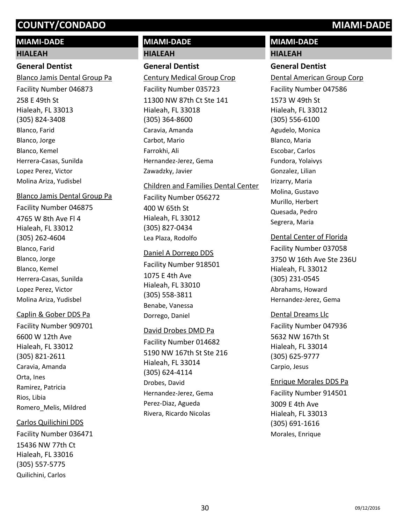# **MIAMI-DADE**

#### **HIALEAH**

## **General Dentist**

258 E 49th St Hialeah, FL 33013 (305) 824-3408 Blanco Jamis Dental Group Pa Facility Number 046873 Blanco, Farid Blanco, Jorge Blanco, Kemel Herrera-Casas, Sunilda Lopez Perez, Victor Molina Ariza, Yudisbel

#### Blanco Jamis Dental Group Pa

4765 W 8th Ave Fl 4 Hialeah, FL 33012 (305) 262-4604 Facility Number 046875 Blanco, Farid Blanco, Jorge Blanco, Kemel Herrera-Casas, Sunilda Lopez Perez, Victor Molina Ariza, Yudisbel

## Caplin & Gober DDS Pa

6600 W 12th Ave Hialeah, FL 33012 (305) 821-2611 Facility Number 909701 Caravia, Amanda Orta, Ines Ramirez, Patricia Rios, Libia Romero\_Melis, Mildred

## Carlos Quilichini DDS

15436 NW 77th Ct Hialeah, FL 33016 (305) 557-5775 Facility Number 036471 Quilichini, Carlos

# **MIAMI-DADE**

# **HIALEAH**

## **General Dentist**

11300 NW 87th Ct Ste 141 Hialeah, FL 33018 (305) 364-8600 Century Medical Group Crop Facility Number 035723 Caravia, Amanda Carbot, Mario Farrokhi, Ali Hernandez-Jerez, Gema Zawadzky, Javier

# Children and Families Dental Center Facility Number 056272

400 W 65th St Hialeah, FL 33012 (305) 827-0434 Lea Plaza, Rodolfo

#### Daniel A Dorrego DDS

1075 E 4th Ave Hialeah, FL 33010 (305) 558-3811 Facility Number 918501 Benabe, Vanessa Dorrego, Daniel

## David Drobes DMD Pa

5190 NW 167th St Ste 216 Hialeah, FL 33014 (305) 624-4114 Facility Number 014682 Drobes, David Hernandez-Jerez, Gema Perez-Diaz, Agueda Rivera, Ricardo Nicolas

# **MIAMI-DADE**

# **HIALEAH**

# **General Dentist**

1573 W 49th St Hialeah, FL 33012 (305) 556-6100 Dental American Group Corp Facility Number 047586 Agudelo, Monica Blanco, Maria Escobar, Carlos Fundora, Yolaivys Gonzalez, Lilian Irizarry, Maria Molina, Gustavo Murillo, Herbert Quesada, Pedro Segrera, Maria

## Dental Center of Florida

3750 W 16th Ave Ste 236U Hialeah, FL 33012 (305) 231-0545 Facility Number 037058 Abrahams, Howard Hernandez-Jerez, Gema

## Dental Dreams Llc

5632 NW 167th St Hialeah, FL 33014 (305) 625-9777 Facility Number 047936 Carpio, Jesus

## Enrique Morales DDS Pa

3009 E 4th Ave Hialeah, FL 33013 (305) 691-1616 Facility Number 914501 Morales, Enrique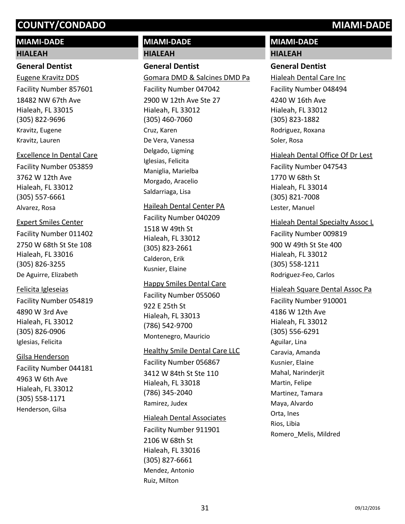# **MIAMI-DADE**

#### **HIALEAH**

#### **General Dentist**

18482 NW 67th Ave Hialeah, FL 33015 (305) 822-9696 Eugene Kravitz DDS Facility Number 857601 Kravitz, Eugene Kravitz, Lauren

#### Excellence In Dental Care

3762 W 12th Ave Hialeah, FL 33012 (305) 557-6661 Facility Number 053859 Alvarez, Rosa

#### Expert Smiles Center

2750 W 68th St Ste 108 Hialeah, FL 33016 (305) 826-3255 Facility Number 011402 De Aguirre, Elizabeth

#### Felicita Igleseias

4890 W 3rd Ave Hialeah, FL 33012 (305) 826-0906 Facility Number 054819 Iglesias, Felicita

## Gilsa Henderson

4963 W 6th Ave Hialeah, FL 33012 (305) 558-1171 Facility Number 044181 Henderson, Gilsa

# **MIAMI-DADE**

**HIALEAH**

# **General Dentist**

2900 W 12th Ave Ste 27 Hialeah, FL 33012 (305) 460-7060 Gomara DMD & Salcines DMD Pa Facility Number 047042 Cruz, Karen De Vera, Vanessa Delgado, Ligming Iglesias, Felicita Maniglia, Marielba Morgado, Aracelio Saldarriaga, Lisa

# Haileah Dental Center PA

Facility Number 040209

1518 W 49th St Hialeah, FL 33012 (305) 823-2661 Calderon, Erik Kusnier, Elaine

## Happy Smiles Dental Care

922 E 25th St Hialeah, FL 33013 (786) 542-9700 Facility Number 055060 Montenegro, Mauricio

#### **Healthy Smile Dental Care LLC**

3412 W 84th St Ste 110 Hialeah, FL 33018 (786) 345-2040 Facility Number 056867 Ramirez, Judex

## Hialeah Dental Associates

2106 W 68th St Hialeah, FL 33016 (305) 827-6661 Facility Number 911901 Mendez, Antonio Ruiz, Milton

# **MIAMI-DADE HIALEAH**

# **General Dentist**

4240 W 16th Ave Hialeah, FL 33012 (305) 823-1882 Hialeah Dental Care Inc Facility Number 048494 Rodriguez, Roxana Soler, Rosa

# Hialeah Dental Office Of Dr Lest

1770 W 68th St Hialeah, FL 33014 (305) 821-7008 Facility Number 047543 Lester, Manuel

## Hialeah Dental Specialty Assoc L

900 W 49th St Ste 400 Hialeah, FL 33012 (305) 558-1211 Facility Number 009819 Rodriguez-Feo, Carlos

#### Hialeah Square Dental Assoc Pa

4186 W 12th Ave Hialeah, FL 33012 (305) 556-6291 Facility Number 910001 Aguilar, Lina Caravia, Amanda Kusnier, Elaine Mahal, Narinderjit Martin, Felipe Martinez, Tamara Maya, Alvardo Orta, Ines Rios, Libia Romero\_Melis, Mildred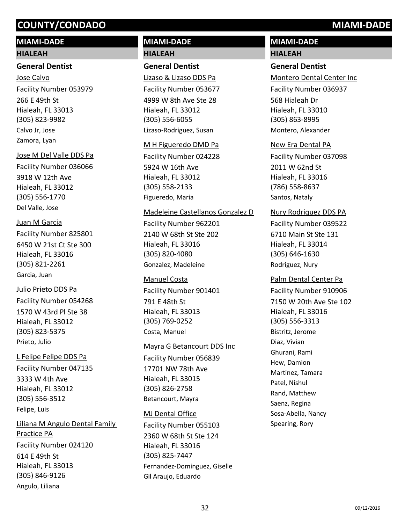# **MIAMI-DADE**

#### **HIALEAH**

## **General Dentist**

266 E 49th St Hialeah, FL 33013 (305) 823-9982 Jose Calvo Facility Number 053979 Calvo Jr, Jose Zamora, Lyan

#### Jose M Del Valle DDS Pa

3918 W 12th Ave Hialeah, FL 33012 (305) 556-1770 Facility Number 036066 Del Valle, Jose

#### Juan M Garcia

6450 W 21st Ct Ste 300 Hialeah, FL 33016 (305) 821-2261 Facility Number 825801 Garcia, Juan

#### Julio Prieto DDS Pa

1570 W 43rd Pl Ste 38 Hialeah, FL 33012 (305) 823-5375 Facility Number 054268 Prieto, Julio

#### L Felipe Felipe DDS Pa

3333 W 4th Ave Hialeah, FL 33012 (305) 556-3512 Facility Number 047135 Felipe, Luis

614 E 49th St Hialeah, FL 33013 (305) 846-9126 Liliana M Angulo Dental Family Practice PA Facility Number 024120 Angulo, Liliana

# **MIAMI-DADE HIALEAH**

#### **General Dentist**

4999 W 8th Ave Ste 28 Hialeah, FL 33012 (305) 556-6055 Lizaso & Lizaso DDS Pa Facility Number 053677 Lizaso-Rodriguez, Susan

#### M H Figueredo DMD Pa

5924 W 16th Ave Hialeah, FL 33012 (305) 558-2133 Facility Number 024228 Figueredo, Maria

#### Madeleine Castellanos Gonzalez D

2140 W 68th St Ste 202 Hialeah, FL 33016 (305) 820-4080 Facility Number 962201 Gonzalez, Madeleine

#### Manuel Costa

791 E 48th St Hialeah, FL 33013 (305) 769-0252 Facility Number 901401 Costa, Manuel

#### Mayra G Betancourt DDS Inc

17701 NW 78th Ave Hialeah, FL 33015 (305) 826-2758 Facility Number 056839 Betancourt, Mayra

#### MJ Dental Office

2360 W 68th St Ste 124 Hialeah, FL 33016 (305) 825-7447 Facility Number 055103 Fernandez-Dominguez, Giselle Gil Araujo, Eduardo

# **MIAMI-DADE**

# **HIALEAH General Dentist**

568 Hialeah Dr Hialeah, FL 33010 (305) 863-8995 Montero Dental Center Inc Facility Number 036937 Montero, Alexander

#### New Era Dental PA

2011 W 62nd St Hialeah, FL 33016 (786) 558-8637 Facility Number 037098 Santos, Nataly

#### Nury Rodriquez DDS PA

6710 Main St Ste 131 Hialeah, FL 33014 (305) 646-1630 Facility Number 039522 Rodriguez, Nury

#### Palm Dental Center Pa

7150 W 20th Ave Ste 102 Hialeah, FL 33016 (305) 556-3313 Facility Number 910906 Bistritz, Jerome Diaz, Vivian Ghurani, Rami Hew, Damion Martinez, Tamara Patel, Nishul Rand, Matthew Saenz, Regina Sosa-Abella, Nancy Spearing, Rory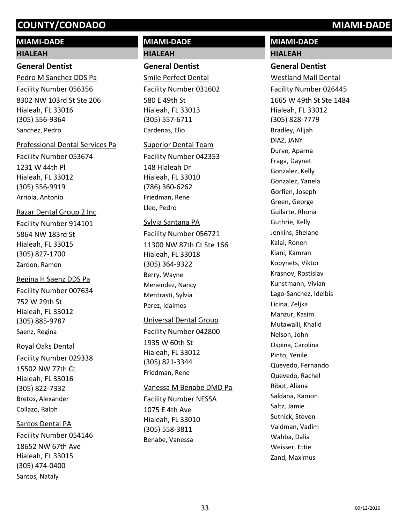# **MIAMI-DADE**

#### **HIALEAH**

### **General Dentist**

8302 NW 103rd St Ste 206 Hialeah, FL 33016 (305) 556-9364 Pedro M Sanchez DDS Pa Facility Number 056356 Sanchez, Pedro

#### Professional Dental Services Pa

1231 W 44th Pl Hialeah, FL 33012 (305) 556-9919 Facility Number 053674 Arriola, Antonio

## Razar Dental Group 2 Inc

5864 NW 183rd St Hialeah, FL 33015 (305) 827-1700 Facility Number 914101 Zardon, Ramon

## Regina H Saenz DDS Pa

752 W 29th St Hialeah, FL 33012 (305) 885-9787 Facility Number 007634 Saenz, Regina

## Royal Oaks Dental

15502 NW 77th Ct Hialeah, FL 33016 (305) 822-7332 Facility Number 029338 Bretos, Alexander Collazo, Ralph

## Santos Dental PA

18652 NW 67th Ave Hialeah, FL 33015 (305) 474-0400 Facility Number 054146 Santos, Nataly

# **MIAMI-DADE**

### **HIALEAH**

### **General Dentist**

580 E 49th St Hialeah, FL 33013 (305) 557-6711 Smile Perfect Dental Facility Number 031602 Cardenas, Elio

#### Superior Dental Team

148 Hialeah Dr Hialeah, FL 33010 (786) 360-6262 Facility Number 042353 Friedman, Rene Lleo, Pedro

#### Sylvia Santana PA

11300 NW 87th Ct Ste 166 Hialeah, FL 33018 (305) 364-9322 Facility Number 056721 Berry, Wayne Menendez, Nancy Mentrasti, Sylvia Perez, Idalmes

#### Universal Dental Group

1935 W 60th St Hialeah, FL 33012 (305) 821-3344 Facility Number 042800 Friedman, Rene

#### Vanessa M Benabe DMD Pa

1075 E 4th Ave Hialeah, FL 33010 (305) 558-3811 Facility Number NESSA Benabe, Vanessa

# **MIAMI-DADE HIALEAH**

### **General Dentist**

1665 W 49th St Ste 1484 Hialeah, FL 33012 (305) 828-7779 Westland Mall Dental Facility Number 026445 Bradley, Alijah DIAZ, JANY Durve, Aparna Fraga, Daynet Gonzalez, Kelly Gonzalez, Yanela Gorfien, Joseph Green, George Guilarte, Rhona Guthrie, Kelly Jenkins, Shelane Kalai, Ronen Kiani, Kamran Kopynets, Viktor Krasnov, Rostislav Kunstmann, Vivian Lago-Sanchez, Idelbis Licina, Zeljka Manzur, Kasim Mutawalli, Khalid Nelson, John Ospina, Carolina Pinto, Yenile Quevedo, Fernando Quevedo, Rachel Ribot, Aliana Saldana, Ramon Saltz, Jamie Sutnick, Steven Valdman, Vadim Wahba, Dalia Weisser, Ettie Zand, Maximus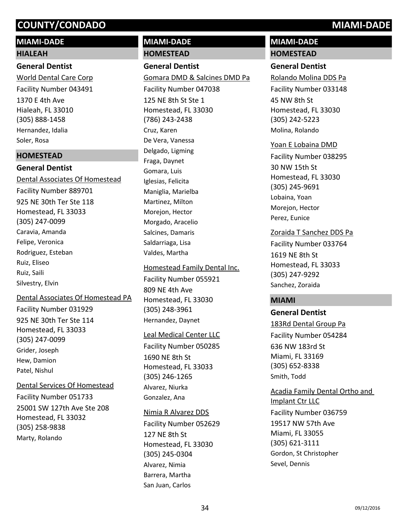# **MIAMI-DADE**

# **HIALEAH**

# **General Dentist**

1370 E 4th Ave Hialeah, FL 33010 (305) 888-1458 World Dental Care Corp Facility Number 043491 Hernandez, Idalia Soler, Rosa

# **HOMESTEAD**

# **General Dentist** Dental Associates Of Homestead

925 NE 30th Ter Ste 118 Homestead, FL 33033 (305) 247-0099 Facility Number 889701 Caravia, Amanda Felipe, Veronica Rodriguez, Esteban Ruiz, Eliseo Ruiz, Saili Silvestry, Elvin

# Dental Associates Of Homestead PA

925 NE 30th Ter Ste 114 Homestead, FL 33033 (305) 247-0099 Facility Number 031929 Grider, Joseph Hew, Damion Patel, Nishul

# Dental Services Of Homestead

25001 SW 127th Ave Ste 208 Homestead, FL 33032 (305) 258-9838 Facility Number 051733 Marty, Rolando

# **MIAMI-DADE HOMESTEAD**

# **General Dentist**

125 NE 8th St Ste 1 Homestead, FL 33030 (786) 243-2438 Gomara DMD & Salcines DMD Pa Facility Number 047038 Cruz, Karen De Vera, Vanessa Delgado, Ligming Fraga, Daynet Gomara, Luis Iglesias, Felicita Maniglia, Marielba Martinez, Milton Morejon, Hector Morgado, Aracelio Salcines, Damaris Saldarriaga, Lisa Valdes, Martha

# Homestead Family Dental Inc. Facility Number 055921

809 NE 4th Ave Homestead, FL 33030 (305) 248-3961 Hernandez, Daynet

# Leal Medical Center LLC

1690 NE 8th St Homestead, FL 33033 (305) 246-1265 Facility Number 050285 Alvarez, Niurka Gonzalez, Ana

# Nimia R Alvarez DDS

127 NE 8th St Homestead, FL 33030 (305) 245-0304 Facility Number 052629 Alvarez, Nimia Barrera, Martha San Juan, Carlos

# **MIAMI-DADE HOMESTEAD**

# **General Dentist**

45 NW 8th St Homestead, FL 33030 (305) 242-5223 Rolando Molina DDS Pa Facility Number 033148 Molina, Rolando

# Yoan E Lobaina DMD

30 NW 15th St Homestead, FL 33030 (305) 245-9691 Facility Number 038295 Lobaina, Yoan Morejon, Hector Perez, Eunice

# Zoraida T Sanchez DDS Pa

1619 NE 8th St Homestead, FL 33033 (305) 247-9292 Facility Number 033764 Sanchez, Zoraida

# **MIAMI**

# **General Dentist**

636 NW 183rd St Miami, FL 33169 (305) 652-8338 183Rd Dental Group Pa Facility Number 054284 Smith, Todd

# 19517 NW 57th Ave Miami, FL 33055 Acadia Family Dental Ortho and Implant Ctr LLC Facility Number 036759

(305) 621-3111 Gordon, St Christopher Sevel, Dennis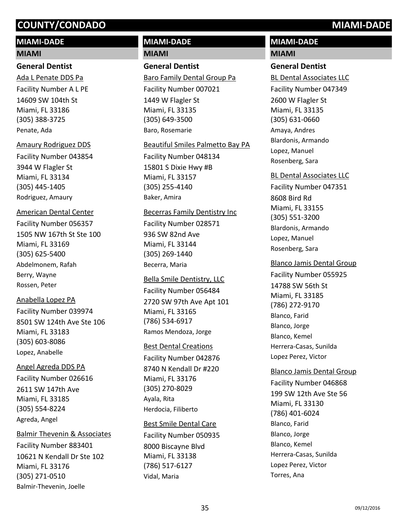# **MIAMI-DADE**

#### **MIAMI**

## **General Dentist**

14609 SW 104th St Miami, FL 33186 (305) 388-3725 Ada L Penate DDS Pa Facility Number A L PE Penate, Ada

#### Amaury Rodriguez DDS

3944 W Flagler St Miami, FL 33134 (305) 445-1405 Facility Number 043854 Rodriguez, Amaury

# American Dental Center

1505 NW 167th St Ste 100 Miami, FL 33169 (305) 625-5400 Facility Number 056357 Abdelmonem, Rafah Berry, Wayne Rossen, Peter

# Anabella Lopez PA

8501 SW 124th Ave Ste 106 Miami, FL 33183 (305) 603-8086 Facility Number 039974 Lopez, Anabelle

# Angel Agreda DDS PA

2611 SW 147th Ave Miami, FL 33185 (305) 554-8224 Facility Number 026616 Agreda, Angel

# Balmir Thevenin & Associates

10621 N Kendall Dr Ste 102 Miami, FL 33176 (305) 271-0510 Facility Number 883401 Balmir-Thevenin, Joelle

# **MIAMI-DADE MIAMI**

# **General Dentist**

1449 W Flagler St Miami, FL 33135 (305) 649-3500 Baro Family Dental Group Pa Facility Number 007021 Baro, Rosemarie

## Beautiful Smiles Palmetto Bay PA

15801 S Dixie Hwy #B Miami, FL 33157 (305) 255-4140 Facility Number 048134 Baker, Amira

## Becerras Family Dentistry Inc

936 SW 82nd Ave Miami, FL 33144 (305) 269-1440 Facility Number 028571 Becerra, Maria

## Bella Smile Dentistry, LLC

2720 SW 97th Ave Apt 101 Miami, FL 33165 (786) 534-6917 Facility Number 056484 Ramos Mendoza, Jorge

# Best Dental Creations

8740 N Kendall Dr #220 Miami, FL 33176 (305) 270-8029 Facility Number 042876 Ayala, Rita Herdocia, Filiberto

# Best Smile Dental Care

8000 Biscayne Blvd Miami, FL 33138 (786) 517-6127 Facility Number 050935 Vidal, Maria

# **MIAMI-DADE MIAMI**

# **General Dentist**

2600 W Flagler St Miami, FL 33135 (305) 631-0660 BL Dental Associates LLC Facility Number 047349 Amaya, Andres Blardonis, Armando Lopez, Manuel Rosenberg, Sara

# BL Dental Associates LLC

8608 Bird Rd Miami, FL 33155 (305) 551-3200 Facility Number 047351 Blardonis, Armando Lopez, Manuel Rosenberg, Sara

# Blanco Jamis Dental Group

14788 SW 56th St Miami, FL 33185 (786) 272-9170 Facility Number 055925 Blanco, Farid Blanco, Jorge Blanco, Kemel Herrera-Casas, Sunilda Lopez Perez, Victor

# 199 SW 12th Ave Ste 56 Miami, FL 33130 (786) 401-6024 Blanco Jamis Dental Group Facility Number 046868 Blanco, Farid Blanco, Jorge Blanco, Kemel Herrera-Casas, Sunilda Lopez Perez, Victor Torres, Ana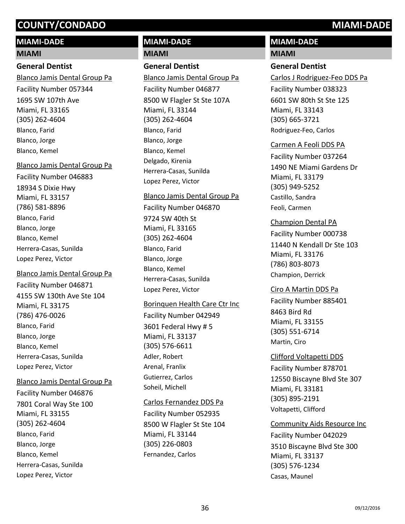# **MIAMI-DADE**

#### **MIAMI**

# **General Dentist**

1695 SW 107th Ave Miami, FL 33165 (305) 262-4604 Blanco Jamis Dental Group Pa Facility Number 057344 Blanco, Farid Blanco, Jorge Blanco, Kemel

## Blanco Jamis Dental Group Pa

18934 S Dixie Hwy Miami, FL 33157 (786) 581-8896 Facility Number 046883 Blanco, Farid Blanco, Jorge Blanco, Kemel Herrera-Casas, Sunilda Lopez Perez, Victor

# Blanco Jamis Dental Group Pa

4155 SW 130th Ave Ste 104 Miami, FL 33175 (786) 476-0026 Facility Number 046871 Blanco, Farid Blanco, Jorge Blanco, Kemel Herrera-Casas, Sunilda Lopez Perez, Victor

## Blanco Jamis Dental Group Pa

7801 Coral Way Ste 100 Miami, FL 33155 (305) 262-4604 Facility Number 046876 Blanco, Farid Blanco, Jorge Blanco, Kemel Herrera-Casas, Sunilda Lopez Perez, Victor

# **MIAMI-DADE**

## **MIAMI**

# **General Dentist**

8500 W Flagler St Ste 107A Miami, FL 33144 (305) 262-4604 Blanco Jamis Dental Group Pa Facility Number 046877 Blanco, Farid Blanco, Jorge Blanco, Kemel Delgado, Kirenia Herrera-Casas, Sunilda Lopez Perez, Victor

#### Blanco Jamis Dental Group Pa

9724 SW 40th St Miami, FL 33165 (305) 262-4604 Facility Number 046870 Blanco, Farid Blanco, Jorge Blanco, Kemel Herrera-Casas, Sunilda Lopez Perez, Victor

## Borinquen Health Care Ctr Inc

3601 Federal Hwy # 5 Miami, FL 33137 (305) 576-6611 Facility Number 042949 Adler, Robert Arenal, Franlix Gutierrez, Carlos Soheil, Michell

## Carlos Fernandez DDS Pa

8500 W Flagler St Ste 104 Miami, FL 33144 (305) 226-0803 Facility Number 052935 Fernandez, Carlos

# **MIAMI-DADE**

## **MIAMI**

# **General Dentist**

6601 SW 80th St Ste 125 Miami, FL 33143 (305) 665-3721 Carlos J Rodriguez-Feo DDS Pa Facility Number 038323 Rodriguez-Feo, Carlos

# Carmen A Feoli DDS PA

1490 NE Miami Gardens Dr Miami, FL 33179 (305) 949-5252 Facility Number 037264 Castillo, Sandra Feoli, Carmen

# Champion Dental PA

11440 N Kendall Dr Ste 103 Miami, FL 33176 (786) 803-8073 Facility Number 000738 Champion, Derrick

## Ciro A Martin DDS Pa

8463 Bird Rd Miami, FL 33155 (305) 551-6714 Facility Number 885401 Martin, Ciro

# Clifford Voltapetti DDS

12550 Biscayne Blvd Ste 307 Miami, FL 33181 (305) 895-2191 Facility Number 878701 Voltapetti, Clifford

# Community Aids Resource Inc

3510 Biscayne Blvd Ste 300 Miami, FL 33137 (305) 576-1234 Facility Number 042029 Casas, Maunel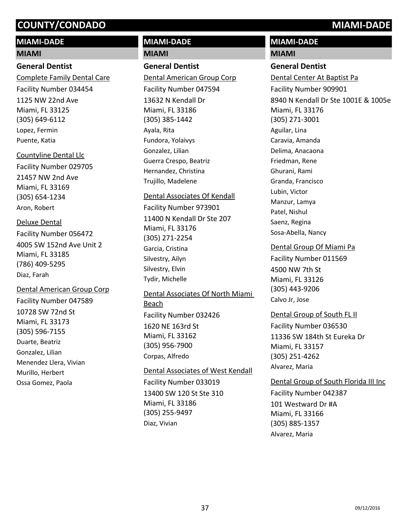# **MIAMI-DADE**

#### **MIAMI**

## **General Dentist**

1125 NW 22nd Ave Miami, FL 33125 (305) 649-6112 Complete Family Dental Care Facility Number 034454 Lopez, Fermin Puente, Katia

# Countyline Dental Llc

21457 NW 2nd Ave Miami, FL 33169 (305) 654-1234 Facility Number 029705 Aron, Robert

# Deluxe Dental

4005 SW 152nd Ave Unit 2 Miami, FL 33185 (786) 409-5295 Facility Number 056472 Diaz, Farah

# Dental American Group Corp

10728 SW 72nd St Miami, FL 33173 (305) 596-7155 Facility Number 047589 Duarte, Beatriz Gonzalez, Lilian Menendez Llera, Vivian Murillo, Herbert Ossa Gomez, Paola

# **MIAMI-DADE**

# **MIAMI**

# **General Dentist**

13632 N Kendall Dr Miami, FL 33186 (305) 385-1442 Dental American Group Corp Facility Number 047594 Ayala, Rita Fundora, Yolaivys Gonzalez, Lilian Guerra Crespo, Beatriz Hernandez, Christina Trujillo, Madelene

# Dental Associates Of Kendall

11400 N Kendall Dr Ste 207 Miami, FL 33176 (305) 271-2254 Facility Number 973901 Garcia, Cristina Silvestry, Ailyn Silvestry, Elvin Tydir, Michelle

# 1620 NE 163rd St Miami, FL 33162 (305) 956-7900 Dental Associates Of North Miami Beach Facility Number 032426 Corpas, Alfredo

# 13400 SW 120 St Ste 310 Miami, FL 33186 (305) 255-9497 Dental Associates of West Kendall Facility Number 033019 Diaz, Vivian

# **MIAMI-DADE**

## **MIAMI**

# **General Dentist**

8940 N Kendall Dr Ste 1001E & 1005e Miami, FL 33176 (305) 271-3001 Dental Center At Baptist Pa Facility Number 909901 Aguilar, Lina Caravia, Amanda Delima, Anacaona Friedman, Rene Ghurani, Rami Granda, Francisco Lubin, Victor Manzur, Lamya Patel, Nishul Saenz, Regina Sosa-Abella, Nancy

# Dental Group Of Miami Pa

4500 NW 7th St Miami, FL 33126 (305) 443-9206 Facility Number 011569 Calvo Jr, Jose

# Dental Group of South FL II

11336 SW 184th St Eureka Dr Miami, FL 33157 (305) 251-4262 Facility Number 036530 Alvarez, Maria

# Dental Group of South Florida III Inc

101 Westward Dr #A Miami, FL 33166 (305) 885-1357 Facility Number 042387 Alvarez, Maria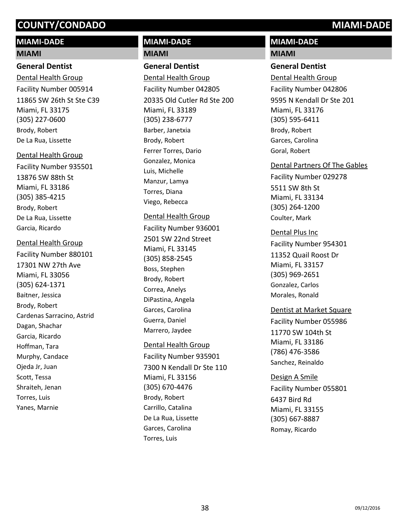# **MIAMI-DADE**

#### **MIAMI**

### **General Dentist**

11865 SW 26th St Ste C39 Miami, FL 33175 (305) 227-0600 Dental Health Group Facility Number 005914 Brody, Robert De La Rua, Lissette

#### Dental Health Group

13876 SW 88th St Miami, FL 33186 (305) 385-4215 Facility Number 935501 Brody, Robert De La Rua, Lissette Garcia, Ricardo

#### Dental Health Group

17301 NW 27th Ave Miami, FL 33056 (305) 624-1371 Facility Number 880101 Baitner, Jessica Brody, Robert Cardenas Sarracino, Astrid Dagan, Shachar Garcia, Ricardo Hoffman, Tara Murphy, Candace Ojeda Jr, Juan Scott, Tessa Shraiteh, Jenan Torres, Luis Yanes, Marnie

# **MIAMI-DADE MIAMI**

# **General Dentist**

20335 Old Cutler Rd Ste 200 Miami, FL 33189 (305) 238-6777 Dental Health Group Facility Number 042805 Barber, Janetxia Brody, Robert Ferrer Torres, Dario Gonzalez, Monica Luis, Michelle Manzur, Lamya Torres, Diana Viego, Rebecca

## Dental Health Group

2501 SW 22nd Street Miami, FL 33145 (305) 858-2545 Facility Number 936001 Boss, Stephen Brody, Robert Correa, Anelys DiPastina, Angela Garces, Carolina Guerra, Daniel Marrero, Jaydee

## Dental Health Group

7300 N Kendall Dr Ste 110 Miami, FL 33156 (305) 670-4476 Facility Number 935901 Brody, Robert Carrillo, Catalina De La Rua, Lissette Garces, Carolina Torres, Luis

# **MIAMI-DADE**

### **MIAMI**

#### **General Dentist**

9595 N Kendall Dr Ste 201 Miami, FL 33176 (305) 595-6411 Dental Health Group Facility Number 042806 Brody, Robert Garces, Carolina Goral, Robert

# Dental Partners Of The Gables

5511 SW 8th St Miami, FL 33134 (305) 264-1200 Facility Number 029278 Coulter, Mark

## Dental Plus Inc

11352 Quail Roost Dr Miami, FL 33157 (305) 969-2651 Facility Number 954301 Gonzalez, Carlos Morales, Ronald

## Dentist at Market Square

11770 SW 104th St Miami, FL 33186 (786) 476-3586 Facility Number 055986 Sanchez, Reinaldo

## Design A Smile

6437 Bird Rd Miami, FL 33155 (305) 667-8887 Facility Number 055801 Romay, Ricardo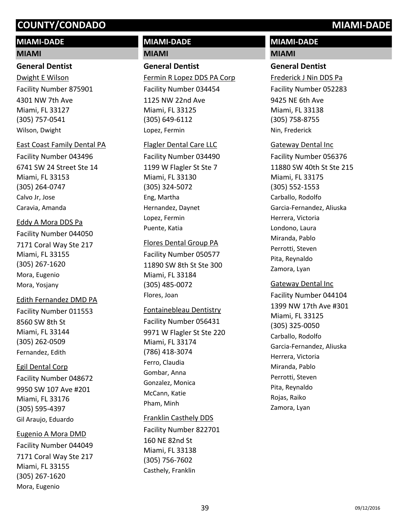# **MIAMI-DADE**

#### **MIAMI**

#### **General Dentist**

4301 NW 7th Ave Miami, FL 33127 (305) 757-0541 Dwight E Wilson Facility Number 875901 Wilson, Dwight

#### East Coast Family Dental PA

6741 SW 24 Street Ste 14 Miami, FL 33153 (305) 264-0747 Facility Number 043496 Calvo Jr, Jose Caravia, Amanda

### Eddy A Mora DDS Pa

7171 Coral Way Ste 217 Miami, FL 33155 (305) 267-1620 Facility Number 044050 Mora, Eugenio Mora, Yosjany

#### Edith Fernandez DMD PA

8560 SW 8th St Miami, FL 33144 (305) 262-0509 Facility Number 011553 Fernandez, Edith

## Egil Dental Corp

9950 SW 107 Ave #201 Miami, FL 33176 (305) 595-4397 Facility Number 048672 Gil Araujo, Eduardo

## Eugenio A Mora DMD

7171 Coral Way Ste 217 Miami, FL 33155 (305) 267-1620 Facility Number 044049 Mora, Eugenio

# **MIAMI-DADE MIAMI**

# **General Dentist**

1125 NW 22nd Ave Miami, FL 33125 (305) 649-6112 Fermin R Lopez DDS PA Corp Facility Number 034454 Lopez, Fermin

#### Flagler Dental Care LLC

1199 W Flagler St Ste 7 Miami, FL 33130 (305) 324-5072 Facility Number 034490 Eng, Martha Hernandez, Daynet Lopez, Fermin Puente, Katia

#### Flores Dental Group PA

11890 SW 8th St Ste 300 Miami, FL 33184 (305) 485-0072 Facility Number 050577 Flores, Joan

#### Fontainebleau Dentistry

9971 W Flagler St Ste 220 Miami, FL 33174 (786) 418-3074 Facility Number 056431 Ferro, Claudia Gombar, Anna Gonzalez, Monica McCann, Katie Pham, Minh

## Franklin Casthely DDS

160 NE 82nd St Miami, FL 33138 (305) 756-7602 Facility Number 822701 Casthely, Franklin

# **MIAMI-DADE**

### **MIAMI**

### **General Dentist**

9425 NE 6th Ave Miami, FL 33138 (305) 758-8755 Frederick J Nin DDS Pa Facility Number 052283 Nin, Frederick

## Gateway Dental Inc

11880 SW 40th St Ste 215 Miami, FL 33175 (305) 552-1553 Facility Number 056376 Carballo, Rodolfo Garcia-Fernandez, Aliuska Herrera, Victoria Londono, Laura Miranda, Pablo Perrotti, Steven Pita, Reynaldo Zamora, Lyan

## Gateway Dental Inc

1399 NW 17th Ave #301 Miami, FL 33125 (305) 325-0050 Facility Number 044104 Carballo, Rodolfo Garcia-Fernandez, Aliuska Herrera, Victoria Miranda, Pablo Perrotti, Steven Pita, Reynaldo Rojas, Raiko Zamora, Lyan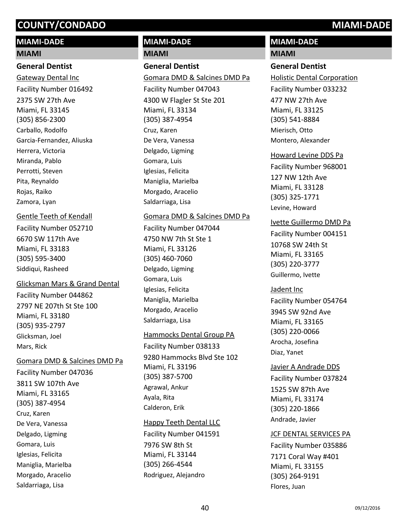# **MIAMI-DADE**

#### **MIAMI**

#### **General Dentist**

2375 SW 27th Ave Miami, FL 33145 (305) 856-2300 Gateway Dental Inc Facility Number 016492 Carballo, Rodolfo Garcia-Fernandez, Aliuska Herrera, Victoria Miranda, Pablo Perrotti, Steven Pita, Reynaldo Rojas, Raiko Zamora, Lyan

#### Gentle Teeth of Kendall

6670 SW 117th Ave Miami, FL 33183 (305) 595-3400 Facility Number 052710 Siddiqui, Rasheed

### Glicksman Mars & Grand Dental

2797 NE 207th St Ste 100 Miami, FL 33180 (305) 935-2797 Facility Number 044862 Glicksman, Joel Mars, Rick

#### Gomara DMD & Salcines DMD Pa

3811 SW 107th Ave Miami, FL 33165 (305) 387-4954 Facility Number 047036 Cruz, Karen De Vera, Vanessa Delgado, Ligming Gomara, Luis Iglesias, Felicita Maniglia, Marielba Morgado, Aracelio Saldarriaga, Lisa

# **MIAMI-DADE**

#### **MIAMI**

# **General Dentist**

4300 W Flagler St Ste 201 Miami, FL 33134 (305) 387-4954 Gomara DMD & Salcines DMD Pa Facility Number 047043 Cruz, Karen De Vera, Vanessa Delgado, Ligming Gomara, Luis Iglesias, Felicita Maniglia, Marielba Morgado, Aracelio Saldarriaga, Lisa

### Gomara DMD & Salcines DMD Pa

4750 NW 7th St Ste 1 Miami, FL 33126 (305) 460-7060 Facility Number 047044 Delgado, Ligming Gomara, Luis Iglesias, Felicita Maniglia, Marielba Morgado, Aracelio Saldarriaga, Lisa

#### Hammocks Dental Group PA

9280 Hammocks Blvd Ste 102 Miami, FL 33196 (305) 387-5700 Facility Number 038133 Agrawal, Ankur Ayala, Rita Calderon, Erik

## Happy Teeth Dental LLC

7976 SW 8th St Miami, FL 33144 (305) 266-4544 Facility Number 041591 Rodriguez, Alejandro

# **MIAMI-DADE**

# **MIAMI**

# **General Dentist**

477 NW 27th Ave Miami, FL 33125 (305) 541-8884 Holistic Dental Corporation Facility Number 033232 Mierisch, Otto Montero, Alexander

#### Howard Levine DDS Pa

127 NW 12th Ave Miami, FL 33128 (305) 325-1771 Facility Number 968001 Levine, Howard

#### Ivette Guillermo DMD Pa

10768 SW 24th St Miami, FL 33165 (305) 220-3777 Facility Number 004151 Guillermo, Ivette

#### Jadent Inc

3945 SW 92nd Ave Miami, FL 33165 (305) 220-0066 Facility Number 054764 Arocha, Josefina Diaz, Yanet

#### Javier A Andrade DDS

1525 SW 87th Ave Miami, FL 33174 (305) 220-1866 Facility Number 037824 Andrade, Javier

#### JCF DENTAL SERVICES PA

7171 Coral Way #401 Miami, FL 33155 (305) 264-9191 Facility Number 035886 Flores, Juan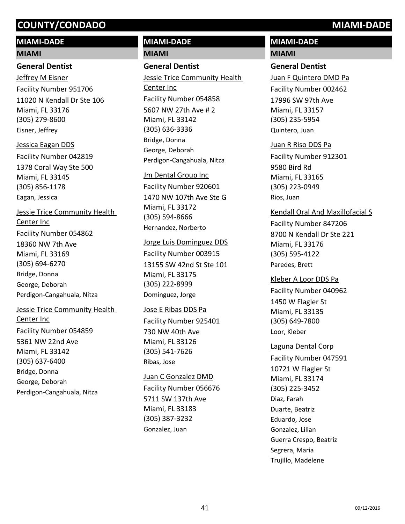# **MIAMI-DADE**

#### **MIAMI**

# **General Dentist**

11020 N Kendall Dr Ste 106 Miami, FL 33176 (305) 279-8600 Jeffrey M Eisner Facility Number 951706 Eisner, Jeffrey

1378 Coral Way Ste 500 Miami, FL 33145 (305) 856-1178 Jessica Eagan DDS Facility Number 042819 Eagan, Jessica

18360 NW 7th Ave Jessie Trice Community Health Center Inc Facility Number 054862

Miami, FL 33169 (305) 694-6270 Bridge, Donna George, Deborah Perdigon-Cangahuala, Nitza

# 5361 NW 22nd Ave Miami, FL 33142 (305) 637-6400 Jessie Trice Community Health Center Inc Facility Number 054859 Bridge, Donna George, Deborah

Perdigon-Cangahuala, Nitza

# **MIAMI-DADE MIAMI**

# **General Dentist**

5607 NW 27th Ave # 2 Miami, FL 33142 (305) 636-3336 Jessie Trice Community Health Center Inc Facility Number 054858 Bridge, Donna George, Deborah Perdigon-Cangahuala, Nitza

# Jm Dental Group Inc

1470 NW 107th Ave Ste G Miami, FL 33172 (305) 594-8666 Facility Number 920601 Hernandez, Norberto

#### Jorge Luis Dominguez DDS

13155 SW 42nd St Ste 101 Miami, FL 33175 (305) 222-8999 Facility Number 003915 Dominguez, Jorge

# Jose E Ribas DDS Pa

730 NW 40th Ave Miami, FL 33126 (305) 541-7626 Facility Number 925401 Ribas, Jose

#### Juan C Gonzalez DMD

5711 SW 137th Ave Miami, FL 33183 (305) 387-3232 Facility Number 056676 Gonzalez, Juan

# **MIAMI-DADE**

## **MIAMI**

# **General Dentist**

17996 SW 97th Ave Miami, FL 33157 (305) 235-5954 Juan F Quintero DMD Pa Facility Number 002462 Quintero, Juan

# Juan R Riso DDS Pa

9580 Bird Rd Miami, FL 33165 (305) 223-0949 Facility Number 912301 Rios, Juan

# Kendall Oral And Maxillofacial S

8700 N Kendall Dr Ste 221 Miami, FL 33176 (305) 595-4122 Facility Number 847206 Paredes, Brett

# Kleber A Loor DDS Pa

1450 W Flagler St Miami, FL 33135 (305) 649-7800 Facility Number 040962 Loor, Kleber

# Laguna Dental Corp

10721 W Flagler St Miami, FL 33174 (305) 225-3452 Facility Number 047591 Diaz, Farah Duarte, Beatriz Eduardo, Jose Gonzalez, Lilian Guerra Crespo, Beatriz Segrera, Maria Trujillo, Madelene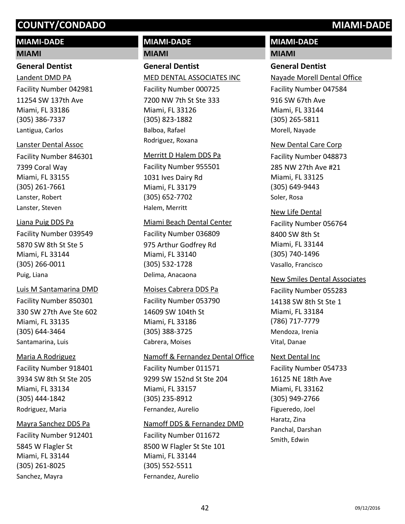# **MIAMI-DADE**

# **MIAMI**

## **General Dentist**

11254 SW 137th Ave Miami, FL 33186 (305) 386-7337 Landent DMD PA Facility Number 042981 Lantigua, Carlos

#### Lanster Dental Assoc

7399 Coral Way Miami, FL 33155 (305) 261-7661 Facility Number 846301 Lanster, Robert Lanster, Steven

## Liana Puig DDS Pa

5870 SW 8th St Ste 5 Miami, FL 33144 (305) 266-0011 Facility Number 039549 Puig, Liana

# 330 SW 27th Ave Ste 602 Miami, FL 33135 (305) 644-3464 Luis M Santamarina DMD Facility Number 850301 Santamarina, Luis

# Maria A Rodriguez

3934 SW 8th St Ste 205 Miami, FL 33134 (305) 444-1842 Facility Number 918401 Rodriguez, Maria

# Mayra Sanchez DDS Pa

5845 W Flagler St Miami, FL 33144 (305) 261-8025 Facility Number 912401 Sanchez, Mayra

# **MIAMI-DADE**

# **MIAMI**

**General Dentist** 7200 NW 7th St Ste 333 Miami, FL 33126 (305) 823-1882 MED DENTAL ASSOCIATES INC Facility Number 000725 Balboa, Rafael Rodriguez, Roxana

# Merritt D Halem DDS Pa

1031 Ives Dairy Rd Miami, FL 33179 (305) 652-7702 Facility Number 955501 Halem, Merritt

## Miami Beach Dental Center

975 Arthur Godfrey Rd Miami, FL 33140 (305) 532-1728 Facility Number 036809 Delima, Anacaona

#### Moises Cabrera DDS Pa

14609 SW 104th St Miami, FL 33186 (305) 388-3725 Facility Number 053790 Cabrera, Moises

# Namoff & Fernandez Dental Office

9299 SW 152nd St Ste 204 Miami, FL 33157 (305) 235-8912 Facility Number 011571 Fernandez, Aurelio

## Namoff DDS & Fernandez DMD

8500 W Flagler St Ste 101 Miami, FL 33144 (305) 552-5511 Facility Number 011672 Fernandez, Aurelio

# **MIAMI-DADE**

### **MIAMI**

# **General Dentist**

916 SW 67th Ave Miami, FL 33144 (305) 265-5811 Nayade Morell Dental Office Facility Number 047584 Morell, Nayade

## New Dental Care Corp

285 NW 27th Ave #21 Miami, FL 33125 (305) 649-9443 Facility Number 048873 Soler, Rosa

### New Life Dental

8400 SW 8th St Miami, FL 33144 (305) 740-1496 Facility Number 056764 Vasallo, Francisco

## New Smiles Dental Associates

14138 SW 8th St Ste 1 Miami, FL 33184 (786) 717-7779 Facility Number 055283 Mendoza, Irenia Vital, Danae

## Next Dental Inc

16125 NE 18th Ave Miami, FL 33162 (305) 949-2766 Facility Number 054733 Figueredo, Joel Haratz, Zina Panchal, Darshan Smith, Edwin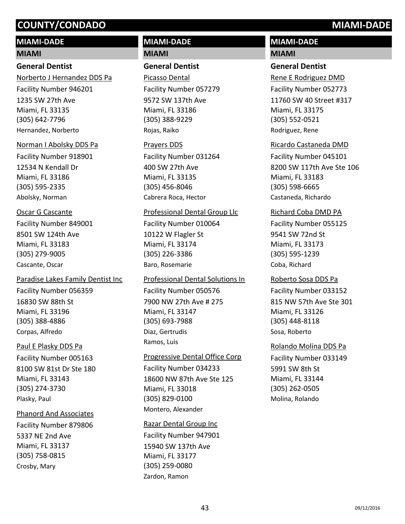# **MIAMI-DADE**

#### **MIAMI**

### **General Dentist**

1235 SW 27th Ave Miami, FL 33135 (305) 642-7796 Norberto J Hernandez DDS Pa Facility Number 946201 Hernandez, Norberto

#### Norman I Abolsky DDS Pa

12534 N Kendall Dr Miami, FL 33186 (305) 595-2335 Facility Number 918901 Abolsky, Norman

#### Oscar G Cascante

8501 SW 124th Ave Miami, FL 33183 (305) 279-9005 Facility Number 849001 Cascante, Oscar

#### Paradise Lakes Family Dentist Inc

16830 SW 88th St Miami, FL 33196 (305) 388-4886 Facility Number 056359 Corpas, Alfredo

#### Paul E Plasky DDS Pa

8100 SW 81st Dr Ste 180 Miami, FL 33143 (305) 274-3730 Facility Number 005163 Plasky, Paul

#### Phanord And Associates

5337 NE 2nd Ave Miami, FL 33137 (305) 758-0815 Facility Number 879806 Crosby, Mary

# **MIAMI-DADE MIAMI**

## **General Dentist**

9572 SW 137th Ave Miami, FL 33186 (305) 388-9229 Picasso Dental Facility Number 057279 Rojas, Raiko

#### Prayers DDS

400 SW 27th Ave Miami, FL 33135 (305) 456-8046 Facility Number 031264 Cabrera Roca, Hector

#### Professional Dental Group Llc

10122 W Flagler St Miami, FL 33174 (305) 226-3386 Facility Number 010064 Baro, Rosemarie

#### Professional Dental Solutions In

7900 NW 27th Ave # 275 Miami, FL 33147 (305) 693-7988 Facility Number 050576 Diaz, Gertrudis Ramos, Luis

#### Progressive Dental Office Corp

18600 NW 87th Ave Ste 125 Miami, FL 33018 (305) 829-0100 Facility Number 034233 Montero, Alexander

#### Razar Dental Group Inc

15940 SW 137th Ave Miami, FL 33177 (305) 259-0080 Facility Number 947901 Zardon, Ramon

# **MIAMI-DADE**

### **MIAMI**

#### **General Dentist**

11760 SW 40 Street #317 Miami, FL 33175 (305) 552-0521 Rene E Rodriguez DMD Facility Number 052773 Rodriguez, Rene

#### Ricardo Castaneda DMD

8200 SW 117th Ave Ste 106 Miami, FL 33183 (305) 598-6665 Facility Number 045101 Castaneda, Richardo

#### Richard Coba DMD PA

9541 SW 72nd St Miami, FL 33173 (305) 595-1239 Facility Number 055125 Coba, Richard

#### Roberto Sosa DDS Pa

815 NW 57th Ave Ste 301 Miami, FL 33126 (305) 448-8118 Facility Number 033152 Sosa, Roberto

#### Rolando Molina DDS Pa

5991 SW 8th St Miami, FL 33144 (305) 262-0505 Facility Number 033149 Molina, Rolando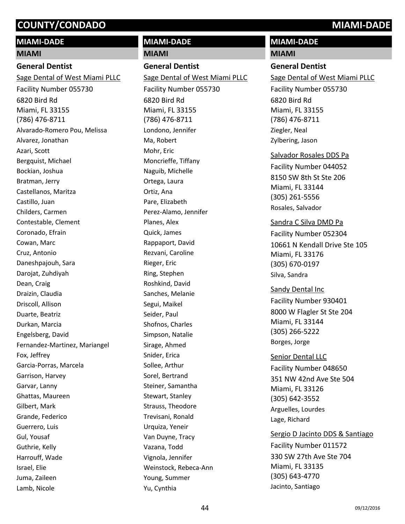# **MIAMI-DADE**

#### **MIAMI**

#### **General Dentist**

6820 Bird Rd Miami, FL 33155 (786) 476-8711 Sage Dental of West Miami PLLC Facility Number 055730 Alvarado-Romero Pou, Melissa Alvarez, Jonathan Azari, Scott Bergquist, Michael Bockian, Joshua Bratman, Jerry Castellanos, Maritza Castillo, Juan Childers, Carmen Contestable, Clement Coronado, Efrain Cowan, Marc Cruz, Antonio Daneshpajouh, Sara Darojat, Zuhdiyah Dean, Craig Draizin, Claudia Driscoll, Allison Duarte, Beatriz Durkan, Marcia Engelsberg, David Fernandez-Martinez, Mariangel Fox, Jeffrey Garcia-Porras, Marcela Garrison, Harvey Garvar, Lanny Ghattas, Maureen Gilbert, Mark Grande, Federico Guerrero, Luis Gul, Yousaf Guthrie, Kelly Harrouff, Wade Israel, Elie Juma, Zaileen Lamb, Nicole

# **MIAMI-DADE**

# **MIAMI**

**General Dentist** 6820 Bird Rd Miami, FL 33155 (786) 476-8711 Sage Dental of West Miami PLLC Facility Number 055730 Londono, Jennifer Ma, Robert Mohr, Eric Moncrieffe, Tiffany Naguib, Michelle Ortega, Laura Ortiz, Ana Pare, Elizabeth Perez-Alamo, Jennifer Planes, Alex Quick, James Rappaport, David Rezvani, Caroline Rieger, Eric Ring, Stephen Roshkind, David Sanches, Melanie Segui, Maikel Seider, Paul Shofnos, Charles Simpson, Natalie Sirage, Ahmed Snider, Erica Sollee, Arthur Sorel, Bertrand Steiner, Samantha Stewart, Stanley Strauss, Theodore Trevisani, Ronald Urquiza, Yeneir Van Duyne, Tracy Vazana, Todd Vignola, Jennifer Weinstock, Rebeca-Ann Young, Summer Yu, Cynthia

# **MIAMI-DADE**

#### **MIAMI**

#### **General Dentist**

6820 Bird Rd Miami, FL 33155 (786) 476-8711 Sage Dental of West Miami PLLC Facility Number 055730 Ziegler, Neal Zylbering, Jason

#### Salvador Rosales DDS Pa

8150 SW 8th St Ste 206 Miami, FL 33144 (305) 261-5556 Facility Number 044052 Rosales, Salvador

#### Sandra C Silva DMD Pa

10661 N Kendall Drive Ste 105 Miami, FL 33176 (305) 670-0197 Facility Number 052304 Silva, Sandra

8000 W Flagler St Ste 204 Miami, FL 33144 (305) 266-5222 Sandy Dental Inc Facility Number 930401 Borges, Jorge

351 NW 42nd Ave Ste 504 Miami, FL 33126 (305) 642-3552 Senior Dental LLC Facility Number 048650 Arguelles, Lourdes Lage, Richard

#### Sergio D Jacinto DDS & Santiago

330 SW 27th Ave Ste 704 Miami, FL 33135 (305) 643-4770 Facility Number 011572 Jacinto, Santiago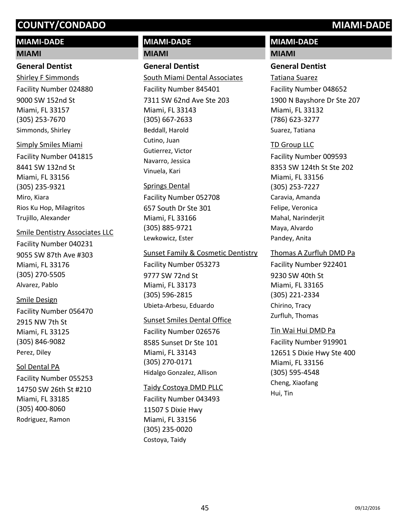# **MIAMI-DADE**

#### **MIAMI**

## **General Dentist**

9000 SW 152nd St Miami, FL 33157 (305) 253-7670 Shirley F Simmonds Facility Number 024880 Simmonds, Shirley

# Simply Smiles Miami

8441 SW 132nd St Miami, FL 33156 (305) 235-9321 Facility Number 041815 Miro, Kiara Rios Ku Hop, Milagritos Trujillo, Alexander

## Smile Dentistry Associates LLC

9055 SW 87th Ave #303 Miami, FL 33176 (305) 270-5505 Facility Number 040231 Alvarez, Pablo

## Smile Design

2915 NW 7th St Miami, FL 33125 (305) 846-9082 Facility Number 056470 Perez, Diley

# Sol Dental PA

14750 SW 26th St #210 Miami, FL 33185 (305) 400-8060 Facility Number 055253 Rodriguez, Ramon

# **MIAMI-DADE**

# **MIAMI**

# **General Dentist**

7311 SW 62nd Ave Ste 203 Miami, FL 33143 (305) 667-2633 South Miami Dental Associates Facility Number 845401 Beddall, Harold Cutino, Juan Gutierrez, Victor Navarro, Jessica Vinuela, Kari

# Springs Dental

657 South Dr Ste 301 Miami, FL 33166 (305) 885-9721 Facility Number 052708 Lewkowicz, Ester

## Sunset Family & Cosmetic Dentistry

9777 SW 72nd St Miami, FL 33173 (305) 596-2815 Facility Number 053273 Ubieta-Arbesu, Eduardo

# Sunset Smiles Dental Office

8585 Sunset Dr Ste 101 Miami, FL 33143 (305) 270-0171 Facility Number 026576 Hidalgo Gonzalez, Allison

## Taidy Costoya DMD PLLC

11507 S Dixie Hwy Miami, FL 33156 (305) 235-0020 Facility Number 043493 Costoya, Taidy

# **MIAMI-DADE**

# **MIAMI**

# **General Dentist**

1900 N Bayshore Dr Ste 207 Miami, FL 33132 (786) 623-3277 Tatiana Suarez Facility Number 048652 Suarez, Tatiana

# TD Group LLC

8353 SW 124th St Ste 202 Miami, FL 33156 (305) 253-7227 Facility Number 009593 Caravia, Amanda Felipe, Veronica Mahal, Narinderjit Maya, Alvardo Pandey, Anita

# Thomas A Zurfluh DMD Pa

9230 SW 40th St Miami, FL 33165 (305) 221-2334 Facility Number 922401 Chirino, Tracy Zurfluh, Thomas

# Tin Wai Hui DMD Pa

12651 S Dixie Hwy Ste 400 Miami, FL 33156 (305) 595-4548 Facility Number 919901 Cheng, Xiaofang Hui, Tin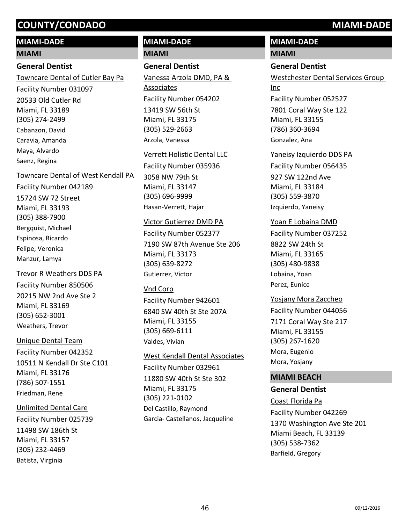# **MIAMI-DADE**

#### **MIAMI**

### **General Dentist**

20533 Old Cutler Rd Miami, FL 33189 (305) 274-2499 Towncare Dental of Cutler Bay Pa Facility Number 031097 Cabanzon, David Caravia, Amanda Maya, Alvardo Saenz, Regina

#### Towncare Dental of West Kendall PA

15724 SW 72 Street Miami, FL 33193 (305) 388-7900 Facility Number 042189 Bergquist, Michael Espinosa, Ricardo Felipe, Veronica Manzur, Lamya

20215 NW 2nd Ave Ste 2 Miami, FL 33169 (305) 652-3001 Trevor R Weathers DDS PA Facility Number 850506 Weathers, Trevor

10511 N Kendall Dr Ste C101 Miami, FL 33176 (786) 507-1551 Unique Dental Team Facility Number 042352 Friedman, Rene

#### Unlimited Dental Care

11498 SW 186th St Miami, FL 33157 (305) 232-4469 Facility Number 025739 Batista, Virginia

# **MIAMI-DADE**

# **MIAMI**

# **General Dentist**

13419 SW 56th St Miami, FL 33175 (305) 529-2663 Vanessa Arzola DMD, PA & Associates Facility Number 054202 Arzola, Vanessa

Verrett Holistic Dental LLC Facility Number 035936

3058 NW 79th St Miami, FL 33147 (305) 696-9999 Hasan-Verrett, Hajar

#### Victor Gutierrez DMD PA

7190 SW 87th Avenue Ste 206 Miami, FL 33173 (305) 639-8272 Facility Number 052377 Gutierrez, Victor

# Vnd Corp

6840 SW 40th St Ste 207A Miami, FL 33155 (305) 669-6111 Facility Number 942601 Valdes, Vivian

11880 SW 40th St Ste 302 West Kendall Dental Associates Facility Number 032961

Miami, FL 33175 (305) 221-0102 Del Castillo, Raymond Garcia- Castellanos, Jacqueline

# **MIAMI-DADE**

#### **MIAMI**

# **General Dentist**

7801 Coral Way Ste 122 Miami, FL 33155 (786) 360-3694 Westchester Dental Services Group Inc Facility Number 052527 Gonzalez, Ana

927 SW 122nd Ave Miami, FL 33184 (305) 559-3870 Yaneisy Izquierdo DDS PA Facility Number 056435 Izquierdo, Yaneisy

#### Yoan E Lobaina DMD

8822 SW 24th St Miami, FL 33165 (305) 480-9838 Facility Number 037252 Lobaina, Yoan Perez, Eunice

#### Yosjany Mora Zaccheo

7171 Coral Way Ste 217 Miami, FL 33155 (305) 267-1620 Facility Number 044056 Mora, Eugenio Mora, Yosjany

# **MIAMI BEACH**

#### **General Dentist**

1370 Washington Ave Ste 201 Miami Beach, FL 33139 (305) 538-7362 Coast Florida Pa Facility Number 042269 Barfield, Gregory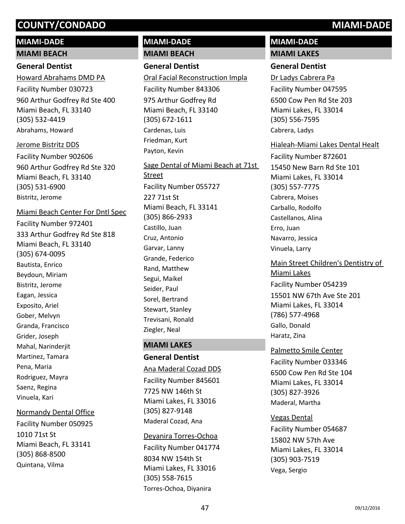# **MIAMI-DADE MIAMI BEACH**

# **General Dentist**

960 Arthur Godfrey Rd Ste 400 Miami Beach, FL 33140 (305) 532-4419 Howard Abrahams DMD PA Facility Number 030723 Abrahams, Howard

960 Arthur Godfrey Rd Ste 320 Miami Beach, FL 33140 (305) 531-6900 Jerome Bistritz DDS Facility Number 902606 Bistritz, Jerome

# Miami Beach Center For Dntl Spec

333 Arthur Godfrey Rd Ste 818 Miami Beach, FL 33140 (305) 674-0095 Facility Number 972401 Bautista, Enrico Beydoun, Miriam Bistritz, Jerome Eagan, Jessica Exposito, Ariel Gober, Melvyn Granda, Francisco Grider, Joseph Mahal, Narinderjit Martinez, Tamara Pena, Maria Rodriguez, Mayra Saenz, Regina Vinuela, Kari

# Normandy Dental Office

1010 71st St Miami Beach, FL 33141 (305) 868-8500 Facility Number 050925 Quintana, Vilma

# **MIAMI-DADE**

# **MIAMI BEACH**

# **General Dentist**

975 Arthur Godfrey Rd Miami Beach, FL 33140 (305) 672-1611 Oral Facial Reconstruction Impla Facility Number 843306 Cardenas, Luis Friedman, Kurt Payton, Kevin

227 71st St Miami Beach, FL 33141 (305) 866-2933 Sage Dental of Miami Beach at 71st Street Facility Number 055727 Castillo, Juan Cruz, Antonio Garvar, Lanny Grande, Federico Rand, Matthew Segui, Maikel Seider, Paul Sorel, Bertrand Stewart, Stanley Trevisani, Ronald Ziegler, Neal

# **MIAMI LAKES**

# **General Dentist**

7725 NW 146th St Miami Lakes, FL 33016 (305) 827-9148 Ana Maderal Cozad DDS Facility Number 845601 Maderal Cozad, Ana

#### Deyanira Torres-Ochoa

8034 NW 154th St Miami Lakes, FL 33016 (305) 558-7615 Facility Number 041774 Torres-Ochoa, Diyanira

# **MIAMI-DADE MIAMI LAKES**

# **General Dentist**

6500 Cow Pen Rd Ste 203 Miami Lakes, FL 33014 (305) 556-7595 Dr Ladys Cabrera Pa Facility Number 047595 Cabrera, Ladys

## Hialeah-Miami Lakes Dental Healt

15450 New Barn Rd Ste 101 Miami Lakes, FL 33014 (305) 557-7775 Facility Number 872601 Cabrera, Moises Carballo, Rodolfo Castellanos, Alina Erro, Juan Navarro, Jessica Vinuela, Larry

15501 NW 67th Ave Ste 201 Miami Lakes, FL 33014 (786) 577-4968 Main Street Children's Dentistry of Miami Lakes Facility Number 054239 Gallo, Donald Haratz, Zina

# 6500 Cow Pen Rd Ste 104 Miami Lakes, FL 33014 (305) 827-3926 Palmetto Smile Center Facility Number 033346 Maderal, Martha

## Vegas Dental

15802 NW 57th Ave Miami Lakes, FL 33014 (305) 903-7519 Facility Number 054687 Vega, Sergio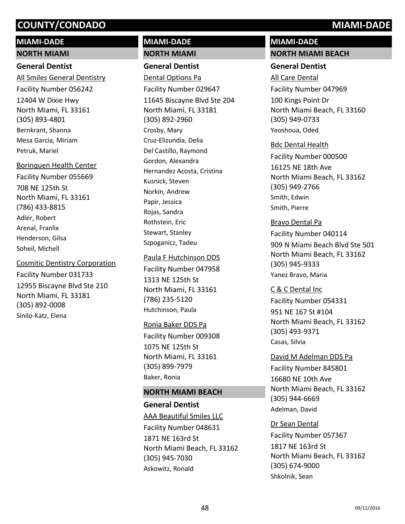# **MIAMI-DADE**

## **NORTH MIAMI**

## **General Dentist**

12404 W Dixie Hwy North Miami, FL 33161 (305) 893-4801 All Smiles General Dentistry Facility Number 056242 Bernkrant, Shanna Mesa Garcia, Miriam Petruk, Mariel

#### Borinquen Health Center

708 NE 125th St North Miami, FL 33161 (786) 433-8815 Facility Number 055669 Adler, Robert Arenal, Franlix Henderson, Gilsa Soheil, Michell

## Cosmitic Dentistry Corporation

12955 Biscayne Blvd Ste 210 North Miami, FL 33181 (305) 892-0008 Facility Number 031733 Sinilo-Katz, Elena

# **MIAMI-DADE**

### **NORTH MIAMI**

**General Dentist**

11645 Biscayne Blvd Ste 204 North Miami, FL 33181 (305) 892-2960 Dental Options Pa Facility Number 029647 Crosby, Mary Cruz-Elizundia, Delia Del Castillo, Raymond Gordon, Alexandra Hernandez Acosta, Cristina Kusnick, Steven Norkin, Andrew Papir, Jessica Rojas, Sandra Rothstein, Eric Stewart, Stanley Szpoganicz, Tadeu

#### Paula F Hutchinson DDS

1313 NE 125th St North Miami, FL 33161 (786) 235-5120 Facility Number 047958 Hutchinson, Paula

#### Ronia Baker DDS Pa

1075 NE 125th St North Miami, FL 33161 (305) 899-7979 Facility Number 009308 Baker, Ronia

# **NORTH MIAMI BEACH**

# **General Dentist** 1871 NE 163rd St North Miami Beach, FL 33162 (305) 945-7030 AAA Beautiful Smiles LLC Facility Number 048631 Askowitz, Ronald

# **MIAMI-DADE**

#### **NORTH MIAMI BEACH**

## **General Dentist**

100 Kings Point Dr North Miami Beach, FL 33160 (305) 949-0733 All Care Dental Facility Number 047969 Yeoshoua, Oded

## Bdc Dental Health

16125 NE 18th Ave North Miami Beach, FL 33162 (305) 949-2766 Facility Number 000500 Smith, Edwin Smith, Pierre

## Bravo Dental Pa

909 N Miami Beach Blvd Ste 501 North Miami Beach, FL 33162 (305) 945-9333 Facility Number 040114 Yanez Bravo, Maria

951 NE 167 St #104 North Miami Beach, FL 33162 (305) 493-9371 C & C Dental Inc Facility Number 054331 Casas, Silvia

#### David M Adelman DDS Pa

16680 NE 10th Ave North Miami Beach, FL 33162 (305) 944-6669 Facility Number 845801 Adelman, David

# 1817 NE 163rd St North Miami Beach, FL 33162 (305) 674-9000 Dr Sean Dental Facility Number 057367 Shkolnik, Sean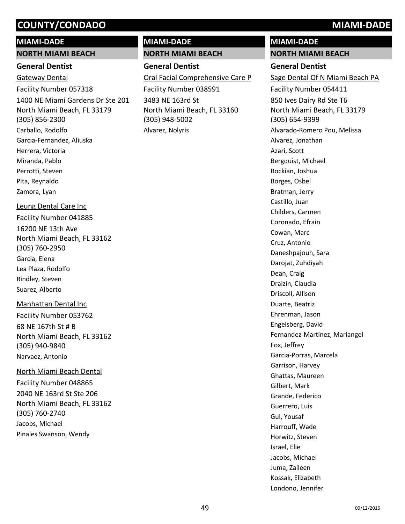#### **MIAMI-DADE**

#### **NORTH MIAMI BEACH**

## **General Dentist**

1400 NE Miami Gardens Dr Ste 201 North Miami Beach, FL 33179 (305) 856-2300 Gateway Dental Facility Number 057318 Carballo, Rodolfo Garcia-Fernandez, Aliuska Herrera, Victoria Miranda, Pablo Perrotti, Steven Pita, Reynaldo Zamora, Lyan

## Leung Dental Care Inc

16200 NE 13th Ave North Miami Beach, FL 33162 (305) 760-2950 Facility Number 041885 Garcia, Elena Lea Plaza, Rodolfo Rindley, Steven Suarez, Alberto

## Manhattan Dental Inc

68 NE 167th St # B North Miami Beach, FL 33162 (305) 940-9840 Facility Number 053762 Narvaez, Antonio

## North Miami Beach Dental

2040 NE 163rd St Ste 206 North Miami Beach, FL 33162 (305) 760-2740 Facility Number 048865 Jacobs, Michael Pinales Swanson, Wendy

# **MIAMI-DADE**

# **NORTH MIAMI BEACH**

# **General Dentist**

3483 NE 163rd St North Miami Beach, FL 33160 (305) 948-5002 Oral Facial Comprehensive Care P Facility Number 038591 Alvarez, Nolyris

# **MIAMI-DADE**

**NORTH MIAMI BEACH**

# **General Dentist**

850 Ives Dairy Rd Ste T6 North Miami Beach, FL 33179 (305) 654-9399 Sage Dental Of N Miami Beach PA Facility Number 054411 Alvarado-Romero Pou, Melissa Alvarez, Jonathan Azari, Scott Bergquist, Michael Bockian, Joshua Borges, Osbel Bratman, Jerry Castillo, Juan Childers, Carmen Coronado, Efrain Cowan, Marc Cruz, Antonio Daneshpajouh, Sara Darojat, Zuhdiyah Dean, Craig Draizin, Claudia Driscoll, Allison Duarte, Beatriz Ehrenman, Jason Engelsberg, David Fernandez-Martinez, Mariangel Fox, Jeffrey Garcia-Porras, Marcela Garrison, Harvey Ghattas, Maureen Gilbert, Mark Grande, Federico Guerrero, Luis Gul, Yousaf Harrouff, Wade Horwitz, Steven Israel, Elie Jacobs, Michael Juma, Zaileen Kossak, Elizabeth Londono, Jennifer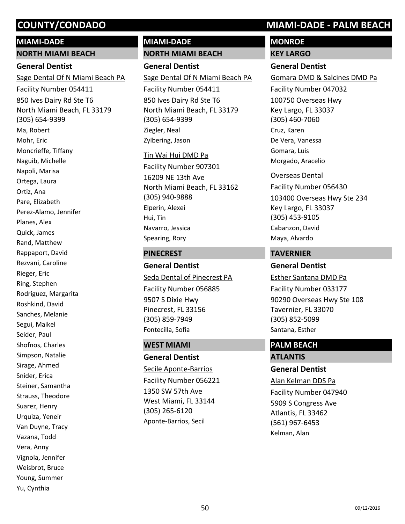#### **MIAMI-DADE**

#### **NORTH MIAMI BEACH**

## **General Dentist**

850 Ives Dairy Rd Ste T6 North Miami Beach, FL 33179 (305) 654-9399 Sage Dental Of N Miami Beach PA Facility Number 054411 Ma, Robert Mohr, Eric Moncrieffe, Tiffany Naguib, Michelle Napoli, Marisa Ortega, Laura Ortiz, Ana Pare, Elizabeth Perez-Alamo, Jennifer Planes, Alex Quick, James Rand, Matthew Rappaport, David Rezvani, Caroline Rieger, Eric Ring, Stephen Rodriguez, Margarita Roshkind, David Sanches, Melanie Segui, Maikel Seider, Paul Shofnos, Charles Simpson, Natalie Sirage, Ahmed Snider, Erica Steiner, Samantha Strauss, Theodore Suarez, Henry Urquiza, Yeneir Van Duyne, Tracy Vazana, Todd Vera, Anny Vignola, Jennifer Weisbrot, Bruce Young, Summer Yu, Cynthia

# **MIAMI-DADE**

# **NORTH MIAMI BEACH**

# **General Dentist**

850 Ives Dairy Rd Ste T6 North Miami Beach, FL 33179 (305) 654-9399 Sage Dental Of N Miami Beach PA Facility Number 054411 Ziegler, Neal Zylbering, Jason

#### Tin Wai Hui DMD Pa

16209 NE 13th Ave North Miami Beach, FL 33162 (305) 940-9888 Facility Number 907301 Elperin, Alexei Hui, Tin Navarro, Jessica Spearing, Rory

### **PINECREST**

**General Dentist** 9507 S Dixie Hwy Pinecrest, FL 33156 (305) 859-7949 Seda Dental of Pinecrest PA Facility Number 056885 Fontecilla, Sofia

## **WEST MIAMI**

**General Dentist** 1350 SW 57th Ave West Miami, FL 33144 (305) 265-6120 Secile Aponte-Barrios Facility Number 056221 Aponte-Barrios, Secil

# **COUNTY/CONDADO MIAMI-DADE - PALM BEACH**

# **MONROE**

**KEY LARGO**

# **General Dentist**

100750 Overseas Hwy Key Largo, FL 33037 (305) 460-7060 Gomara DMD & Salcines DMD Pa Facility Number 047032 Cruz, Karen De Vera, Vanessa Gomara, Luis Morgado, Aracelio

#### Overseas Dental

103400 Overseas Hwy Ste 234 Key Largo, FL 33037 (305) 453-9105 Facility Number 056430 Cabanzon, David Maya, Alvardo

## **TAVERNIER**

**General Dentist** 90290 Overseas Hwy Ste 108 Tavernier, FL 33070 (305) 852-5099 Esther Santana DMD Pa Facility Number 033177 Santana, Esther

# **PALM BEACH**

**ATLANTIS General Dentist** 5909 S Congress Ave Atlantis, FL 33462 (561) 967-6453 Alan Kelman DDS Pa Facility Number 047940 Kelman, Alan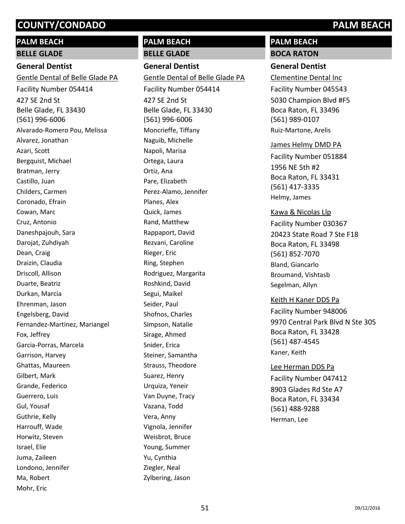# **PALM BEACH BELLE GLADE**

# **General Dentist**

427 SE 2nd St Belle Glade, FL 33430 (561) 996-6006 Gentle Dental of Belle Glade PA Facility Number 054414 Alvarado-Romero Pou, Melissa Alvarez, Jonathan Azari, Scott Bergquist, Michael Bratman, Jerry Castillo, Juan Childers, Carmen Coronado, Efrain Cowan, Marc Cruz, Antonio Daneshpajouh, Sara Darojat, Zuhdiyah Dean, Craig Draizin, Claudia Driscoll, Allison Duarte, Beatriz Durkan, Marcia Ehrenman, Jason Engelsberg, David Fernandez-Martinez, Mariangel Fox, Jeffrey Garcia-Porras, Marcela Garrison, Harvey Ghattas, Maureen Gilbert, Mark Grande, Federico Guerrero, Luis Gul, Yousaf Guthrie, Kelly Harrouff, Wade Horwitz, Steven Israel, Elie Juma, Zaileen Londono, Jennifer Ma, Robert Mohr, Eric

# **PALM BEACH**

**BELLE GLADE**

# **General Dentist**

427 SE 2nd St Belle Glade, FL 33430 (561) 996-6006 Gentle Dental of Belle Glade PA Facility Number 054414 Moncrieffe, Tiffany Naguib, Michelle Napoli, Marisa Ortega, Laura Ortiz, Ana Pare, Elizabeth Perez-Alamo, Jennifer Planes, Alex Quick, James Rand, Matthew Rappaport, David Rezvani, Caroline Rieger, Eric Ring, Stephen Rodriguez, Margarita Roshkind, David Segui, Maikel Seider, Paul Shofnos, Charles Simpson, Natalie Sirage, Ahmed Snider, Erica Steiner, Samantha Strauss, Theodore Suarez, Henry Urquiza, Yeneir Van Duyne, Tracy Vazana, Todd Vera, Anny Vignola, Jennifer Weisbrot, Bruce Young, Summer Yu, Cynthia Ziegler, Neal Zylbering, Jason

# **PALM BEACH BOCA RATON**

# **General Dentist**

5030 Champion Blvd #F5 Boca Raton, FL 33496 (561) 989-0107 Clementine Dental Inc Facility Number 045543 Ruiz-Martone, Arelis

#### James Helmy DMD PA

1956 NE 5th #2 Boca Raton, FL 33431 (561) 417-3335 Facility Number 051884 Helmy, James

#### Kawa & Nicolas Llp

20423 State Road 7 Ste F18 Boca Raton, FL 33498 (561) 852-7070 Facility Number 030367 Bland, Giancarlo Broumand, Vishtasb Segelman, Allyn

## Keith H Kaner DDS Pa

9970 Central Park Blvd N Ste 305 Boca Raton, FL 33428 (561) 487-4545 Facility Number 948006 Kaner, Keith

## Lee Herman DDS Pa

8903 Glades Rd Ste A7 Boca Raton, FL 33434 (561) 488-9288 Facility Number 047412 Herman, Lee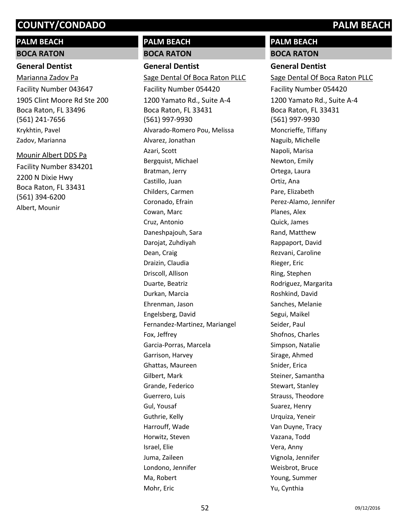# **PALM BEACH BOCA RATON**

# **General Dentist**

1905 Clint Moore Rd Ste 200 Boca Raton, FL 33496 (561) 241-7656 Marianna Zadov Pa Facility Number 043647 Krykhtin, Pavel Zadov, Marianna

2200 N Dixie Hwy Boca Raton, FL 33431 (561) 394-6200 Mounir Albert DDS Pa Facility Number 834201 Albert, Mounir

# **PALM BEACH**

**BOCA RATON**

**General Dentist** 1200 Yamato Rd., Suite A-4 Boca Raton, FL 33431 (561) 997-9930 Sage Dental Of Boca Raton PLLC Facility Number 054420 Alvarado-Romero Pou, Melissa Alvarez, Jonathan Azari, Scott Bergquist, Michael Bratman, Jerry Castillo, Juan Childers, Carmen Coronado, Efrain Cowan, Marc Cruz, Antonio Daneshpajouh, Sara Darojat, Zuhdiyah Dean, Craig Draizin, Claudia Driscoll, Allison Duarte, Beatriz Durkan, Marcia Ehrenman, Jason Engelsberg, David Fernandez-Martinez, Mariangel Fox, Jeffrey Garcia-Porras, Marcela Garrison, Harvey Ghattas, Maureen Gilbert, Mark Grande, Federico Guerrero, Luis Gul, Yousaf Guthrie, Kelly Harrouff, Wade Horwitz, Steven Israel, Elie Juma, Zaileen Londono, Jennifer Ma, Robert Mohr, Eric

# **PALM BEACH**

**BOCA RATON**

# **General Dentist**

1200 Yamato Rd., Suite A-4 Boca Raton, FL 33431 (561) 997-9930 Sage Dental Of Boca Raton PLLC Facility Number 054420 Moncrieffe, Tiffany Naguib, Michelle Napoli, Marisa Newton, Emily Ortega, Laura Ortiz, Ana Pare, Elizabeth Perez-Alamo, Jennifer Planes, Alex Quick, James Rand, Matthew Rappaport, David Rezvani, Caroline Rieger, Eric Ring, Stephen Rodriguez, Margarita Roshkind, David Sanches, Melanie Segui, Maikel Seider, Paul Shofnos, Charles Simpson, Natalie Sirage, Ahmed Snider, Erica Steiner, Samantha Stewart, Stanley Strauss, Theodore Suarez, Henry Urquiza, Yeneir Van Duyne, Tracy Vazana, Todd Vera, Anny Vignola, Jennifer Weisbrot, Bruce Young, Summer Yu, Cynthia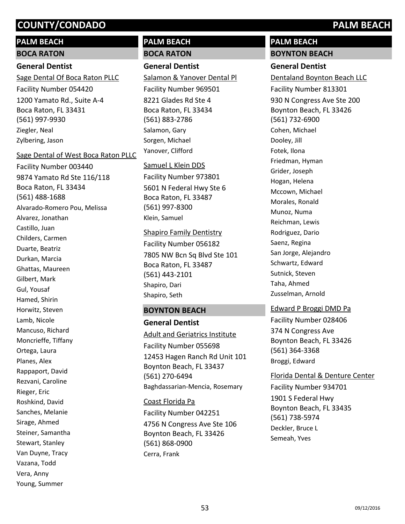# **PALM BEACH**

#### **BOCA RATON**

### **General Dentist**

1200 Yamato Rd., Suite A-4 Boca Raton, FL 33431 (561) 997-9930 Sage Dental Of Boca Raton PLLC Facility Number 054420 Ziegler, Neal Zylbering, Jason

#### Sage Dental of West Boca Raton PLLC

9874 Yamato Rd Ste 116/118 Boca Raton, FL 33434 (561) 488-1688 Facility Number 003440 Alvarado-Romero Pou, Melissa Alvarez, Jonathan Castillo, Juan Childers, Carmen Duarte, Beatriz Durkan, Marcia Ghattas, Maureen Gilbert, Mark Gul, Yousaf Hamed, Shirin Horwitz, Steven Lamb, Nicole Mancuso, Richard Moncrieffe, Tiffany Ortega, Laura Planes, Alex Rappaport, David Rezvani, Caroline Rieger, Eric Roshkind, David Sanches, Melanie Sirage, Ahmed Steiner, Samantha Stewart, Stanley Van Duyne, Tracy Vazana, Todd Vera, Anny Young, Summer

# **PALM BEACH BOCA RATON**

# **General Dentist**

8221 Glades Rd Ste 4 Boca Raton, FL 33434 (561) 883-2786 Salamon & Yanover Dental Pl Facility Number 969501 Salamon, Gary Sorgen, Michael Yanover, Clifford

#### Samuel L Klein DDS

5601 N Federal Hwy Ste 6 Boca Raton, FL 33487 (561) 997-8300 Facility Number 973801 Klein, Samuel

#### Shapiro Family Dentistry

7805 NW Bcn Sq Blvd Ste 101 Boca Raton, FL 33487 (561) 443-2101 Facility Number 056182 Shapiro, Dari Shapiro, Seth

## **BOYNTON BEACH**

**General Dentist** 12453 Hagen Ranch Rd Unit 101 Boynton Beach, FL 33437 (561) 270-6494 Adult and Geriatrics Institute Facility Number 055698 Baghdassarian-Mencia, Rosemary

4756 N Congress Ave Ste 106 Boynton Beach, FL 33426 (561) 868-0900 Coast Florida Pa Facility Number 042251 Cerra, Frank

# **PALM BEACH**

# **BOYNTON BEACH**

**General Dentist** 930 N Congress Ave Ste 200 Boynton Beach, FL 33426 (561) 732-6900 Dentaland Boynton Beach LLC Facility Number 813301 Cohen, Michael Dooley, Jill Fotek, Ilona Friedman, Hyman Grider, Joseph Hogan, Helena Mccown, Michael Morales, Ronald Munoz, Numa Reichman, Lewis Rodriguez, Dario Saenz, Regina San Jorge, Alejandro Schwartz, Edward Sutnick, Steven Taha, Ahmed Zusselman, Arnold

## Edward P Broggi DMD Pa

374 N Congress Ave Boynton Beach, FL 33426 (561) 364-3368 Facility Number 028406 Broggi, Edward

#### Florida Dental & Denture Center

1901 S Federal Hwy Boynton Beach, FL 33435 (561) 738-5974 Facility Number 934701 Deckler, Bruce L Semeah, Yves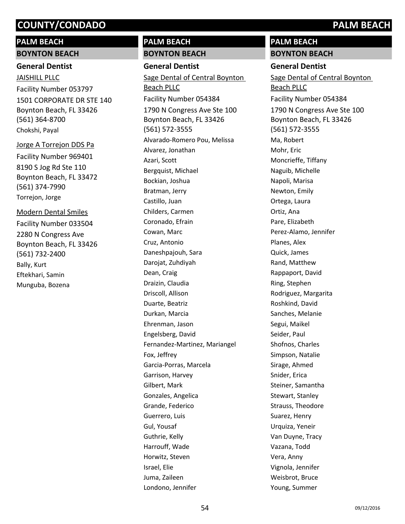# **PALM BEACH**

**BOYNTON BEACH**

# **General Dentist**

1501 CORPORATE DR STE 140 Boynton Beach, FL 33426 (561) 364-8700 JAISHILL PLLC Facility Number 053797 Chokshi, Payal

8190 S Jog Rd Ste 110 Boynton Beach, FL 33472 (561) 374-7990 Jorge A Torrejon DDS Pa Facility Number 969401 Torrejon, Jorge

2280 N Congress Ave Boynton Beach, FL 33426 (561) 732-2400 Modern Dental Smiles Facility Number 033504 Bally, Kurt Eftekhari, Samin Munguba, Bozena

# **PALM BEACH**

**BOYNTON BEACH**

# **General Dentist**

1790 N Congress Ave Ste 100 Boynton Beach, FL 33426 (561) 572-3555 Sage Dental of Central Boynton Beach PLLC Facility Number 054384 Alvarado-Romero Pou, Melissa Alvarez, Jonathan Azari, Scott Bergquist, Michael Bockian, Joshua Bratman, Jerry Castillo, Juan Childers, Carmen Coronado, Efrain Cowan, Marc Cruz, Antonio Daneshpajouh, Sara Darojat, Zuhdiyah Dean, Craig Draizin, Claudia Driscoll, Allison Duarte, Beatriz Durkan, Marcia Ehrenman, Jason Engelsberg, David Fernandez-Martinez, Mariangel Fox, Jeffrey Garcia-Porras, Marcela Garrison, Harvey Gilbert, Mark Gonzales, Angelica Grande, Federico Guerrero, Luis Gul, Yousaf Guthrie, Kelly Harrouff, Wade Horwitz, Steven Israel, Elie Juma, Zaileen Londono, Jennifer

# **PALM BEACH**

**BOYNTON BEACH**

# **General Dentist**

1790 N Congress Ave Ste 100 Boynton Beach, FL 33426 (561) 572-3555 Sage Dental of Central Boynton Beach PLLC Facility Number 054384 Ma, Robert Mohr, Eric Moncrieffe, Tiffany Naguib, Michelle Napoli, Marisa Newton, Emily Ortega, Laura Ortiz, Ana Pare, Elizabeth Perez-Alamo, Jennifer Planes, Alex Quick, James Rand, Matthew Rappaport, David Ring, Stephen Rodriguez, Margarita Roshkind, David Sanches, Melanie Segui, Maikel Seider, Paul Shofnos, Charles Simpson, Natalie Sirage, Ahmed Snider, Erica Steiner, Samantha Stewart, Stanley Strauss, Theodore Suarez, Henry Urquiza, Yeneir Van Duyne, Tracy Vazana, Todd Vera, Anny Vignola, Jennifer Weisbrot, Bruce Young, Summer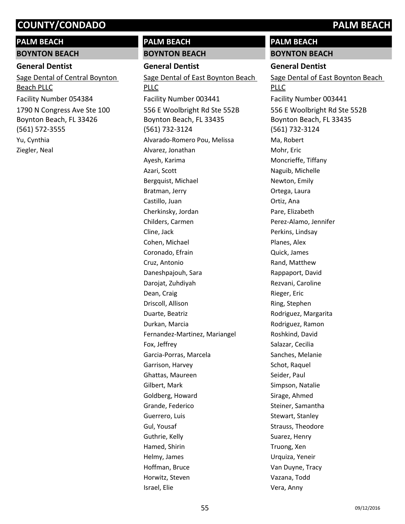### **PALM BEACH**

#### **BOYNTON BEACH**

#### **General Dentist**

1790 N Congress Ave Ste 100 Boynton Beach, FL 33426 (561) 572-3555 Sage Dental of Central Boynton Beach PLLC Facility Number 054384 Yu, Cynthia Ziegler, Neal

# **PALM BEACH**

# **BOYNTON BEACH General Dentist**

556 E Woolbright Rd Ste 552B Boynton Beach, FL 33435 (561) 732-3124 Sage Dental of East Boynton Beach PLLC Facility Number 003441 Alvarado-Romero Pou, Melissa Alvarez, Jonathan Ayesh, Karima Azari, Scott Bergquist, Michael Bratman, Jerry Castillo, Juan Cherkinsky, Jordan Childers, Carmen Cline, Jack Cohen, Michael Coronado, Efrain Cruz, Antonio Daneshpajouh, Sara Darojat, Zuhdiyah Dean, Craig Driscoll, Allison Duarte, Beatriz Durkan, Marcia Fernandez-Martinez, Mariangel Fox, Jeffrey Garcia-Porras, Marcela Garrison, Harvey Ghattas, Maureen Gilbert, Mark Goldberg, Howard Grande, Federico Guerrero, Luis Gul, Yousaf Guthrie, Kelly Hamed, Shirin Helmy, James Hoffman, Bruce Horwitz, Steven Israel, Elie

**PALM BEACH BOYNTON BEACH**

# **General Dentist**

556 E Woolbright Rd Ste 552B Boynton Beach, FL 33435 (561) 732-3124 Sage Dental of East Boynton Beach PLLC Facility Number 003441 Ma, Robert Mohr, Eric Moncrieffe, Tiffany Naguib, Michelle Newton, Emily Ortega, Laura Ortiz, Ana Pare, Elizabeth Perez-Alamo, Jennifer Perkins, Lindsay Planes, Alex Quick, James Rand, Matthew Rappaport, David Rezvani, Caroline Rieger, Eric Ring, Stephen Rodriguez, Margarita Rodriguez, Ramon Roshkind, David Salazar, Cecilia Sanches, Melanie Schot, Raquel Seider, Paul Simpson, Natalie Sirage, Ahmed Steiner, Samantha Stewart, Stanley Strauss, Theodore Suarez, Henry Truong, Xen Urquiza, Yeneir Van Duyne, Tracy Vazana, Todd Vera, Anny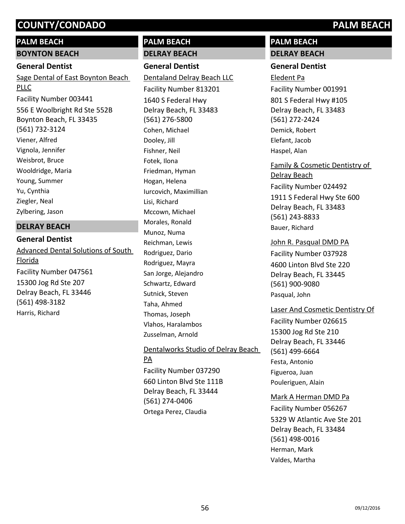# **PALM BEACH**

## **BOYNTON BEACH**

# **General Dentist**

Sage Dental of East Boynton Beach PLLC

556 E Woolbright Rd Ste 552B Boynton Beach, FL 33435 (561) 732-3124 Facility Number 003441 Viener, Alfred Vignola, Jennifer Weisbrot, Bruce Wooldridge, Maria Young, Summer Yu, Cynthia Ziegler, Neal Zylbering, Jason

## **DELRAY BEACH**

# **General Dentist** 15300 Jog Rd Ste 207 Delray Beach, FL 33446 (561) 498-3182 Advanced Dental Solutions of South Florida Facility Number 047561 Harris, Richard

# **PALM BEACH**

**DELRAY BEACH**

# **General Dentist**

1640 S Federal Hwy Delray Beach, FL 33483 (561) 276-5800 Dentaland Delray Beach LLC Facility Number 813201 Cohen, Michael Dooley, Jill Fishner, Neil Fotek, Ilona Friedman, Hyman Hogan, Helena Iurcovich, Maximillian Lisi, Richard Mccown, Michael Morales, Ronald Munoz, Numa Reichman, Lewis Rodriguez, Dario Rodriguez, Mayra San Jorge, Alejandro Schwartz, Edward Sutnick, Steven Taha, Ahmed Thomas, Joseph Vlahos, Haralambos Zusselman, Arnold

# 660 Linton Blvd Ste 111B Delray Beach, FL 33444 (561) 274-0406 Dentalworks Studio of Delray Beach PA Facility Number 037290 Ortega Perez, Claudia

# **PALM BEACH DELRAY BEACH**

## **General Dentist**

801 S Federal Hwy #105 Delray Beach, FL 33483 (561) 272-2424 Eledent Pa Facility Number 001991 Demick, Robert Elefant, Jacob Haspel, Alan

1911 S Federal Hwy Ste 600 Delray Beach, FL 33483 (561) 243-8833 Family & Cosmetic Dentistry of Delray Beach Facility Number 024492 Bauer, Richard

# 4600 Linton Blvd Ste 220 Delray Beach, FL 33445 (561) 900-9080 John R. Pasqual DMD PA Facility Number 037928 Pasqual, John

# Laser And Cosmetic Dentistry Of

15300 Jog Rd Ste 210 Delray Beach, FL 33446 (561) 499-6664 Facility Number 026615 Festa, Antonio Figueroa, Juan Pouleriguen, Alain

Mark A Herman DMD Pa

5329 W Atlantic Ave Ste 201 Delray Beach, FL 33484 (561) 498-0016 Facility Number 056267 Herman, Mark Valdes, Martha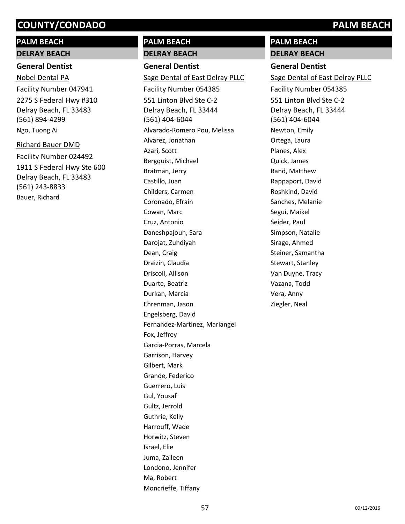# **PALM BEACH**

# **DELRAY BEACH**

# **General Dentist**

2275 S Federal Hwy #310 Delray Beach, FL 33483 (561) 894-4299 Nobel Dental PA Facility Number 047941 Ngo, Tuong Ai

# Richard Bauer DMD

1911 S Federal Hwy Ste 600 Delray Beach, FL 33483 (561) 243-8833 Facility Number 024492 Bauer, Richard

# **PALM BEACH**

# **DELRAY BEACH**

**General Dentist** 551 Linton Blvd Ste C-2 Delray Beach, FL 33444 (561) 404-6044 Sage Dental of East Delray PLLC Facility Number 054385 Alvarado-Romero Pou, Melissa Alvarez, Jonathan Azari, Scott Bergquist, Michael Bratman, Jerry Castillo, Juan Childers, Carmen Coronado, Efrain Cowan, Marc Cruz, Antonio Daneshpajouh, Sara Darojat, Zuhdiyah Dean, Craig Draizin, Claudia Driscoll, Allison Duarte, Beatriz Durkan, Marcia Ehrenman, Jason Engelsberg, David Fernandez-Martinez, Mariangel Fox, Jeffrey Garcia-Porras, Marcela Garrison, Harvey Gilbert, Mark Grande, Federico Guerrero, Luis Gul, Yousaf Gultz, Jerrold Guthrie, Kelly Harrouff, Wade Horwitz, Steven Israel, Elie Juma, Zaileen Londono, Jennifer Ma, Robert Moncrieffe, Tiffany

# **PALM BEACH**

**DELRAY BEACH**

# **General Dentist**

551 Linton Blvd Ste C-2 Delray Beach, FL 33444 (561) 404-6044 Sage Dental of East Delray PLLC Facility Number 054385 Newton, Emily Ortega, Laura Planes, Alex Quick, James Rand, Matthew Rappaport, David Roshkind, David Sanches, Melanie Segui, Maikel Seider, Paul Simpson, Natalie Sirage, Ahmed Steiner, Samantha Stewart, Stanley Van Duyne, Tracy Vazana, Todd Vera, Anny Ziegler, Neal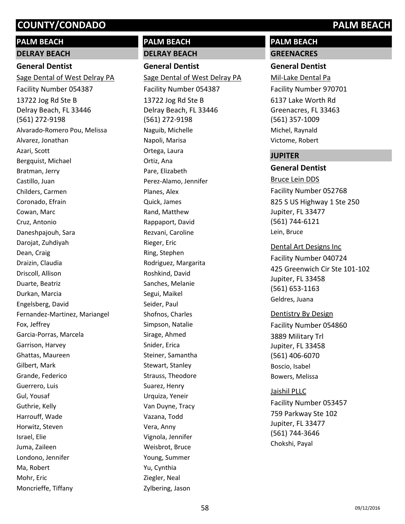# **PALM BEACH**

# **DELRAY BEACH**

# **General Dentist**

13722 Jog Rd Ste B Delray Beach, FL 33446 (561) 272-9198 Sage Dental of West Delray PA Facility Number 054387 Alvarado-Romero Pou, Melissa Alvarez, Jonathan Azari, Scott Bergquist, Michael Bratman, Jerry Castillo, Juan Childers, Carmen Coronado, Efrain Cowan, Marc Cruz, Antonio Daneshpajouh, Sara Darojat, Zuhdiyah Dean, Craig Draizin, Claudia Driscoll, Allison Duarte, Beatriz Durkan, Marcia Engelsberg, David Fernandez-Martinez, Mariangel Fox, Jeffrey Garcia-Porras, Marcela Garrison, Harvey Ghattas, Maureen Gilbert, Mark Grande, Federico Guerrero, Luis Gul, Yousaf Guthrie, Kelly Harrouff, Wade Horwitz, Steven Israel, Elie Juma, Zaileen Londono, Jennifer Ma, Robert Mohr, Eric Moncrieffe, Tiffany

# **PALM BEACH**

# **DELRAY BEACH**

**General Dentist** 13722 Jog Rd Ste B Delray Beach, FL 33446 (561) 272-9198 Sage Dental of West Delray PA Facility Number 054387 Naguib, Michelle Napoli, Marisa Ortega, Laura Ortiz, Ana Pare, Elizabeth Perez-Alamo, Jennifer Planes, Alex Quick, James Rand, Matthew Rappaport, David Rezvani, Caroline Rieger, Eric Ring, Stephen Rodriguez, Margarita Roshkind, David Sanches, Melanie Segui, Maikel Seider, Paul Shofnos, Charles Simpson, Natalie Sirage, Ahmed Snider, Erica Steiner, Samantha Stewart, Stanley Strauss, Theodore Suarez, Henry Urquiza, Yeneir Van Duyne, Tracy Vazana, Todd Vera, Anny Vignola, Jennifer Weisbrot, Bruce Young, Summer Yu, Cynthia Ziegler, Neal Zylbering, Jason

# **PALM BEACH GREENACRES**

# **General Dentist**

6137 Lake Worth Rd Greenacres, FL 33463 (561) 357-1009 Mil-Lake Dental Pa Facility Number 970701 Michel, Raynald Victome, Robert

## **JUPITER**

# **General Dentist**

825 S US Highway 1 Ste 250 Jupiter, FL 33477 (561) 744-6121 Bruce Lein DDS Facility Number 052768 Lein, Bruce

425 Greenwich Cir Ste 101-102 Jupiter, FL 33458 (561) 653-1163 Dental Art Designs Inc Facility Number 040724 Geldres, Juana

## Dentistry By Design

3889 Military Trl Jupiter, FL 33458 (561) 406-6070 Facility Number 054860 Boscio, Isabel Bowers, Melissa

## Jaishil PLLC

759 Parkway Ste 102 Jupiter, FL 33477 (561) 744-3646 Facility Number 053457 Chokshi, Payal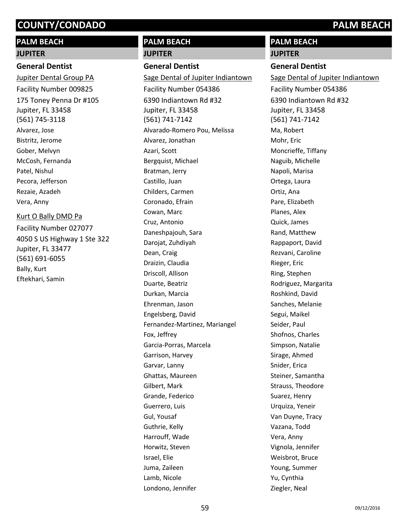# **PALM BEACH**

#### **JUPITER**

#### **General Dentist**

175 Toney Penna Dr #105 Jupiter, FL 33458 (561) 745-3118 Jupiter Dental Group PA Facility Number 009825 Alvarez, Jose Bistritz, Jerome Gober, Melvyn McCosh, Fernanda Patel, Nishul Pecora, Jefferson Rezaie, Azadeh Vera, Anny Kurt O Bally DMD Pa

4050 S US Highway 1 Ste 322 Jupiter, FL 33477 (561) 691-6055 Facility Number 027077 Bally, Kurt Eftekhari, Samin

# **PALM BEACH**

# **JUPITER**

# **General Dentist**

6390 Indiantown Rd #32 Jupiter, FL 33458 (561) 741-7142 Sage Dental of Jupiter Indiantown Facility Number 054386 Alvarado-Romero Pou, Melissa Alvarez, Jonathan Azari, Scott Bergquist, Michael Bratman, Jerry Castillo, Juan Childers, Carmen Coronado, Efrain Cowan, Marc Cruz, Antonio Daneshpajouh, Sara Darojat, Zuhdiyah Dean, Craig Draizin, Claudia Driscoll, Allison Duarte, Beatriz Durkan, Marcia Ehrenman, Jason Engelsberg, David Fernandez-Martinez, Mariangel Fox, Jeffrey Garcia-Porras, Marcela Garrison, Harvey Garvar, Lanny Ghattas, Maureen Gilbert, Mark Grande, Federico Guerrero, Luis Gul, Yousaf Guthrie, Kelly Harrouff, Wade Horwitz, Steven Israel, Elie Juma, Zaileen Lamb, Nicole Londono, Jennifer

# **PALM BEACH JUPITER**

# **General Dentist**

6390 Indiantown Rd #32 Jupiter, FL 33458 (561) 741-7142 Sage Dental of Jupiter Indiantown Facility Number 054386 Ma, Robert Mohr, Eric Moncrieffe, Tiffany Naguib, Michelle Napoli, Marisa Ortega, Laura Ortiz, Ana Pare, Elizabeth Planes, Alex Quick, James Rand, Matthew Rappaport, David Rezvani, Caroline Rieger, Eric Ring, Stephen Rodriguez, Margarita Roshkind, David Sanches, Melanie Segui, Maikel Seider, Paul Shofnos, Charles Simpson, Natalie Sirage, Ahmed Snider, Erica Steiner, Samantha Strauss, Theodore Suarez, Henry Urquiza, Yeneir Van Duyne, Tracy Vazana, Todd Vera, Anny Vignola, Jennifer Weisbrot, Bruce Young, Summer Yu, Cynthia Ziegler, Neal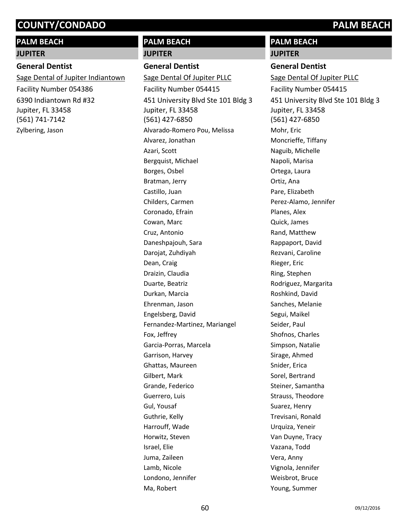# **PALM BEACH**

#### **JUPITER**

#### **General Dentist**

6390 Indiantown Rd #32 Jupiter, FL 33458 (561) 741-7142 Sage Dental of Jupiter Indiantown Facility Number 054386 Zylbering, Jason

# **PALM BEACH**

#### **JUPITER**

#### **General Dentist**

451 University Blvd Ste 101 Bldg 3 Jupiter, FL 33458 (561) 427-6850 Sage Dental Of Jupiter PLLC Facility Number 054415 Alvarado-Romero Pou, Melissa Alvarez, Jonathan Azari, Scott Bergquist, Michael Borges, Osbel Bratman, Jerry Castillo, Juan Childers, Carmen Coronado, Efrain Cowan, Marc Cruz, Antonio Daneshpajouh, Sara Darojat, Zuhdiyah Dean, Craig Draizin, Claudia Duarte, Beatriz Durkan, Marcia Ehrenman, Jason Engelsberg, David Fernandez-Martinez, Mariangel Fox, Jeffrey Garcia-Porras, Marcela Garrison, Harvey Ghattas, Maureen Gilbert, Mark Grande, Federico Guerrero, Luis Gul, Yousaf Guthrie, Kelly Harrouff, Wade Horwitz, Steven Israel, Elie Juma, Zaileen Lamb, Nicole Londono, Jennifer Ma, Robert

# **PALM BEACH**

# **JUPITER**

**General Dentist** 451 University Blvd Ste 101 Bldg 3 Jupiter, FL 33458 (561) 427-6850 Sage Dental Of Jupiter PLLC Facility Number 054415 Mohr, Eric Moncrieffe, Tiffany Naguib, Michelle Napoli, Marisa Ortega, Laura Ortiz, Ana Pare, Elizabeth Perez-Alamo, Jennifer Planes, Alex Quick, James Rand, Matthew Rappaport, David Rezvani, Caroline Rieger, Eric Ring, Stephen Rodriguez, Margarita Roshkind, David Sanches, Melanie Segui, Maikel Seider, Paul Shofnos, Charles Simpson, Natalie Sirage, Ahmed Snider, Erica Sorel, Bertrand Steiner, Samantha Strauss, Theodore Suarez, Henry Trevisani, Ronald Urquiza, Yeneir Van Duyne, Tracy Vazana, Todd Vera, Anny Vignola, Jennifer Weisbrot, Bruce Young, Summer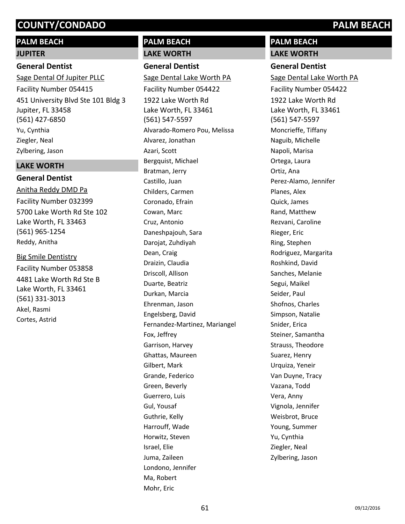# **PALM BEACH**

# **JUPITER**

# **General Dentist**

451 University Blvd Ste 101 Bldg 3 Jupiter, FL 33458 (561) 427-6850 Sage Dental Of Jupiter PLLC Facility Number 054415 Yu, Cynthia Ziegler, Neal Zylbering, Jason

# **LAKE WORTH**

# **General Dentist**

5700 Lake Worth Rd Ste 102 Lake Worth, FL 33463 (561) 965-1254 Anitha Reddy DMD Pa Facility Number 032399 Reddy, Anitha

4481 Lake Worth Rd Ste B Lake Worth, FL 33461 (561) 331-3013 Big Smile Dentistry Facility Number 053858 Akel, Rasmi Cortes, Astrid

# **PALM BEACH**

# **LAKE WORTH General Dentist**

1922 Lake Worth Rd Lake Worth, FL 33461 (561) 547-5597 Sage Dental Lake Worth PA Facility Number 054422 Alvarado-Romero Pou, Melissa Alvarez, Jonathan Azari, Scott Bergquist, Michael Bratman, Jerry Castillo, Juan Childers, Carmen Coronado, Efrain Cowan, Marc Cruz, Antonio Daneshpajouh, Sara Darojat, Zuhdiyah Dean, Craig Draizin, Claudia Driscoll, Allison Duarte, Beatriz Durkan, Marcia Ehrenman, Jason Engelsberg, David Fernandez-Martinez, Mariangel Fox, Jeffrey Garrison, Harvey Ghattas, Maureen Gilbert, Mark Grande, Federico Green, Beverly Guerrero, Luis Gul, Yousaf Guthrie, Kelly Harrouff, Wade Horwitz, Steven Israel, Elie Juma, Zaileen Londono, Jennifer Ma, Robert Mohr, Eric

# **PALM BEACH LAKE WORTH**

# **General Dentist**

1922 Lake Worth Rd Lake Worth, FL 33461 (561) 547-5597 Sage Dental Lake Worth PA Facility Number 054422 Moncrieffe, Tiffany Naguib, Michelle Napoli, Marisa Ortega, Laura Ortiz, Ana Perez-Alamo, Jennifer Planes, Alex Quick, James Rand, Matthew Rezvani, Caroline Rieger, Eric Ring, Stephen Rodriguez, Margarita Roshkind, David Sanches, Melanie Segui, Maikel Seider, Paul Shofnos, Charles Simpson, Natalie Snider, Erica Steiner, Samantha Strauss, Theodore Suarez, Henry Urquiza, Yeneir Van Duyne, Tracy Vazana, Todd Vera, Anny Vignola, Jennifer Weisbrot, Bruce Young, Summer Yu, Cynthia Ziegler, Neal Zylbering, Jason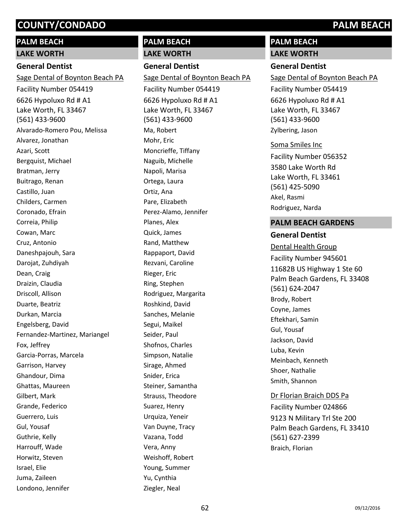# **PALM BEACH LAKE WORTH**

# **General Dentist**

6626 Hypoluxo Rd # A1 Lake Worth, FL 33467 (561) 433-9600 Sage Dental of Boynton Beach PA Facility Number 054419 Alvarado-Romero Pou, Melissa Alvarez, Jonathan Azari, Scott Bergquist, Michael Bratman, Jerry Buitrago, Renan Castillo, Juan Childers, Carmen Coronado, Efrain Correia, Philip Cowan, Marc Cruz, Antonio Daneshpajouh, Sara Darojat, Zuhdiyah Dean, Craig Draizin, Claudia Driscoll, Allison Duarte, Beatriz Durkan, Marcia Engelsberg, David Fernandez-Martinez, Mariangel Fox, Jeffrey Garcia-Porras, Marcela Garrison, Harvey Ghandour, Dima Ghattas, Maureen Gilbert, Mark Grande, Federico Guerrero, Luis Gul, Yousaf Guthrie, Kelly Harrouff, Wade Horwitz, Steven Israel, Elie Juma, Zaileen Londono, Jennifer

# **PALM BEACH**

# **LAKE WORTH**

**General Dentist**

Sage Dental of Boynton Beach PA

6626 Hypoluxo Rd # A1 Lake Worth, FL 33467 (561) 433-9600 Facility Number 054419 Ma, Robert Mohr, Eric Moncrieffe, Tiffany Naguib, Michelle Napoli, Marisa Ortega, Laura Ortiz, Ana Pare, Elizabeth Perez-Alamo, Jennifer Planes, Alex Quick, James Rand, Matthew Rappaport, David Rezvani, Caroline Rieger, Eric Ring, Stephen Rodriguez, Margarita Roshkind, David Sanches, Melanie Segui, Maikel Seider, Paul Shofnos, Charles Simpson, Natalie Sirage, Ahmed Snider, Erica Steiner, Samantha Strauss, Theodore Suarez, Henry Urquiza, Yeneir Van Duyne, Tracy Vazana, Todd

# **PALM BEACH LAKE WORTH**

# **General Dentist**

6626 Hypoluxo Rd # A1 Lake Worth, FL 33467 (561) 433-9600 Sage Dental of Boynton Beach PA Facility Number 054419 Zylbering, Jason

#### Soma Smiles Inc

3580 Lake Worth Rd Lake Worth, FL 33461 (561) 425-5090 Facility Number 056352 Akel, Rasmi Rodriguez, Narda

# **PALM BEACH GARDENS**

## **General Dentist**

11682B US Highway 1 Ste 60 Palm Beach Gardens, FL 33408 (561) 624-2047 Dental Health Group Facility Number 945601 Brody, Robert Coyne, James Eftekhari, Samin Gul, Yousaf Jackson, David Luba, Kevin Meinbach, Kenneth Shoer, Nathalie Smith, Shannon

## Dr Florian Braich DDS Pa

9123 N Military Trl Ste 200 Palm Beach Gardens, FL 33410 (561) 627-2399 Facility Number 024866 Braich, Florian

Vera, Anny

Weishoff, Robert Young, Summer Yu, Cynthia Ziegler, Neal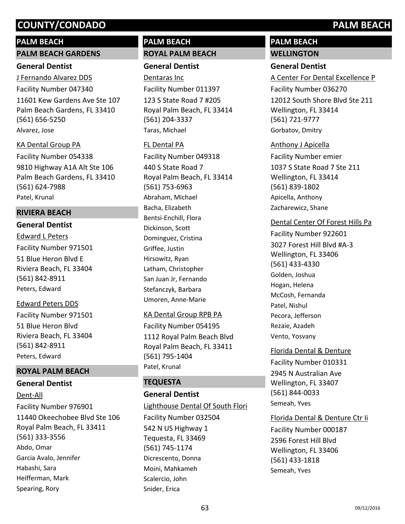## **PALM BEACH**

#### **PALM BEACH GARDENS**

## **General Dentist**

11601 Kew Gardens Ave Ste 107 Palm Beach Gardens, FL 33410 (561) 656-5250 J Fernando Alvarez DDS Facility Number 047340 Alvarez, Jose

## KA Dental Group PA

9810 Highway A1A Alt Ste 106 Palm Beach Gardens, FL 33410 (561) 624-7988 Facility Number 054338 Patel, Krunal

# **RIVIERA BEACH**

## **General Dentist**

51 Blue Heron Blvd E Riviera Beach, FL 33404 (561) 842-8911 Edward L Peters Facility Number 971501 Peters, Edward

## Edward Peters DDS

51 Blue Heron Blvd Riviera Beach, FL 33404 (561) 842-8911 Facility Number 971501 Peters, Edward

# **ROYAL PALM BEACH**

## **General Dentist**

11440 Okeechobee Blvd Ste 106 Royal Palm Beach, FL 33411 (561) 333-3556 Dent-All Facility Number 976901 Abdo, Omar Garcia Avalo, Jennifer Habashi, Sara Heifferman, Mark Spearing, Rory

# **PALM BEACH ROYAL PALM BEACH**

# **General Dentist**

123 S State Road 7 #205 Royal Palm Beach, FL 33414 (561) 204-3337 Dentaras Inc Facility Number 011397 Taras, Michael

## FL Dental PA

440 S State Road 7 Royal Palm Beach, FL 33414 (561) 753-6963 Facility Number 049318 Abraham, Michael Bacha, Elizabeth Bentsi-Enchill, Flora Dickinson, Scott Dominguez, Cristina Griffee, Justin Hirsowitz, Ryan Latham, Christopher San Juan Jr, Fernando Stefanczyk, Barbara Umoren, Anne-Marie

## KA Dental Group RPB PA

1112 Royal Palm Beach Blvd Royal Palm Beach, FL 33411 (561) 795-1404 Facility Number 054195 Patel, Krunal

# **TEQUESTA**

# **General Dentist**

542 N US Highway 1 Tequesta, FL 33469 (561) 745-1174 Lighthouse Dental Of South Flori Facility Number 032504 Dicrescento, Donna Moini, Mahkameh Scalercio, John Snider, Erica

# **PALM BEACH WELLINGTON**

# **General Dentist**

12012 South Shore Blvd Ste 211 Wellington, FL 33414 (561) 721-9777 A Center For Dental Excellence P Facility Number 036270 Gorbatov, Dmitry

## Anthony J Apicella

1037 S State Road 7 Ste 211 Wellington, FL 33414 (561) 839-1802 Facility Number emier Apicella, Anthony Zacharewicz, Shane

## Dental Center Of Forest Hills Pa

3027 Forest Hill Blvd #A-3 Wellington, FL 33406 (561) 433-4330 Facility Number 922601 Golden, Joshua Hogan, Helena McCosh, Fernanda Patel, Nishul Pecora, Jefferson Rezaie, Azadeh Vento, Yosvany

2945 N Australian Ave Wellington, FL 33407 (561) 844-0033 Florida Dental & Denture Facility Number 010331 Semeah, Yves

## Florida Dental & Denture Ctr Ii

2596 Forest Hill Blvd Wellington, FL 33406 (561) 433-1818 Facility Number 000187 Semeah, Yves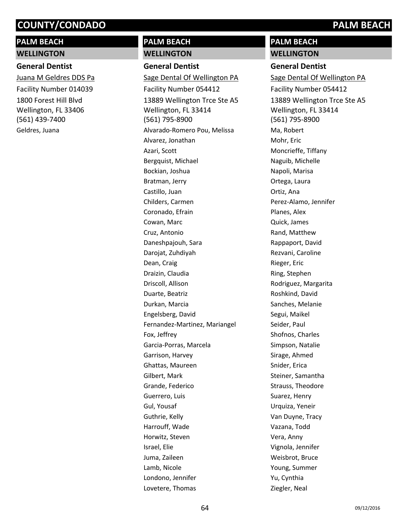# **PALM BEACH WELLINGTON**

### **General Dentist**

1800 Forest Hill Blvd Wellington, FL 33406 (561) 439-7400 Juana M Geldres DDS Pa Facility Number 014039 Geldres, Juana

# **PALM BEACH**

# **WELLINGTON**

**General Dentist** 13889 Wellington Trce Ste A5 Wellington, FL 33414 (561) 795-8900 Sage Dental Of Wellington PA Facility Number 054412 Alvarado-Romero Pou, Melissa Alvarez, Jonathan Azari, Scott Bergquist, Michael Bockian, Joshua Bratman, Jerry Castillo, Juan Childers, Carmen Coronado, Efrain Cowan, Marc Cruz, Antonio Daneshpajouh, Sara Darojat, Zuhdiyah Dean, Craig Draizin, Claudia Driscoll, Allison Duarte, Beatriz Durkan, Marcia Engelsberg, David Fernandez-Martinez, Mariangel Fox, Jeffrey Garcia-Porras, Marcela Garrison, Harvey Ghattas, Maureen Gilbert, Mark Grande, Federico Guerrero, Luis Gul, Yousaf Guthrie, Kelly Harrouff, Wade Horwitz, Steven Israel, Elie Juma, Zaileen Lamb, Nicole Londono, Jennifer Lovetere, Thomas

# **PALM BEACH WELLINGTON**

### **General Dentist**

13889 Wellington Trce Ste A5 Wellington, FL 33414 (561) 795-8900 Sage Dental Of Wellington PA Facility Number 054412 Ma, Robert Mohr, Eric Moncrieffe, Tiffany Naguib, Michelle Napoli, Marisa Ortega, Laura Ortiz, Ana Perez-Alamo, Jennifer Planes, Alex Quick, James Rand, Matthew Rappaport, David Rezvani, Caroline Rieger, Eric Ring, Stephen Rodriguez, Margarita Roshkind, David Sanches, Melanie Segui, Maikel Seider, Paul Shofnos, Charles Simpson, Natalie Sirage, Ahmed Snider, Erica Steiner, Samantha Strauss, Theodore Suarez, Henry Urquiza, Yeneir Van Duyne, Tracy Vazana, Todd Vera, Anny Vignola, Jennifer Weisbrot, Bruce Young, Summer Yu, Cynthia Ziegler, Neal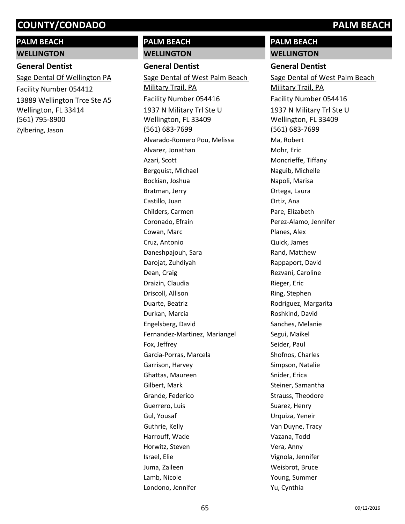# **PALM BEACH WELLINGTON**

# **General Dentist**

13889 Wellington Trce Ste A5 Wellington, FL 33414 (561) 795-8900 Sage Dental Of Wellington PA Facility Number 054412 Zylbering, Jason

# **PALM BEACH**

## **WELLINGTON**

**General Dentist**

1937 N Military Trl Ste U Wellington, FL 33409 (561) 683-7699 Sage Dental of West Palm Beach Military Trail, PA Facility Number 054416 Alvarado-Romero Pou, Melissa Alvarez, Jonathan Azari, Scott Bergquist, Michael Bockian, Joshua Bratman, Jerry Castillo, Juan Childers, Carmen Coronado, Efrain Cowan, Marc Cruz, Antonio Daneshpajouh, Sara Darojat, Zuhdiyah Dean, Craig Draizin, Claudia Driscoll, Allison Duarte, Beatriz Durkan, Marcia Engelsberg, David Fernandez-Martinez, Mariangel Fox, Jeffrey Garcia-Porras, Marcela Garrison, Harvey Ghattas, Maureen Gilbert, Mark Grande, Federico Guerrero, Luis Gul, Yousaf Guthrie, Kelly Harrouff, Wade Horwitz, Steven Israel, Elie Juma, Zaileen Lamb, Nicole Londono, Jennifer

# **PALM BEACH WELLINGTON**

## **General Dentist**

1937 N Military Trl Ste U Wellington, FL 33409 (561) 683-7699 Sage Dental of West Palm Beach Military Trail, PA Facility Number 054416 Ma, Robert Mohr, Eric Moncrieffe, Tiffany Naguib, Michelle Napoli, Marisa Ortega, Laura Ortiz, Ana Pare, Elizabeth Perez-Alamo, Jennifer Planes, Alex Quick, James Rand, Matthew Rappaport, David Rezvani, Caroline Rieger, Eric Ring, Stephen Rodriguez, Margarita Roshkind, David Sanches, Melanie Segui, Maikel Seider, Paul Shofnos, Charles Simpson, Natalie Snider, Erica Steiner, Samantha Strauss, Theodore Suarez, Henry Urquiza, Yeneir Van Duyne, Tracy Vazana, Todd Vera, Anny Vignola, Jennifer Weisbrot, Bruce Young, Summer Yu, Cynthia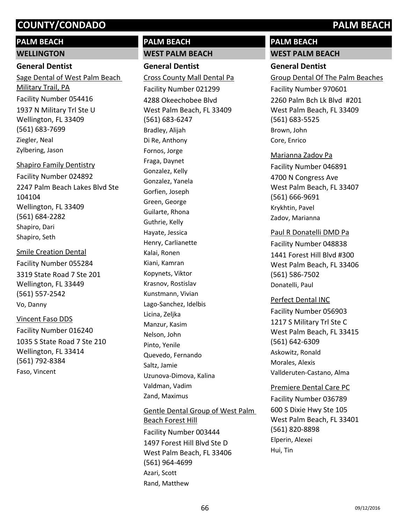# **PALM BEACH WELLINGTON**

# **General Dentist**

1937 N Military Trl Ste U Wellington, FL 33409 (561) 683-7699 Sage Dental of West Palm Beach Military Trail, PA Facility Number 054416 Ziegler, Neal Zylbering, Jason

# 2247 Palm Beach Lakes Blvd Ste 104104 Wellington, FL 33409 (561) 684-2282 Shapiro Family Dentistry Facility Number 024892 Shapiro, Dari

Shapiro, Seth 3319 State Road 7 Ste 201 Wellington, FL 33449 (561) 557-2542 Smile Creation Dental Facility Number 055284 Vo, Danny

# Vincent Faso DDS

1035 S State Road 7 Ste 210 Wellington, FL 33414 (561) 792-8384 Facility Number 016240 Faso, Vincent

# **PALM BEACH WEST PALM BEACH**

**General Dentist** 4288 Okeechobee Blvd West Palm Beach, FL 33409 (561) 683-6247 Cross County Mall Dental Pa Facility Number 021299 Bradley, Alijah Di Re, Anthony Fornos, Jorge Fraga, Daynet Gonzalez, Kelly Gonzalez, Yanela Gorfien, Joseph Green, George Guilarte, Rhona Guthrie, Kelly Hayate, Jessica Henry, Carlianette Kalai, Ronen Kiani, Kamran Kopynets, Viktor Krasnov, Rostislav Kunstmann, Vivian Lago-Sanchez, Idelbis Licina, Zeljka Manzur, Kasim Nelson, John Pinto, Yenile Quevedo, Fernando Saltz, Jamie Uzunova-Dimova, Kalina Valdman, Vadim Zand, Maximus

1497 Forest Hill Blvd Ste D West Palm Beach, FL 33406 (561) 964-4699 Gentle Dental Group of West Palm Beach Forest Hill Facility Number 003444 Azari, Scott Rand, Matthew

# **PALM BEACH**

**WEST PALM BEACH**

# **General Dentist**

2260 Palm Bch Lk Blvd #201 West Palm Beach, FL 33409 (561) 683-5525 Group Dental Of The Palm Beaches Facility Number 970601 Brown, John Core, Enrico

## Marianna Zadov Pa

4700 N Congress Ave West Palm Beach, FL 33407 (561) 666-9691 Facility Number 046891 Krykhtin, Pavel Zadov, Marianna

## Paul R Donatelli DMD Pa

1441 Forest Hill Blvd #300 West Palm Beach, FL 33406 (561) 586-7502 Facility Number 048838 Donatelli, Paul

## Perfect Dental INC

1217 S Military Trl Ste C West Palm Beach, FL 33415 (561) 642-6309 Facility Number 056903 Askowitz, Ronald Morales, Alexis Vallderuten-Castano, Alma

## Premiere Dental Care PC

600 S Dixie Hwy Ste 105 West Palm Beach, FL 33401 (561) 820-8898 Facility Number 036789 Elperin, Alexei Hui, Tin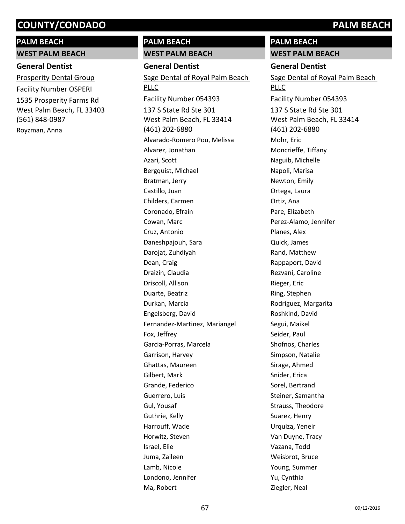# **PALM BEACH**

**WEST PALM BEACH**

# **General Dentist**

1535 Prosperity Farms Rd West Palm Beach, FL 33403 (561) 848-0987 Prosperity Dental Group Facility Number OSPERI Royzman, Anna

# **PALM BEACH WEST PALM BEACH**

**General Dentist** 137 S State Rd Ste 301 West Palm Beach, FL 33414 (461) 202-6880 Sage Dental of Royal Palm Beach PLLC Facility Number 054393 Alvarado-Romero Pou, Melissa Alvarez, Jonathan Azari, Scott Bergquist, Michael Bratman, Jerry Castillo, Juan Childers, Carmen Coronado, Efrain Cowan, Marc Cruz, Antonio Daneshpajouh, Sara Darojat, Zuhdiyah Dean, Craig Draizin, Claudia Driscoll, Allison Duarte, Beatriz Durkan, Marcia Engelsberg, David Fernandez-Martinez, Mariangel Fox, Jeffrey Garcia-Porras, Marcela Garrison, Harvey Ghattas, Maureen Gilbert, Mark Grande, Federico Guerrero, Luis Gul, Yousaf Guthrie, Kelly Harrouff, Wade Horwitz, Steven Israel, Elie Juma, Zaileen Lamb, Nicole Londono, Jennifer Ma, Robert

# **PALM BEACH**

**WEST PALM BEACH**

## **General Dentist**

137 S State Rd Ste 301 West Palm Beach, FL 33414 (461) 202-6880 Sage Dental of Royal Palm Beach PLLC Facility Number 054393 Mohr, Eric Moncrieffe, Tiffany Naguib, Michelle Napoli, Marisa Newton, Emily Ortega, Laura Ortiz, Ana Pare, Elizabeth Perez-Alamo, Jennifer Planes, Alex Quick, James Rand, Matthew Rappaport, David Rezvani, Caroline Rieger, Eric Ring, Stephen Rodriguez, Margarita Roshkind, David Segui, Maikel Seider, Paul Shofnos, Charles Simpson, Natalie Sirage, Ahmed Snider, Erica Sorel, Bertrand Steiner, Samantha Strauss, Theodore Suarez, Henry Urquiza, Yeneir Van Duyne, Tracy Vazana, Todd Weisbrot, Bruce Young, Summer Yu, Cynthia Ziegler, Neal